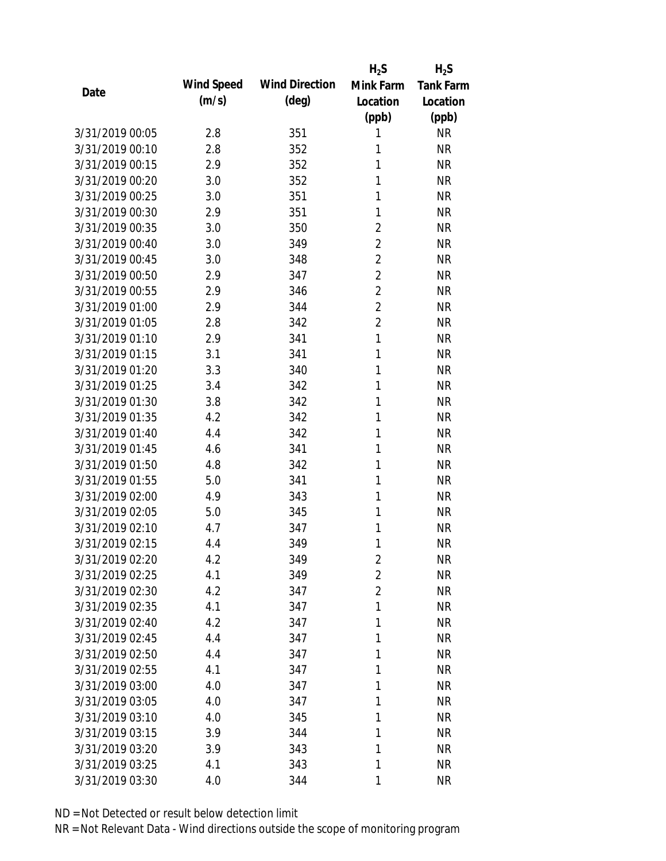|                 |            |                       | $H_2S$         | $H_2S$           |
|-----------------|------------|-----------------------|----------------|------------------|
| Date            | Wind Speed | <b>Wind Direction</b> | Mink Farm      | <b>Tank Farm</b> |
|                 | (m/s)      | $(\text{deg})$        | Location       | Location         |
|                 |            |                       | (ppb)          | (ppb)            |
| 3/31/2019 00:05 | 2.8        | 351                   | 1              | <b>NR</b>        |
| 3/31/2019 00:10 | 2.8        | 352                   | 1              | <b>NR</b>        |
| 3/31/2019 00:15 | 2.9        | 352                   | 1              | <b>NR</b>        |
| 3/31/2019 00:20 | 3.0        | 352                   | 1              | <b>NR</b>        |
| 3/31/2019 00:25 | 3.0        | 351                   | 1              | <b>NR</b>        |
| 3/31/2019 00:30 | 2.9        | 351                   | 1              | <b>NR</b>        |
| 3/31/2019 00:35 | 3.0        | 350                   | 2              | <b>NR</b>        |
| 3/31/2019 00:40 | 3.0        | 349                   | $\overline{2}$ | <b>NR</b>        |
| 3/31/2019 00:45 | 3.0        | 348                   | $\overline{2}$ | <b>NR</b>        |
| 3/31/2019 00:50 | 2.9        | 347                   | $\overline{2}$ | <b>NR</b>        |
| 3/31/2019 00:55 | 2.9        | 346                   | $\overline{2}$ | <b>NR</b>        |
| 3/31/2019 01:00 | 2.9        | 344                   | $\overline{2}$ | <b>NR</b>        |
| 3/31/2019 01:05 | 2.8        | 342                   | $\overline{2}$ | <b>NR</b>        |
| 3/31/2019 01:10 | 2.9        | 341                   | $\mathbf{1}$   | <b>NR</b>        |
| 3/31/2019 01:15 | 3.1        | 341                   | 1              | <b>NR</b>        |
| 3/31/2019 01:20 | 3.3        | 340                   | 1              | <b>NR</b>        |
| 3/31/2019 01:25 | 3.4        | 342                   | 1              | <b>NR</b>        |
| 3/31/2019 01:30 | 3.8        | 342                   | 1              | <b>NR</b>        |
| 3/31/2019 01:35 | 4.2        | 342                   | 1              | <b>NR</b>        |
| 3/31/2019 01:40 | 4.4        | 342                   | 1              | <b>NR</b>        |
| 3/31/2019 01:45 | 4.6        | 341                   | 1              | <b>NR</b>        |
| 3/31/2019 01:50 | 4.8        | 342                   | 1              | <b>NR</b>        |
| 3/31/2019 01:55 | 5.0        | 341                   | 1              | <b>NR</b>        |
| 3/31/2019 02:00 | 4.9        | 343                   | 1              | <b>NR</b>        |
| 3/31/2019 02:05 | 5.0        | 345                   | 1              | <b>NR</b>        |
| 3/31/2019 02:10 | 4.7        | 347                   | 1              | <b>NR</b>        |
| 3/31/2019 02:15 | 4.4        | 349                   | 1              | <b>NR</b>        |
| 3/31/2019 02:20 | 4.2        | 349                   | $\overline{2}$ | <b>NR</b>        |
| 3/31/2019 02:25 | 4.1        | 349                   | $\overline{2}$ | <b>NR</b>        |
| 3/31/2019 02:30 | 4.2        | 347                   | $\overline{2}$ | <b>NR</b>        |
| 3/31/2019 02:35 | 4.1        | 347                   | 1              | <b>NR</b>        |
| 3/31/2019 02:40 | 4.2        | 347                   | 1              | <b>NR</b>        |
| 3/31/2019 02:45 | 4.4        | 347                   | 1              | <b>NR</b>        |
| 3/31/2019 02:50 | 4.4        | 347                   | 1              | <b>NR</b>        |
| 3/31/2019 02:55 | 4.1        | 347                   | 1              | <b>NR</b>        |
| 3/31/2019 03:00 | 4.0        | 347                   | 1              | <b>NR</b>        |
| 3/31/2019 03:05 | 4.0        | 347                   | 1              | <b>NR</b>        |
| 3/31/2019 03:10 | 4.0        | 345                   | 1              | <b>NR</b>        |
| 3/31/2019 03:15 | 3.9        | 344                   | 1              | <b>NR</b>        |
| 3/31/2019 03:20 | 3.9        | 343                   | 1              | <b>NR</b>        |
| 3/31/2019 03:25 | 4.1        | 343                   | 1              | <b>NR</b>        |
| 3/31/2019 03:30 | 4.0        | 344                   | 1              | <b>NR</b>        |
|                 |            |                       |                |                  |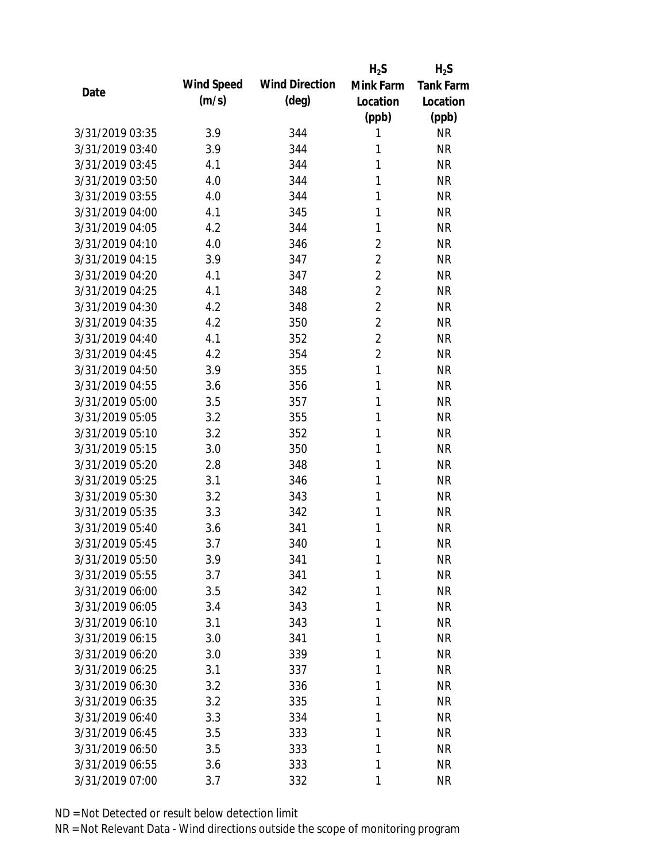|                 |            |                       | $H_2S$         | $H_2S$           |
|-----------------|------------|-----------------------|----------------|------------------|
| Date            | Wind Speed | <b>Wind Direction</b> | Mink Farm      | <b>Tank Farm</b> |
|                 | (m/s)      | $(\text{deg})$        | Location       | Location         |
|                 |            |                       | (ppb)          | (ppb)            |
| 3/31/2019 03:35 | 3.9        | 344                   | 1              | <b>NR</b>        |
| 3/31/2019 03:40 | 3.9        | 344                   | 1              | <b>NR</b>        |
| 3/31/2019 03:45 | 4.1        | 344                   | 1              | <b>NR</b>        |
| 3/31/2019 03:50 | 4.0        | 344                   | 1              | <b>NR</b>        |
| 3/31/2019 03:55 | 4.0        | 344                   | 1              | <b>NR</b>        |
| 3/31/2019 04:00 | 4.1        | 345                   | 1              | <b>NR</b>        |
| 3/31/2019 04:05 | 4.2        | 344                   | 1              | <b>NR</b>        |
| 3/31/2019 04:10 | 4.0        | 346                   | $\overline{2}$ | <b>NR</b>        |
| 3/31/2019 04:15 | 3.9        | 347                   | $\overline{2}$ | <b>NR</b>        |
| 3/31/2019 04:20 | 4.1        | 347                   | $\overline{2}$ | <b>NR</b>        |
| 3/31/2019 04:25 | 4.1        | 348                   | $\overline{2}$ | <b>NR</b>        |
| 3/31/2019 04:30 | 4.2        | 348                   | $\overline{2}$ | <b>NR</b>        |
| 3/31/2019 04:35 | 4.2        | 350                   | $\overline{2}$ | <b>NR</b>        |
| 3/31/2019 04:40 | 4.1        | 352                   | $\overline{2}$ | <b>NR</b>        |
| 3/31/2019 04:45 | 4.2        | 354                   | $\overline{2}$ | <b>NR</b>        |
| 3/31/2019 04:50 | 3.9        | 355                   | 1              | <b>NR</b>        |
| 3/31/2019 04:55 | 3.6        | 356                   | 1              | <b>NR</b>        |
| 3/31/2019 05:00 | 3.5        | 357                   | 1              | <b>NR</b>        |
| 3/31/2019 05:05 | 3.2        | 355                   | 1              | <b>NR</b>        |
| 3/31/2019 05:10 | 3.2        | 352                   | 1              | <b>NR</b>        |
| 3/31/2019 05:15 | 3.0        | 350                   | 1              | <b>NR</b>        |
| 3/31/2019 05:20 | 2.8        | 348                   | 1              | <b>NR</b>        |
| 3/31/2019 05:25 | 3.1        | 346                   | 1              | <b>NR</b>        |
| 3/31/2019 05:30 | 3.2        | 343                   | 1              | <b>NR</b>        |
| 3/31/2019 05:35 | 3.3        | 342                   | 1              | <b>NR</b>        |
| 3/31/2019 05:40 | 3.6        | 341                   | 1              | <b>NR</b>        |
| 3/31/2019 05:45 | 3.7        | 340                   | 1              | <b>NR</b>        |
| 3/31/2019 05:50 | 3.9        | 341                   | 1              | <b>NR</b>        |
| 3/31/2019 05:55 | 3.7        | 341                   | 1              | <b>NR</b>        |
| 3/31/2019 06:00 | 3.5        | 342                   | 1              | <b>NR</b>        |
| 3/31/2019 06:05 | 3.4        | 343                   | 1              | <b>NR</b>        |
| 3/31/2019 06:10 | 3.1        | 343                   | 1              | <b>NR</b>        |
| 3/31/2019 06:15 | 3.0        | 341                   | 1              | <b>NR</b>        |
| 3/31/2019 06:20 | 3.0        | 339                   | 1              | <b>NR</b>        |
| 3/31/2019 06:25 | 3.1        | 337                   | 1              | <b>NR</b>        |
| 3/31/2019 06:30 | 3.2        | 336                   | 1              | <b>NR</b>        |
|                 |            |                       |                |                  |
| 3/31/2019 06:35 | 3.2        | 335                   | 1              | <b>NR</b>        |
| 3/31/2019 06:40 | 3.3        | 334                   | 1              | <b>NR</b>        |
| 3/31/2019 06:45 | 3.5        | 333                   | 1              | <b>NR</b>        |
| 3/31/2019 06:50 | 3.5        | 333                   | 1              | <b>NR</b>        |
| 3/31/2019 06:55 | 3.6        | 333                   | 1              | <b>NR</b>        |
| 3/31/2019 07:00 | 3.7        | 332                   | 1              | <b>NR</b>        |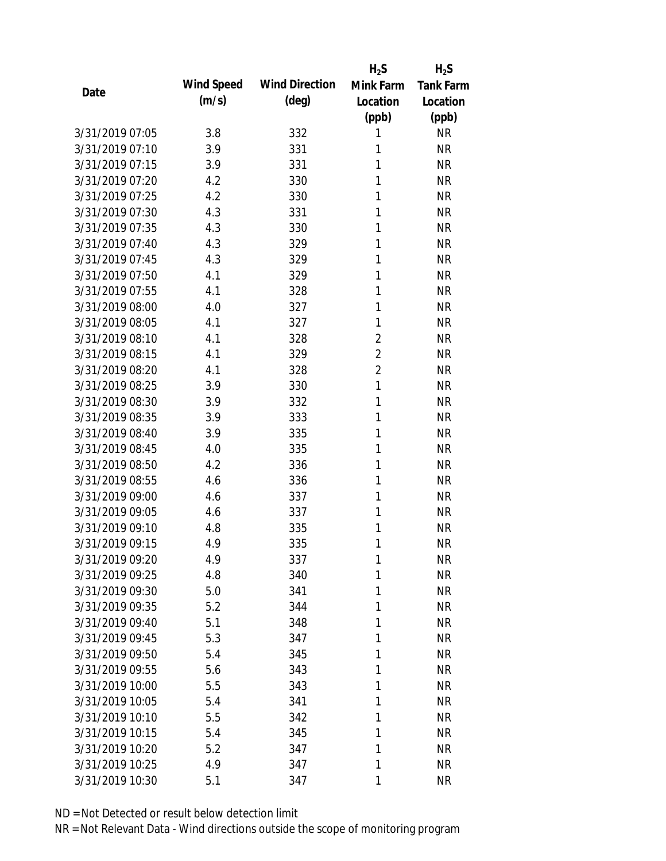|                 |            |                       | $H_2S$         | $H_2S$           |
|-----------------|------------|-----------------------|----------------|------------------|
| Date            | Wind Speed | <b>Wind Direction</b> | Mink Farm      | <b>Tank Farm</b> |
|                 | (m/s)      | $(\text{deg})$        | Location       | Location         |
|                 |            |                       | (ppb)          | (ppb)            |
| 3/31/2019 07:05 | 3.8        | 332                   | 1              | <b>NR</b>        |
| 3/31/2019 07:10 | 3.9        | 331                   | 1              | <b>NR</b>        |
| 3/31/2019 07:15 | 3.9        | 331                   | 1              | <b>NR</b>        |
| 3/31/2019 07:20 | 4.2        | 330                   | 1              | <b>NR</b>        |
| 3/31/2019 07:25 | 4.2        | 330                   | 1              | <b>NR</b>        |
| 3/31/2019 07:30 | 4.3        | 331                   | 1              | <b>NR</b>        |
| 3/31/2019 07:35 | 4.3        | 330                   | 1              | <b>NR</b>        |
| 3/31/2019 07:40 | 4.3        | 329                   | 1              | <b>NR</b>        |
| 3/31/2019 07:45 | 4.3        | 329                   | 1              | <b>NR</b>        |
| 3/31/2019 07:50 | 4.1        | 329                   | 1              | <b>NR</b>        |
| 3/31/2019 07:55 | 4.1        | 328                   | 1              | <b>NR</b>        |
| 3/31/2019 08:00 | 4.0        | 327                   | 1              | <b>NR</b>        |
| 3/31/2019 08:05 | 4.1        | 327                   | 1              | <b>NR</b>        |
| 3/31/2019 08:10 | 4.1        | 328                   | $\overline{2}$ | <b>NR</b>        |
| 3/31/2019 08:15 | 4.1        | 329                   | $\overline{2}$ | <b>NR</b>        |
| 3/31/2019 08:20 | 4.1        | 328                   | $\overline{2}$ | <b>NR</b>        |
| 3/31/2019 08:25 | 3.9        | 330                   | 1              | <b>NR</b>        |
| 3/31/2019 08:30 | 3.9        | 332                   | 1              | <b>NR</b>        |
| 3/31/2019 08:35 | 3.9        | 333                   | 1              | <b>NR</b>        |
| 3/31/2019 08:40 | 3.9        | 335                   | 1              | <b>NR</b>        |
| 3/31/2019 08:45 | 4.0        | 335                   | 1              | <b>NR</b>        |
| 3/31/2019 08:50 | 4.2        | 336                   | 1              | <b>NR</b>        |
| 3/31/2019 08:55 | 4.6        | 336                   | 1              | <b>NR</b>        |
| 3/31/2019 09:00 | 4.6        | 337                   | 1              | <b>NR</b>        |
| 3/31/2019 09:05 | 4.6        | 337                   | 1              | <b>NR</b>        |
| 3/31/2019 09:10 | 4.8        | 335                   | 1              | <b>NR</b>        |
| 3/31/2019 09:15 | 4.9        | 335                   | 1              | <b>NR</b>        |
| 3/31/2019 09:20 | 4.9        | 337                   | 1              | <b>NR</b>        |
| 3/31/2019 09:25 | 4.8        | 340                   | 1              | <b>NR</b>        |
| 3/31/2019 09:30 | 5.0        | 341                   | 1              | <b>NR</b>        |
| 3/31/2019 09:35 | 5.2        | 344                   | 1              | <b>NR</b>        |
| 3/31/2019 09:40 | 5.1        | 348                   | 1              | <b>NR</b>        |
| 3/31/2019 09:45 | 5.3        | 347                   | 1              | <b>NR</b>        |
| 3/31/2019 09:50 | 5.4        | 345                   | 1              | <b>NR</b>        |
| 3/31/2019 09:55 | 5.6        | 343                   | 1              | <b>NR</b>        |
| 3/31/2019 10:00 | 5.5        | 343                   | 1              | <b>NR</b>        |
| 3/31/2019 10:05 | 5.4        | 341                   | 1              | <b>NR</b>        |
| 3/31/2019 10:10 | 5.5        | 342                   | 1              | <b>NR</b>        |
| 3/31/2019 10:15 | 5.4        | 345                   | 1              | <b>NR</b>        |
| 3/31/2019 10:20 | 5.2        | 347                   | 1              | <b>NR</b>        |
| 3/31/2019 10:25 | 4.9        | 347                   | 1              | <b>NR</b>        |
| 3/31/2019 10:30 | 5.1        | 347                   | 1              | <b>NR</b>        |
|                 |            |                       |                |                  |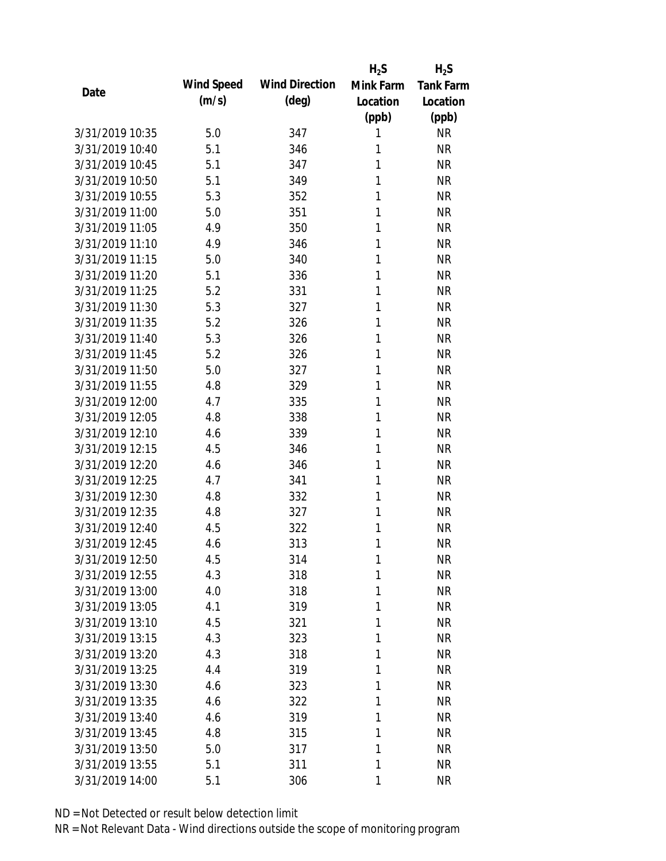|                 |            |                       | $H_2S$    | $H_2S$           |
|-----------------|------------|-----------------------|-----------|------------------|
| Date            | Wind Speed | <b>Wind Direction</b> | Mink Farm | <b>Tank Farm</b> |
|                 | (m/s)      | $(\text{deg})$        | Location  | Location         |
|                 |            |                       | (ppb)     | (ppb)            |
| 3/31/2019 10:35 | 5.0        | 347                   | 1         | <b>NR</b>        |
| 3/31/2019 10:40 | 5.1        | 346                   | 1         | <b>NR</b>        |
| 3/31/2019 10:45 | 5.1        | 347                   | 1         | <b>NR</b>        |
| 3/31/2019 10:50 | 5.1        | 349                   | 1         | <b>NR</b>        |
| 3/31/2019 10:55 | 5.3        | 352                   | 1         | <b>NR</b>        |
| 3/31/2019 11:00 | 5.0        | 351                   | 1         | <b>NR</b>        |
| 3/31/2019 11:05 | 4.9        | 350                   | 1         | <b>NR</b>        |
| 3/31/2019 11:10 | 4.9        | 346                   | 1         | <b>NR</b>        |
| 3/31/2019 11:15 | 5.0        | 340                   | 1         | <b>NR</b>        |
| 3/31/2019 11:20 | 5.1        | 336                   | 1         | <b>NR</b>        |
| 3/31/2019 11:25 | 5.2        | 331                   | 1         | <b>NR</b>        |
| 3/31/2019 11:30 | 5.3        | 327                   | 1         | <b>NR</b>        |
| 3/31/2019 11:35 | 5.2        | 326                   | 1         | <b>NR</b>        |
| 3/31/2019 11:40 | 5.3        | 326                   | 1         | <b>NR</b>        |
| 3/31/2019 11:45 | 5.2        | 326                   | 1         | <b>NR</b>        |
| 3/31/2019 11:50 | 5.0        | 327                   | 1         | <b>NR</b>        |
| 3/31/2019 11:55 | 4.8        | 329                   | 1         | <b>NR</b>        |
| 3/31/2019 12:00 | 4.7        | 335                   | 1         | <b>NR</b>        |
| 3/31/2019 12:05 | 4.8        | 338                   | 1         | <b>NR</b>        |
| 3/31/2019 12:10 | 4.6        | 339                   | 1         | <b>NR</b>        |
| 3/31/2019 12:15 | 4.5        | 346                   | 1         | <b>NR</b>        |
| 3/31/2019 12:20 | 4.6        | 346                   | 1         | <b>NR</b>        |
| 3/31/2019 12:25 | 4.7        | 341                   | 1         | <b>NR</b>        |
| 3/31/2019 12:30 | 4.8        | 332                   | 1         | <b>NR</b>        |
| 3/31/2019 12:35 | 4.8        | 327                   | 1         | <b>NR</b>        |
| 3/31/2019 12:40 | 4.5        | 322                   | 1         | <b>NR</b>        |
| 3/31/2019 12:45 | 4.6        | 313                   | 1         | <b>NR</b>        |
| 3/31/2019 12:50 | 4.5        | 314                   | 1         | <b>NR</b>        |
| 3/31/2019 12:55 | 4.3        | 318                   | 1         | <b>NR</b>        |
| 3/31/2019 13:00 | 4.0        | 318                   | 1         | <b>NR</b>        |
| 3/31/2019 13:05 | 4.1        | 319                   | 1         | <b>NR</b>        |
| 3/31/2019 13:10 | 4.5        | 321                   | 1         | <b>NR</b>        |
| 3/31/2019 13:15 | 4.3        | 323                   | 1         | <b>NR</b>        |
| 3/31/2019 13:20 | 4.3        | 318                   | 1         | <b>NR</b>        |
| 3/31/2019 13:25 | 4.4        | 319                   | 1         | <b>NR</b>        |
| 3/31/2019 13:30 | 4.6        | 323                   | 1         | <b>NR</b>        |
| 3/31/2019 13:35 | 4.6        | 322                   | 1         | <b>NR</b>        |
| 3/31/2019 13:40 | 4.6        | 319                   | 1         | <b>NR</b>        |
| 3/31/2019 13:45 | 4.8        | 315                   | 1         | <b>NR</b>        |
| 3/31/2019 13:50 | 5.0        | 317                   | 1         | <b>NR</b>        |
| 3/31/2019 13:55 | 5.1        | 311                   | 1         | <b>NR</b>        |
| 3/31/2019 14:00 | 5.1        | 306                   | 1         | <b>NR</b>        |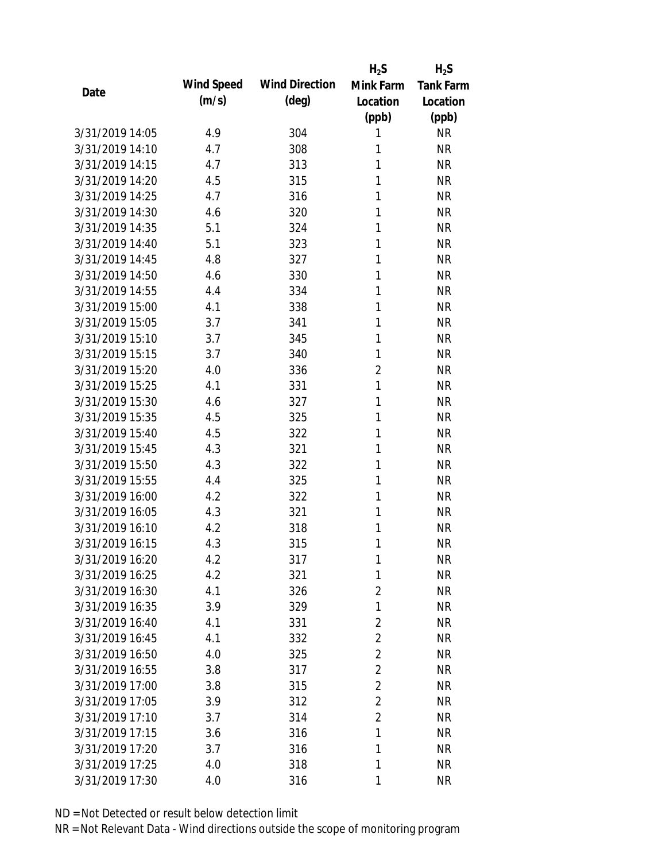|                 |            |                       | $H_2S$         | $H_2S$           |
|-----------------|------------|-----------------------|----------------|------------------|
| Date            | Wind Speed | <b>Wind Direction</b> | Mink Farm      | <b>Tank Farm</b> |
|                 | (m/s)      | $(\text{deg})$        | Location       | Location         |
|                 |            |                       | (ppb)          | (ppb)            |
| 3/31/2019 14:05 | 4.9        | 304                   | 1              | <b>NR</b>        |
| 3/31/2019 14:10 | 4.7        | 308                   | 1              | <b>NR</b>        |
| 3/31/2019 14:15 | 4.7        | 313                   | 1              | <b>NR</b>        |
| 3/31/2019 14:20 | 4.5        | 315                   | 1              | <b>NR</b>        |
| 3/31/2019 14:25 | 4.7        | 316                   | 1              | <b>NR</b>        |
| 3/31/2019 14:30 | 4.6        | 320                   | 1              | <b>NR</b>        |
| 3/31/2019 14:35 | 5.1        | 324                   | 1              | <b>NR</b>        |
| 3/31/2019 14:40 | 5.1        | 323                   | 1              | <b>NR</b>        |
| 3/31/2019 14:45 | 4.8        | 327                   | 1              | <b>NR</b>        |
| 3/31/2019 14:50 | 4.6        | 330                   | 1              | <b>NR</b>        |
| 3/31/2019 14:55 | 4.4        | 334                   | 1              | <b>NR</b>        |
| 3/31/2019 15:00 | 4.1        | 338                   | 1              | <b>NR</b>        |
| 3/31/2019 15:05 | 3.7        | 341                   | 1              | <b>NR</b>        |
| 3/31/2019 15:10 | 3.7        | 345                   | 1              | <b>NR</b>        |
| 3/31/2019 15:15 | 3.7        | 340                   | 1              | <b>NR</b>        |
| 3/31/2019 15:20 | 4.0        | 336                   | $\overline{2}$ | <b>NR</b>        |
| 3/31/2019 15:25 | 4.1        | 331                   | 1              | <b>NR</b>        |
| 3/31/2019 15:30 | 4.6        | 327                   | 1              | <b>NR</b>        |
| 3/31/2019 15:35 | 4.5        | 325                   | 1              | <b>NR</b>        |
| 3/31/2019 15:40 | 4.5        | 322                   | 1              | <b>NR</b>        |
| 3/31/2019 15:45 | 4.3        | 321                   | 1              | <b>NR</b>        |
| 3/31/2019 15:50 | 4.3        | 322                   | 1              | <b>NR</b>        |
| 3/31/2019 15:55 | 4.4        | 325                   | 1              | <b>NR</b>        |
| 3/31/2019 16:00 | 4.2        | 322                   | 1              | <b>NR</b>        |
| 3/31/2019 16:05 | 4.3        | 321                   | 1              | <b>NR</b>        |
| 3/31/2019 16:10 | 4.2        | 318                   | 1              | <b>NR</b>        |
| 3/31/2019 16:15 | 4.3        | 315                   | 1              | <b>NR</b>        |
| 3/31/2019 16:20 | 4.2        | 317                   | 1              | <b>NR</b>        |
| 3/31/2019 16:25 | 4.2        | 321                   | 1              | <b>NR</b>        |
| 3/31/2019 16:30 | 4.1        | 326                   | $\overline{2}$ | <b>NR</b>        |
| 3/31/2019 16:35 | 3.9        | 329                   | 1              | <b>NR</b>        |
| 3/31/2019 16:40 | 4.1        | 331                   | $\overline{2}$ | <b>NR</b>        |
| 3/31/2019 16:45 | 4.1        | 332                   | $\overline{2}$ | <b>NR</b>        |
| 3/31/2019 16:50 | 4.0        | 325                   | $\overline{2}$ | <b>NR</b>        |
| 3/31/2019 16:55 | 3.8        | 317                   | $\overline{2}$ | <b>NR</b>        |
| 3/31/2019 17:00 | 3.8        | 315                   | $\overline{2}$ | <b>NR</b>        |
| 3/31/2019 17:05 | 3.9        | 312                   | 2              | <b>NR</b>        |
| 3/31/2019 17:10 | 3.7        | 314                   | $\overline{2}$ | <b>NR</b>        |
| 3/31/2019 17:15 | 3.6        | 316                   | 1              | <b>NR</b>        |
| 3/31/2019 17:20 | 3.7        | 316                   | 1              | <b>NR</b>        |
| 3/31/2019 17:25 | 4.0        | 318                   | 1              | <b>NR</b>        |
| 3/31/2019 17:30 | 4.0        | 316                   | 1              | <b>NR</b>        |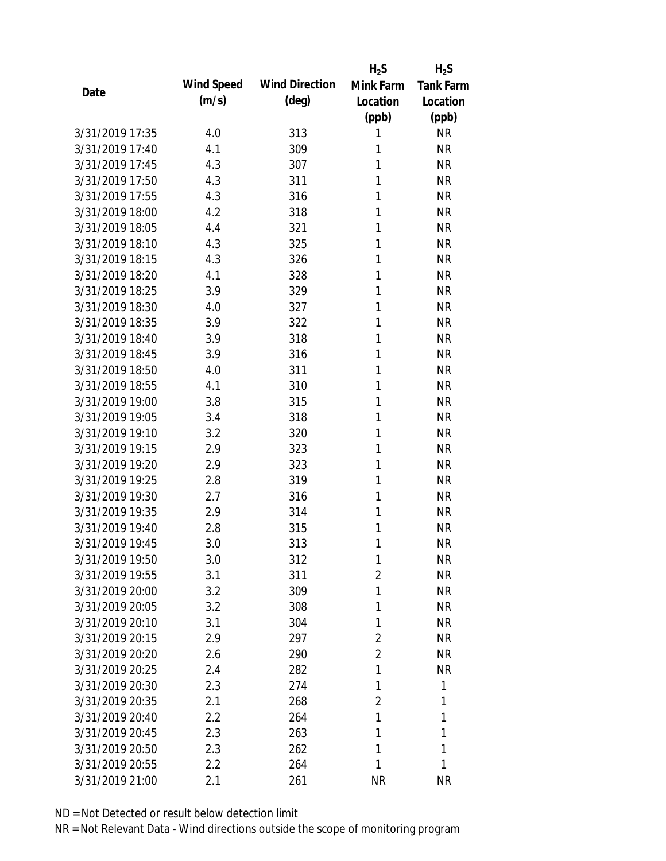|                 |            |                       | $H_2S$         | $H_2S$           |
|-----------------|------------|-----------------------|----------------|------------------|
| Date            | Wind Speed | <b>Wind Direction</b> | Mink Farm      | <b>Tank Farm</b> |
|                 | (m/s)      | $(\text{deg})$        | Location       | Location         |
|                 |            |                       | (ppb)          | (ppb)            |
| 3/31/2019 17:35 | 4.0        | 313                   | 1              | <b>NR</b>        |
| 3/31/2019 17:40 | 4.1        | 309                   | 1              | <b>NR</b>        |
| 3/31/2019 17:45 | 4.3        | 307                   | 1              | <b>NR</b>        |
| 3/31/2019 17:50 | 4.3        | 311                   | 1              | <b>NR</b>        |
| 3/31/2019 17:55 | 4.3        | 316                   | 1              | <b>NR</b>        |
| 3/31/2019 18:00 | 4.2        | 318                   | 1              | <b>NR</b>        |
| 3/31/2019 18:05 | 4.4        | 321                   | 1              | <b>NR</b>        |
| 3/31/2019 18:10 | 4.3        | 325                   | 1              | <b>NR</b>        |
| 3/31/2019 18:15 | 4.3        | 326                   | 1              | <b>NR</b>        |
| 3/31/2019 18:20 | 4.1        | 328                   | 1              | <b>NR</b>        |
| 3/31/2019 18:25 | 3.9        | 329                   | 1              | <b>NR</b>        |
| 3/31/2019 18:30 | 4.0        | 327                   | 1              | <b>NR</b>        |
| 3/31/2019 18:35 | 3.9        | 322                   | 1              | <b>NR</b>        |
| 3/31/2019 18:40 | 3.9        | 318                   | 1              | <b>NR</b>        |
| 3/31/2019 18:45 | 3.9        | 316                   | 1              | <b>NR</b>        |
| 3/31/2019 18:50 | 4.0        | 311                   | 1              | <b>NR</b>        |
| 3/31/2019 18:55 | 4.1        | 310                   | 1              | <b>NR</b>        |
| 3/31/2019 19:00 | 3.8        | 315                   | 1              | <b>NR</b>        |
| 3/31/2019 19:05 | 3.4        | 318                   | 1              | <b>NR</b>        |
| 3/31/2019 19:10 | 3.2        | 320                   | 1              | <b>NR</b>        |
| 3/31/2019 19:15 | 2.9        | 323                   | 1              | <b>NR</b>        |
| 3/31/2019 19:20 | 2.9        | 323                   | 1              | <b>NR</b>        |
| 3/31/2019 19:25 | 2.8        | 319                   | 1              | <b>NR</b>        |
| 3/31/2019 19:30 | 2.7        | 316                   | 1              | <b>NR</b>        |
| 3/31/2019 19:35 | 2.9        | 314                   | 1              | <b>NR</b>        |
| 3/31/2019 19:40 | 2.8        | 315                   | 1              | <b>NR</b>        |
| 3/31/2019 19:45 | 3.0        | 313                   | 1              | <b>NR</b>        |
| 3/31/2019 19:50 | 3.0        | 312                   | 1              | <b>NR</b>        |
| 3/31/2019 19:55 | 3.1        | 311                   | $\overline{2}$ | <b>NR</b>        |
| 3/31/2019 20:00 | 3.2        | 309                   | 1              | <b>NR</b>        |
| 3/31/2019 20:05 | 3.2        | 308                   | 1              | <b>NR</b>        |
| 3/31/2019 20:10 | 3.1        | 304                   | 1              | <b>NR</b>        |
| 3/31/2019 20:15 | 2.9        | 297                   | 2              | <b>NR</b>        |
| 3/31/2019 20:20 | 2.6        | 290                   | $\overline{2}$ | <b>NR</b>        |
| 3/31/2019 20:25 | 2.4        | 282                   | 1              | <b>NR</b>        |
| 3/31/2019 20:30 | 2.3        | 274                   | 1              | 1                |
| 3/31/2019 20:35 | 2.1        | 268                   | $\overline{2}$ | 1                |
| 3/31/2019 20:40 | 2.2        | 264                   | 1              | 1                |
| 3/31/2019 20:45 | 2.3        | 263                   | 1              | 1                |
| 3/31/2019 20:50 | 2.3        | 262                   | 1              | 1                |
| 3/31/2019 20:55 | 2.2        | 264                   | 1              | 1                |
| 3/31/2019 21:00 | 2.1        | 261                   | <b>NR</b>      | <b>NR</b>        |
|                 |            |                       |                |                  |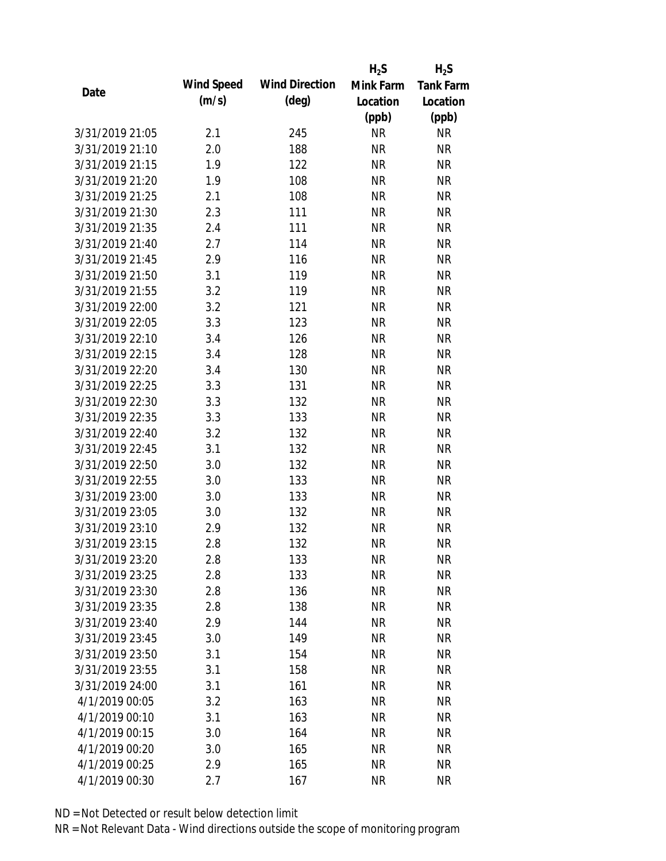|                 |            |                       | $H_2S$    | $H_2S$           |
|-----------------|------------|-----------------------|-----------|------------------|
|                 | Wind Speed | <b>Wind Direction</b> | Mink Farm | <b>Tank Farm</b> |
| Date            | (m/s)      | $(\text{deg})$        | Location  | Location         |
|                 |            |                       | (ppb)     | (ppb)            |
| 3/31/2019 21:05 | 2.1        | 245                   | <b>NR</b> | <b>NR</b>        |
| 3/31/2019 21:10 | 2.0        | 188                   | <b>NR</b> | <b>NR</b>        |
| 3/31/2019 21:15 | 1.9        | 122                   | <b>NR</b> | <b>NR</b>        |
| 3/31/2019 21:20 | 1.9        | 108                   | <b>NR</b> | <b>NR</b>        |
| 3/31/2019 21:25 | 2.1        | 108                   | <b>NR</b> | <b>NR</b>        |
| 3/31/2019 21:30 | 2.3        | 111                   | <b>NR</b> | <b>NR</b>        |
| 3/31/2019 21:35 | 2.4        | 111                   | <b>NR</b> | <b>NR</b>        |
| 3/31/2019 21:40 | 2.7        | 114                   | <b>NR</b> | <b>NR</b>        |
| 3/31/2019 21:45 | 2.9        | 116                   | <b>NR</b> | <b>NR</b>        |
| 3/31/2019 21:50 | 3.1        | 119                   | <b>NR</b> | <b>NR</b>        |
| 3/31/2019 21:55 | 3.2        | 119                   | <b>NR</b> | <b>NR</b>        |
| 3/31/2019 22:00 | 3.2        | 121                   | <b>NR</b> | <b>NR</b>        |
| 3/31/2019 22:05 | 3.3        | 123                   | <b>NR</b> | <b>NR</b>        |
| 3/31/2019 22:10 | 3.4        | 126                   | <b>NR</b> | <b>NR</b>        |
| 3/31/2019 22:15 | 3.4        | 128                   | <b>NR</b> | <b>NR</b>        |
| 3/31/2019 22:20 | 3.4        | 130                   | <b>NR</b> | <b>NR</b>        |
| 3/31/2019 22:25 | 3.3        | 131                   | <b>NR</b> | <b>NR</b>        |
| 3/31/2019 22:30 | 3.3        | 132                   | <b>NR</b> | <b>NR</b>        |
| 3/31/2019 22:35 | 3.3        | 133                   | <b>NR</b> | <b>NR</b>        |
| 3/31/2019 22:40 | 3.2        | 132                   | <b>NR</b> | <b>NR</b>        |
| 3/31/2019 22:45 | 3.1        | 132                   | <b>NR</b> | <b>NR</b>        |
| 3/31/2019 22:50 | 3.0        | 132                   | <b>NR</b> | <b>NR</b>        |
| 3/31/2019 22:55 | 3.0        | 133                   | <b>NR</b> | <b>NR</b>        |
| 3/31/2019 23:00 | 3.0        | 133                   | <b>NR</b> | <b>NR</b>        |
| 3/31/2019 23:05 | 3.0        | 132                   | <b>NR</b> | <b>NR</b>        |
| 3/31/2019 23:10 | 2.9        | 132                   | <b>NR</b> | <b>NR</b>        |
| 3/31/2019 23:15 | 2.8        | 132                   | <b>NR</b> | <b>NR</b>        |
| 3/31/2019 23:20 | 2.8        | 133                   | <b>NR</b> | <b>NR</b>        |
| 3/31/2019 23:25 | 2.8        | 133                   | <b>NR</b> | <b>NR</b>        |
| 3/31/2019 23:30 | 2.8        | 136                   | NR        | <b>NR</b>        |
| 3/31/2019 23:35 | 2.8        | 138                   | <b>NR</b> | <b>NR</b>        |
| 3/31/2019 23:40 | 2.9        | 144                   | <b>NR</b> | <b>NR</b>        |
| 3/31/2019 23:45 | 3.0        | 149                   | <b>NR</b> | <b>NR</b>        |
| 3/31/2019 23:50 | 3.1        | 154                   | <b>NR</b> | <b>NR</b>        |
| 3/31/2019 23:55 | 3.1        | 158                   | <b>NR</b> | <b>NR</b>        |
| 3/31/2019 24:00 | 3.1        | 161                   | <b>NR</b> | <b>NR</b>        |
| 4/1/2019 00:05  | 3.2        | 163                   | <b>NR</b> | <b>NR</b>        |
| 4/1/2019 00:10  | 3.1        | 163                   | <b>NR</b> | <b>NR</b>        |
| 4/1/2019 00:15  | 3.0        | 164                   | <b>NR</b> | <b>NR</b>        |
| 4/1/2019 00:20  | 3.0        | 165                   | <b>NR</b> | <b>NR</b>        |
| 4/1/2019 00:25  | 2.9        | 165                   | <b>NR</b> | <b>NR</b>        |
| 4/1/2019 00:30  | 2.7        | 167                   | <b>NR</b> | <b>NR</b>        |
|                 |            |                       |           |                  |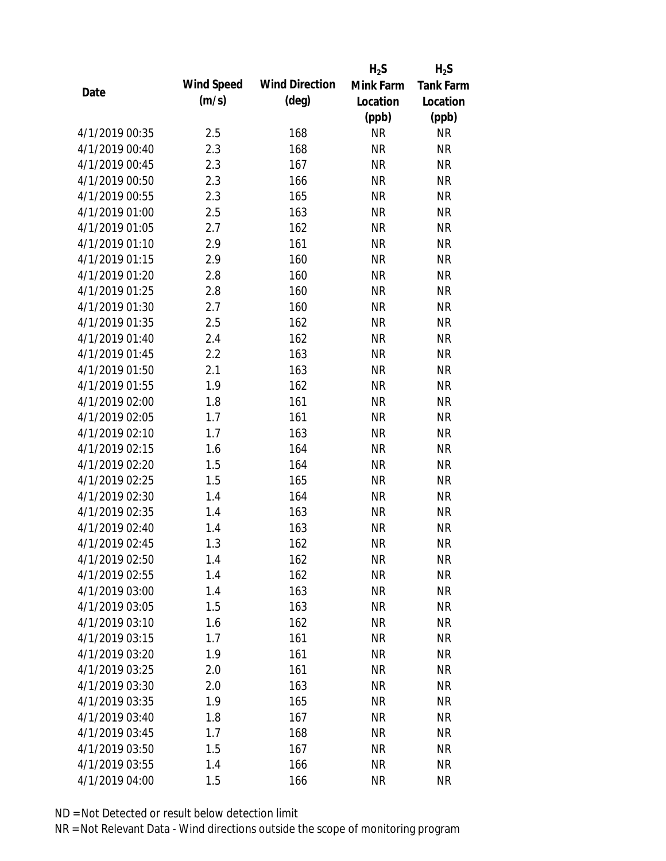|                |            |                       | $H_2S$    | $H_2S$           |
|----------------|------------|-----------------------|-----------|------------------|
| Date           | Wind Speed | <b>Wind Direction</b> | Mink Farm | <b>Tank Farm</b> |
|                | (m/s)      | $(\text{deg})$        | Location  | Location         |
|                |            |                       | (ppb)     | (ppb)            |
| 4/1/2019 00:35 | 2.5        | 168                   | <b>NR</b> | <b>NR</b>        |
| 4/1/2019 00:40 | 2.3        | 168                   | <b>NR</b> | <b>NR</b>        |
| 4/1/2019 00:45 | 2.3        | 167                   | <b>NR</b> | <b>NR</b>        |
| 4/1/2019 00:50 | 2.3        | 166                   | <b>NR</b> | <b>NR</b>        |
| 4/1/2019 00:55 | 2.3        | 165                   | <b>NR</b> | <b>NR</b>        |
| 4/1/2019 01:00 | 2.5        | 163                   | <b>NR</b> | <b>NR</b>        |
| 4/1/2019 01:05 | 2.7        | 162                   | <b>NR</b> | <b>NR</b>        |
| 4/1/2019 01:10 | 2.9        | 161                   | <b>NR</b> | <b>NR</b>        |
| 4/1/2019 01:15 | 2.9        | 160                   | <b>NR</b> | <b>NR</b>        |
| 4/1/2019 01:20 | 2.8        | 160                   | <b>NR</b> | <b>NR</b>        |
| 4/1/2019 01:25 | 2.8        | 160                   | <b>NR</b> | <b>NR</b>        |
| 4/1/2019 01:30 | 2.7        | 160                   | <b>NR</b> | <b>NR</b>        |
| 4/1/2019 01:35 | 2.5        | 162                   | <b>NR</b> | <b>NR</b>        |
| 4/1/2019 01:40 | 2.4        | 162                   | <b>NR</b> | <b>NR</b>        |
| 4/1/2019 01:45 | 2.2        | 163                   | <b>NR</b> | <b>NR</b>        |
| 4/1/2019 01:50 | 2.1        | 163                   | <b>NR</b> | <b>NR</b>        |
| 4/1/2019 01:55 | 1.9        | 162                   | <b>NR</b> | <b>NR</b>        |
| 4/1/2019 02:00 | 1.8        | 161                   | <b>NR</b> | <b>NR</b>        |
| 4/1/2019 02:05 | 1.7        | 161                   | <b>NR</b> | <b>NR</b>        |
| 4/1/2019 02:10 | 1.7        | 163                   | <b>NR</b> | <b>NR</b>        |
| 4/1/2019 02:15 | 1.6        | 164                   | <b>NR</b> | <b>NR</b>        |
| 4/1/2019 02:20 | 1.5        | 164                   | <b>NR</b> | <b>NR</b>        |
| 4/1/2019 02:25 | 1.5        | 165                   | <b>NR</b> | <b>NR</b>        |
| 4/1/2019 02:30 | 1.4        | 164                   | <b>NR</b> | <b>NR</b>        |
| 4/1/2019 02:35 | 1.4        | 163                   | <b>NR</b> | <b>NR</b>        |
| 4/1/2019 02:40 | 1.4        | 163                   | <b>NR</b> | <b>NR</b>        |
| 4/1/2019 02:45 | 1.3        | 162                   | <b>NR</b> | <b>NR</b>        |
| 4/1/2019 02:50 | 1.4        | 162                   | <b>NR</b> | <b>NR</b>        |
| 4/1/2019 02:55 | 1.4        | 162                   | <b>NR</b> | <b>NR</b>        |
| 4/1/2019 03:00 | 1.4        | 163                   | <b>NR</b> | <b>NR</b>        |
| 4/1/2019 03:05 | 1.5        | 163                   | <b>NR</b> | <b>NR</b>        |
| 4/1/2019 03:10 | 1.6        | 162                   | <b>NR</b> | <b>NR</b>        |
| 4/1/2019 03:15 | 1.7        | 161                   | <b>NR</b> | <b>NR</b>        |
| 4/1/2019 03:20 | 1.9        | 161                   | <b>NR</b> | <b>NR</b>        |
| 4/1/2019 03:25 | 2.0        | 161                   | <b>NR</b> | <b>NR</b>        |
| 4/1/2019 03:30 | 2.0        | 163                   | <b>NR</b> | <b>NR</b>        |
| 4/1/2019 03:35 | 1.9        | 165                   | <b>NR</b> | <b>NR</b>        |
| 4/1/2019 03:40 | 1.8        | 167                   | <b>NR</b> | <b>NR</b>        |
| 4/1/2019 03:45 | 1.7        | 168                   | <b>NR</b> | <b>NR</b>        |
| 4/1/2019 03:50 | 1.5        | 167                   | <b>NR</b> | <b>NR</b>        |
| 4/1/2019 03:55 | 1.4        | 166                   | <b>NR</b> | <b>NR</b>        |
| 4/1/2019 04:00 | 1.5        | 166                   | <b>NR</b> | <b>NR</b>        |
|                |            |                       |           |                  |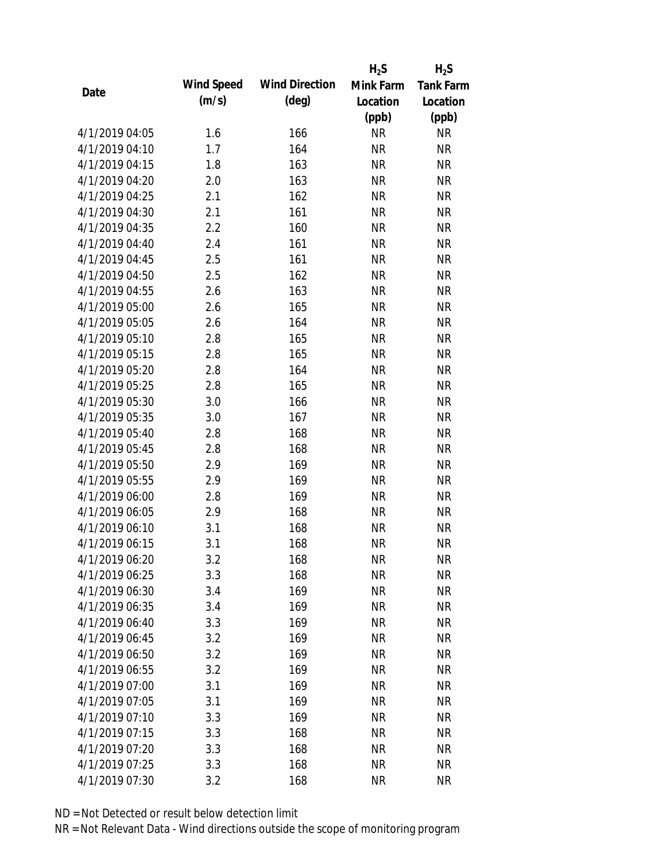|                |            |                       | $H_2S$    | $H_2S$           |
|----------------|------------|-----------------------|-----------|------------------|
|                | Wind Speed | <b>Wind Direction</b> | Mink Farm | <b>Tank Farm</b> |
| Date           | (m/s)      | $(\text{deg})$        | Location  | Location         |
|                |            |                       | (ppb)     | (ppb)            |
| 4/1/2019 04:05 | 1.6        | 166                   | <b>NR</b> | <b>NR</b>        |
| 4/1/2019 04:10 | 1.7        | 164                   | <b>NR</b> | <b>NR</b>        |
| 4/1/2019 04:15 | 1.8        | 163                   | <b>NR</b> | <b>NR</b>        |
| 4/1/2019 04:20 | 2.0        | 163                   | <b>NR</b> | <b>NR</b>        |
| 4/1/2019 04:25 | 2.1        | 162                   | <b>NR</b> | <b>NR</b>        |
| 4/1/2019 04:30 | 2.1        | 161                   | <b>NR</b> | <b>NR</b>        |
| 4/1/2019 04:35 | 2.2        | 160                   | <b>NR</b> | <b>NR</b>        |
| 4/1/2019 04:40 | 2.4        | 161                   | <b>NR</b> | <b>NR</b>        |
| 4/1/2019 04:45 | 2.5        | 161                   | <b>NR</b> | <b>NR</b>        |
| 4/1/2019 04:50 | 2.5        | 162                   | <b>NR</b> | <b>NR</b>        |
| 4/1/2019 04:55 | 2.6        | 163                   | <b>NR</b> | <b>NR</b>        |
| 4/1/2019 05:00 | 2.6        | 165                   | <b>NR</b> | <b>NR</b>        |
| 4/1/2019 05:05 | 2.6        | 164                   | <b>NR</b> | <b>NR</b>        |
| 4/1/2019 05:10 | 2.8        | 165                   | <b>NR</b> | <b>NR</b>        |
| 4/1/2019 05:15 | 2.8        | 165                   | <b>NR</b> | <b>NR</b>        |
| 4/1/2019 05:20 | 2.8        | 164                   | <b>NR</b> | <b>NR</b>        |
| 4/1/2019 05:25 | 2.8        | 165                   | <b>NR</b> | <b>NR</b>        |
| 4/1/2019 05:30 | 3.0        | 166                   | <b>NR</b> | <b>NR</b>        |
| 4/1/2019 05:35 | 3.0        | 167                   | <b>NR</b> | <b>NR</b>        |
| 4/1/2019 05:40 | 2.8        | 168                   | <b>NR</b> | <b>NR</b>        |
| 4/1/2019 05:45 | 2.8        | 168                   | <b>NR</b> | <b>NR</b>        |
| 4/1/2019 05:50 | 2.9        | 169                   | <b>NR</b> | <b>NR</b>        |
| 4/1/2019 05:55 | 2.9        | 169                   | <b>NR</b> | <b>NR</b>        |
| 4/1/2019 06:00 | 2.8        | 169                   | <b>NR</b> | <b>NR</b>        |
| 4/1/2019 06:05 | 2.9        | 168                   | <b>NR</b> | <b>NR</b>        |
| 4/1/2019 06:10 | 3.1        | 168                   | <b>NR</b> | <b>NR</b>        |
| 4/1/2019 06:15 | 3.1        | 168                   | <b>NR</b> | <b>NR</b>        |
| 4/1/2019 06:20 | 3.2        | 168                   | <b>NR</b> | <b>NR</b>        |
| 4/1/2019 06:25 | 3.3        | 168                   | <b>NR</b> | <b>NR</b>        |
| 4/1/2019 06:30 | 3.4        | 169                   | <b>NR</b> | <b>NR</b>        |
| 4/1/2019 06:35 | 3.4        | 169                   | <b>NR</b> | <b>NR</b>        |
| 4/1/2019 06:40 | 3.3        | 169                   | <b>NR</b> | <b>NR</b>        |
| 4/1/2019 06:45 | 3.2        | 169                   | <b>NR</b> | <b>NR</b>        |
| 4/1/2019 06:50 | 3.2        | 169                   | <b>NR</b> | <b>NR</b>        |
| 4/1/2019 06:55 | 3.2        | 169                   | <b>NR</b> | <b>NR</b>        |
| 4/1/2019 07:00 | 3.1        | 169                   | <b>NR</b> | <b>NR</b>        |
| 4/1/2019 07:05 | 3.1        | 169                   | <b>NR</b> | <b>NR</b>        |
| 4/1/2019 07:10 | 3.3        | 169                   | <b>NR</b> | <b>NR</b>        |
| 4/1/2019 07:15 | 3.3        | 168                   | <b>NR</b> | <b>NR</b>        |
| 4/1/2019 07:20 | 3.3        | 168                   | <b>NR</b> | <b>NR</b>        |
| 4/1/2019 07:25 | 3.3        | 168                   | <b>NR</b> | <b>NR</b>        |
| 4/1/2019 07:30 | 3.2        | 168                   | <b>NR</b> | <b>NR</b>        |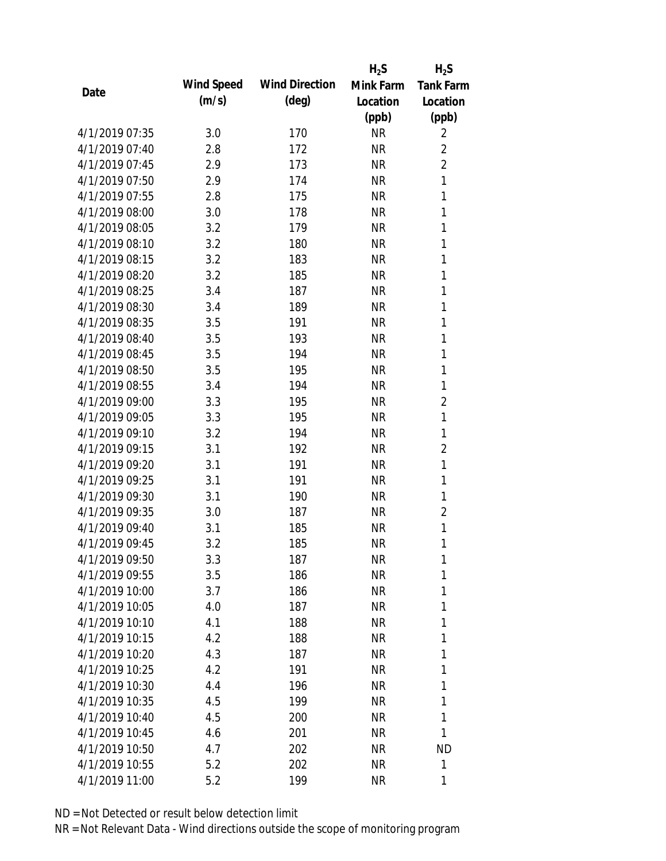|                |            |                       | $H_2S$    | $H_2S$           |
|----------------|------------|-----------------------|-----------|------------------|
| Date           | Wind Speed | <b>Wind Direction</b> | Mink Farm | <b>Tank Farm</b> |
|                | (m/s)      | $(\text{deg})$        | Location  | Location         |
|                |            |                       | (ppb)     | (ppb)            |
| 4/1/2019 07:35 | 3.0        | 170                   | <b>NR</b> | 2                |
| 4/1/2019 07:40 | 2.8        | 172                   | <b>NR</b> | $\overline{2}$   |
| 4/1/2019 07:45 | 2.9        | 173                   | <b>NR</b> | $\overline{2}$   |
| 4/1/2019 07:50 | 2.9        | 174                   | <b>NR</b> | $\mathbf{1}$     |
| 4/1/2019 07:55 | 2.8        | 175                   | <b>NR</b> | 1                |
| 4/1/2019 08:00 | 3.0        | 178                   | <b>NR</b> | 1                |
| 4/1/2019 08:05 | 3.2        | 179                   | <b>NR</b> | 1                |
| 4/1/2019 08:10 | 3.2        | 180                   | <b>NR</b> | 1                |
| 4/1/2019 08:15 | 3.2        | 183                   | <b>NR</b> | 1                |
| 4/1/2019 08:20 | 3.2        | 185                   | <b>NR</b> | 1                |
| 4/1/2019 08:25 | 3.4        | 187                   | <b>NR</b> | 1                |
| 4/1/2019 08:30 | 3.4        | 189                   | <b>NR</b> | 1                |
| 4/1/2019 08:35 | 3.5        | 191                   | <b>NR</b> | 1                |
| 4/1/2019 08:40 | 3.5        | 193                   | <b>NR</b> | 1                |
| 4/1/2019 08:45 | 3.5        | 194                   | <b>NR</b> | 1                |
| 4/1/2019 08:50 | 3.5        | 195                   | <b>NR</b> | 1                |
| 4/1/2019 08:55 | 3.4        | 194                   | <b>NR</b> | 1                |
| 4/1/2019 09:00 | 3.3        | 195                   | <b>NR</b> | $\overline{2}$   |
| 4/1/2019 09:05 | 3.3        | 195                   | <b>NR</b> | 1                |
| 4/1/2019 09:10 | 3.2        | 194                   | <b>NR</b> | 1                |
| 4/1/2019 09:15 | 3.1        | 192                   | <b>NR</b> | $\overline{2}$   |
| 4/1/2019 09:20 | 3.1        | 191                   | <b>NR</b> | 1                |
| 4/1/2019 09:25 | 3.1        | 191                   | <b>NR</b> | 1                |
| 4/1/2019 09:30 | 3.1        | 190                   | <b>NR</b> | 1                |
| 4/1/2019 09:35 | 3.0        | 187                   | <b>NR</b> | 2                |
| 4/1/2019 09:40 | 3.1        | 185                   | <b>NR</b> | 1                |
| 4/1/2019 09:45 | 3.2        | 185                   | <b>NR</b> | 1                |
| 4/1/2019 09:50 | 3.3        | 187                   | <b>NR</b> | 1                |
| 4/1/2019 09:55 | 3.5        | 186                   | <b>NR</b> | 1                |
| 4/1/2019 10:00 | 3.7        | 186                   | <b>NR</b> | 1                |
| 4/1/2019 10:05 | 4.0        | 187                   | <b>NR</b> | 1                |
| 4/1/2019 10:10 | 4.1        | 188                   | <b>NR</b> | 1                |
| 4/1/2019 10:15 | 4.2        | 188                   | <b>NR</b> | 1                |
| 4/1/2019 10:20 | 4.3        | 187                   | <b>NR</b> | 1                |
| 4/1/2019 10:25 | 4.2        | 191                   | <b>NR</b> | 1                |
| 4/1/2019 10:30 | 4.4        | 196                   | <b>NR</b> | 1                |
| 4/1/2019 10:35 | 4.5        | 199                   | <b>NR</b> | 1                |
| 4/1/2019 10:40 | 4.5        | 200                   | NR        | 1                |
| 4/1/2019 10:45 | 4.6        | 201                   | <b>NR</b> | 1                |
| 4/1/2019 10:50 | 4.7        | 202                   | <b>NR</b> | <b>ND</b>        |
| 4/1/2019 10:55 | 5.2        | 202                   | <b>NR</b> | 1                |
| 4/1/2019 11:00 | 5.2        | 199                   | <b>NR</b> | 1                |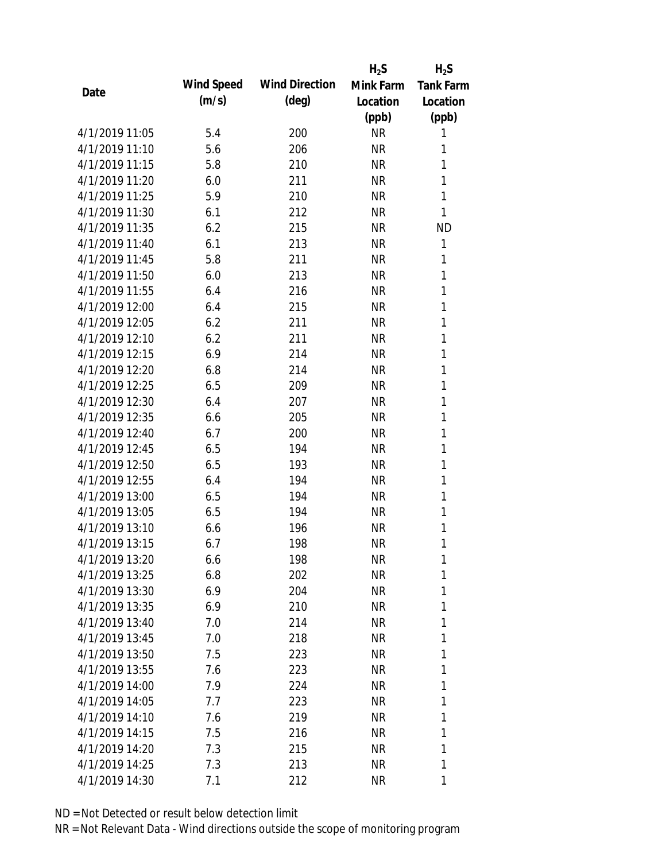|                |            |                       | $H_2S$    | $H_2S$           |
|----------------|------------|-----------------------|-----------|------------------|
|                | Wind Speed | <b>Wind Direction</b> | Mink Farm | <b>Tank Farm</b> |
| Date           | (m/s)      | $(\text{deg})$        | Location  | Location         |
|                |            |                       | (ppb)     | (ppb)            |
| 4/1/2019 11:05 | 5.4        | 200                   | <b>NR</b> | 1                |
| 4/1/2019 11:10 | 5.6        | 206                   | <b>NR</b> | 1                |
| 4/1/2019 11:15 | 5.8        | 210                   | <b>NR</b> | 1                |
| 4/1/2019 11:20 | 6.0        | 211                   | <b>NR</b> | 1                |
| 4/1/2019 11:25 | 5.9        | 210                   | <b>NR</b> | 1                |
| 4/1/2019 11:30 | 6.1        | 212                   | <b>NR</b> | 1                |
| 4/1/2019 11:35 | 6.2        | 215                   | <b>NR</b> | <b>ND</b>        |
| 4/1/2019 11:40 | 6.1        | 213                   | <b>NR</b> | 1                |
| 4/1/2019 11:45 | 5.8        | 211                   | <b>NR</b> | 1                |
| 4/1/2019 11:50 | 6.0        | 213                   | <b>NR</b> | 1                |
| 4/1/2019 11:55 | 6.4        | 216                   | <b>NR</b> | 1                |
| 4/1/2019 12:00 | 6.4        | 215                   | <b>NR</b> | 1                |
| 4/1/2019 12:05 | 6.2        | 211                   | <b>NR</b> | 1                |
| 4/1/2019 12:10 | 6.2        | 211                   | <b>NR</b> | 1                |
| 4/1/2019 12:15 | 6.9        | 214                   | <b>NR</b> | 1                |
| 4/1/2019 12:20 | 6.8        | 214                   | <b>NR</b> | 1                |
| 4/1/2019 12:25 | 6.5        | 209                   | <b>NR</b> | 1                |
| 4/1/2019 12:30 | 6.4        | 207                   | <b>NR</b> | $\mathbf{1}$     |
| 4/1/2019 12:35 | 6.6        | 205                   | <b>NR</b> | 1                |
| 4/1/2019 12:40 | 6.7        | 200                   | <b>NR</b> | 1                |
| 4/1/2019 12:45 | 6.5        | 194                   | <b>NR</b> | 1                |
| 4/1/2019 12:50 | 6.5        | 193                   | <b>NR</b> | 1                |
| 4/1/2019 12:55 | 6.4        | 194                   | <b>NR</b> | $\mathbf{1}$     |
| 4/1/2019 13:00 | 6.5        | 194                   | <b>NR</b> | 1                |
| 4/1/2019 13:05 | 6.5        | 194                   | <b>NR</b> | 1                |
| 4/1/2019 13:10 | 6.6        | 196                   | <b>NR</b> | 1                |
| 4/1/2019 13:15 | 6.7        | 198                   | <b>NR</b> | 1                |
| 4/1/2019 13:20 | 6.6        | 198                   | <b>NR</b> | 1                |
| 4/1/2019 13:25 | 6.8        | 202                   | <b>NR</b> | 1                |
| 4/1/2019 13:30 | 6.9        | 204                   | <b>NR</b> | 1                |
| 4/1/2019 13:35 | 6.9        | 210                   | <b>NR</b> | 1                |
| 4/1/2019 13:40 | 7.0        | 214                   | <b>NR</b> | 1                |
| 4/1/2019 13:45 | 7.0        | 218                   | <b>NR</b> | 1                |
| 4/1/2019 13:50 | 7.5        | 223                   | <b>NR</b> | 1                |
| 4/1/2019 13:55 | 7.6        | 223                   | <b>NR</b> | 1                |
| 4/1/2019 14:00 | 7.9        | 224                   | <b>NR</b> | 1                |
| 4/1/2019 14:05 | 7.7        | 223                   | <b>NR</b> | 1                |
| 4/1/2019 14:10 | 7.6        | 219                   | NR        | 1                |
| 4/1/2019 14:15 | 7.5        | 216                   | <b>NR</b> | 1                |
| 4/1/2019 14:20 | 7.3        | 215                   | <b>NR</b> | 1                |
| 4/1/2019 14:25 | 7.3        | 213                   | <b>NR</b> | 1                |
| 4/1/2019 14:30 | 7.1        | 212                   | <b>NR</b> | 1                |
|                |            |                       |           |                  |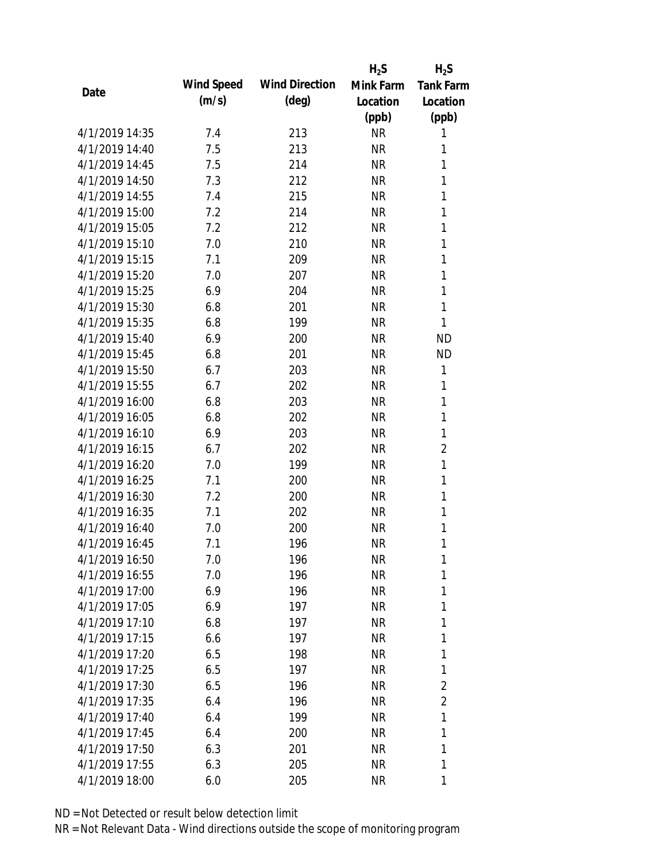|                |            |                       | $H_2S$    | $H_2S$           |
|----------------|------------|-----------------------|-----------|------------------|
|                | Wind Speed | <b>Wind Direction</b> | Mink Farm | <b>Tank Farm</b> |
| Date           | (m/s)      | $(\text{deg})$        | Location  | Location         |
|                |            |                       | (ppb)     | (ppb)            |
| 4/1/2019 14:35 | 7.4        | 213                   | <b>NR</b> | 1                |
| 4/1/2019 14:40 | 7.5        | 213                   | <b>NR</b> | 1                |
| 4/1/2019 14:45 | 7.5        | 214                   | <b>NR</b> | 1                |
| 4/1/2019 14:50 | 7.3        | 212                   | <b>NR</b> | 1                |
| 4/1/2019 14:55 | 7.4        | 215                   | <b>NR</b> | 1                |
| 4/1/2019 15:00 | 7.2        | 214                   | <b>NR</b> | 1                |
| 4/1/2019 15:05 | 7.2        | 212                   | <b>NR</b> | 1                |
| 4/1/2019 15:10 | 7.0        | 210                   | <b>NR</b> | 1                |
| 4/1/2019 15:15 | 7.1        | 209                   | <b>NR</b> | 1                |
| 4/1/2019 15:20 | 7.0        | 207                   | <b>NR</b> | 1                |
| 4/1/2019 15:25 | 6.9        | 204                   | <b>NR</b> | 1                |
| 4/1/2019 15:30 | 6.8        | 201                   | <b>NR</b> | 1                |
| 4/1/2019 15:35 | 6.8        | 199                   | <b>NR</b> | 1                |
| 4/1/2019 15:40 | 6.9        | 200                   | <b>NR</b> | <b>ND</b>        |
| 4/1/2019 15:45 | 6.8        | 201                   | <b>NR</b> | <b>ND</b>        |
| 4/1/2019 15:50 | 6.7        | 203                   | <b>NR</b> | 1                |
| 4/1/2019 15:55 | 6.7        | 202                   | <b>NR</b> | 1                |
| 4/1/2019 16:00 | 6.8        | 203                   | <b>NR</b> | 1                |
| 4/1/2019 16:05 | 6.8        | 202                   | <b>NR</b> | 1                |
| 4/1/2019 16:10 | 6.9        | 203                   | <b>NR</b> | $\mathbf{1}$     |
| 4/1/2019 16:15 | 6.7        | 202                   | <b>NR</b> | $\overline{2}$   |
| 4/1/2019 16:20 | 7.0        | 199                   | <b>NR</b> | 1                |
| 4/1/2019 16:25 | 7.1        | 200                   | <b>NR</b> | 1                |
| 4/1/2019 16:30 | 7.2        | 200                   | <b>NR</b> | 1                |
| 4/1/2019 16:35 | 7.1        | 202                   | <b>NR</b> | 1                |
| 4/1/2019 16:40 | 7.0        | 200                   | <b>NR</b> | 1                |
| 4/1/2019 16:45 | 7.1        | 196                   | <b>NR</b> | 1                |
| 4/1/2019 16:50 | 7.0        | 196                   | <b>NR</b> | 1                |
| 4/1/2019 16:55 | 7.0        | 196                   | <b>NR</b> | 1                |
| 4/1/2019 17:00 | 6.9        | 196                   | <b>NR</b> | 1                |
| 4/1/2019 17:05 | 6.9        | 197                   | <b>NR</b> | 1                |
| 4/1/2019 17:10 | 6.8        | 197                   | <b>NR</b> | 1                |
| 4/1/2019 17:15 | 6.6        | 197                   | <b>NR</b> | 1                |
| 4/1/2019 17:20 | 6.5        | 198                   | <b>NR</b> | 1                |
| 4/1/2019 17:25 | 6.5        | 197                   | <b>NR</b> | 1                |
| 4/1/2019 17:30 | 6.5        | 196                   | <b>NR</b> | 2                |
| 4/1/2019 17:35 | 6.4        | 196                   | <b>NR</b> | $\overline{2}$   |
| 4/1/2019 17:40 | 6.4        | 199                   | <b>NR</b> | 1                |
| 4/1/2019 17:45 | 6.4        | 200                   | <b>NR</b> | 1                |
| 4/1/2019 17:50 | 6.3        | 201                   | <b>NR</b> | 1                |
| 4/1/2019 17:55 | 6.3        | 205                   | <b>NR</b> | 1                |
| 4/1/2019 18:00 | 6.0        | 205                   | <b>NR</b> | 1                |
|                |            |                       |           |                  |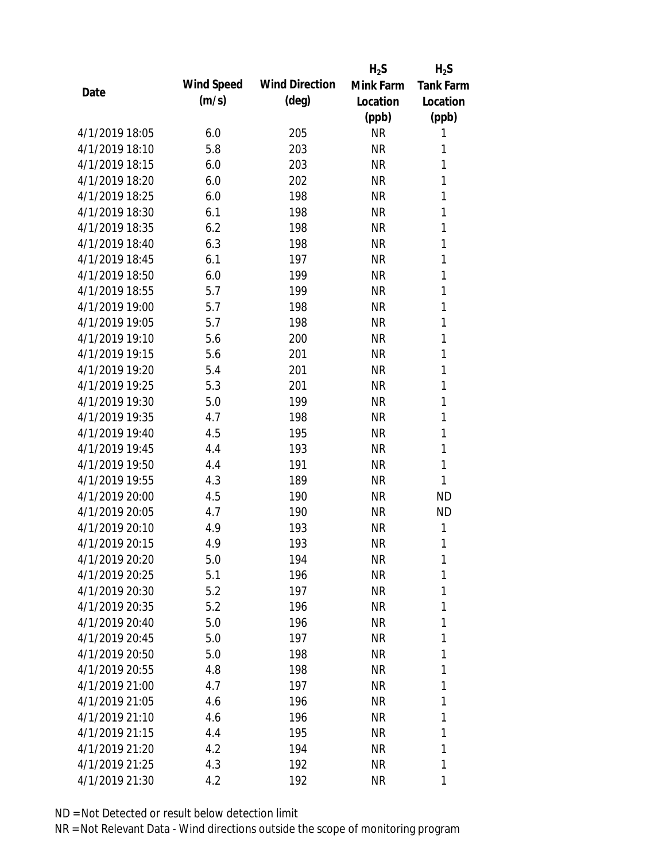|                |            |                       | $H_2S$    | $H_2S$           |
|----------------|------------|-----------------------|-----------|------------------|
| Date           | Wind Speed | <b>Wind Direction</b> | Mink Farm | <b>Tank Farm</b> |
|                | (m/s)      | $(\text{deg})$        | Location  | Location         |
|                |            |                       | (ppb)     | (ppb)            |
| 4/1/2019 18:05 | 6.0        | 205                   | <b>NR</b> | 1                |
| 4/1/2019 18:10 | 5.8        | 203                   | <b>NR</b> | 1                |
| 4/1/2019 18:15 | 6.0        | 203                   | <b>NR</b> | 1                |
| 4/1/2019 18:20 | 6.0        | 202                   | <b>NR</b> | 1                |
| 4/1/2019 18:25 | 6.0        | 198                   | <b>NR</b> | 1                |
| 4/1/2019 18:30 | 6.1        | 198                   | <b>NR</b> | 1                |
| 4/1/2019 18:35 | 6.2        | 198                   | <b>NR</b> | 1                |
| 4/1/2019 18:40 | 6.3        | 198                   | <b>NR</b> | 1                |
| 4/1/2019 18:45 | 6.1        | 197                   | <b>NR</b> | 1                |
| 4/1/2019 18:50 | 6.0        | 199                   | <b>NR</b> | 1                |
| 4/1/2019 18:55 | 5.7        | 199                   | <b>NR</b> | 1                |
| 4/1/2019 19:00 | 5.7        | 198                   | <b>NR</b> | 1                |
| 4/1/2019 19:05 | 5.7        | 198                   | <b>NR</b> | 1                |
| 4/1/2019 19:10 | 5.6        | 200                   | <b>NR</b> | 1                |
| 4/1/2019 19:15 | 5.6        | 201                   | <b>NR</b> | $\mathbf{1}$     |
| 4/1/2019 19:20 | 5.4        | 201                   | <b>NR</b> | 1                |
| 4/1/2019 19:25 | 5.3        | 201                   | <b>NR</b> | 1                |
| 4/1/2019 19:30 | 5.0        | 199                   | <b>NR</b> | 1                |
| 4/1/2019 19:35 | 4.7        | 198                   | <b>NR</b> | 1                |
| 4/1/2019 19:40 | 4.5        | 195                   | <b>NR</b> | 1                |
| 4/1/2019 19:45 | 4.4        | 193                   | <b>NR</b> | 1                |
| 4/1/2019 19:50 | 4.4        | 191                   | <b>NR</b> | 1                |
| 4/1/2019 19:55 | 4.3        | 189                   | <b>NR</b> | 1                |
| 4/1/2019 20:00 | 4.5        | 190                   | <b>NR</b> | <b>ND</b>        |
| 4/1/2019 20:05 | 4.7        | 190                   | <b>NR</b> | <b>ND</b>        |
| 4/1/2019 20:10 | 4.9        | 193                   | <b>NR</b> | 1                |
| 4/1/2019 20:15 | 4.9        | 193                   | <b>NR</b> | 1                |
| 4/1/2019 20:20 | 5.0        | 194                   | <b>NR</b> | 1                |
| 4/1/2019 20:25 | 5.1        | 196                   | <b>NR</b> | 1                |
| 4/1/2019 20:30 | 5.2        | 197                   | <b>NR</b> | 1                |
| 4/1/2019 20:35 | 5.2        | 196                   | <b>NR</b> | 1                |
| 4/1/2019 20:40 | 5.0        | 196                   | <b>NR</b> | 1                |
| 4/1/2019 20:45 | 5.0        | 197                   | <b>NR</b> | 1                |
| 4/1/2019 20:50 | 5.0        | 198                   | <b>NR</b> | 1                |
| 4/1/2019 20:55 | 4.8        | 198                   | <b>NR</b> | 1                |
| 4/1/2019 21:00 | 4.7        | 197                   | <b>NR</b> | 1                |
| 4/1/2019 21:05 | 4.6        | 196                   | <b>NR</b> | 1                |
| 4/1/2019 21:10 | 4.6        | 196                   | <b>NR</b> | 1                |
| 4/1/2019 21:15 | 4.4        | 195                   | <b>NR</b> | 1                |
| 4/1/2019 21:20 | 4.2        | 194                   | <b>NR</b> | 1                |
| 4/1/2019 21:25 | 4.3        | 192                   | <b>NR</b> | 1                |
| 4/1/2019 21:30 | 4.2        | 192                   | <b>NR</b> | 1                |
|                |            |                       |           |                  |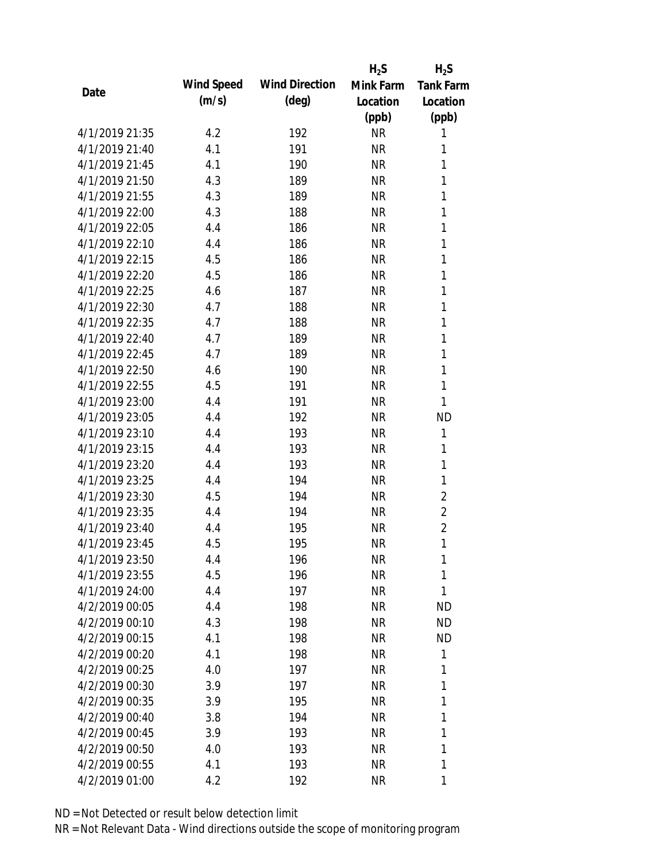|                |            |                       | $H_2S$    | $H_2S$           |
|----------------|------------|-----------------------|-----------|------------------|
| Date           | Wind Speed | <b>Wind Direction</b> | Mink Farm | <b>Tank Farm</b> |
|                | (m/s)      | $(\text{deg})$        | Location  | Location         |
|                |            |                       | (ppb)     | (ppb)            |
| 4/1/2019 21:35 | 4.2        | 192                   | <b>NR</b> | 1                |
| 4/1/2019 21:40 | 4.1        | 191                   | <b>NR</b> | 1                |
| 4/1/2019 21:45 | 4.1        | 190                   | <b>NR</b> | 1                |
| 4/1/2019 21:50 | 4.3        | 189                   | <b>NR</b> | 1                |
| 4/1/2019 21:55 | 4.3        | 189                   | <b>NR</b> | 1                |
| 4/1/2019 22:00 | 4.3        | 188                   | <b>NR</b> | 1                |
| 4/1/2019 22:05 | 4.4        | 186                   | <b>NR</b> | 1                |
| 4/1/2019 22:10 | 4.4        | 186                   | <b>NR</b> | 1                |
| 4/1/2019 22:15 | 4.5        | 186                   | <b>NR</b> | 1                |
| 4/1/2019 22:20 | 4.5        | 186                   | <b>NR</b> | 1                |
| 4/1/2019 22:25 | 4.6        | 187                   | <b>NR</b> | 1                |
| 4/1/2019 22:30 | 4.7        | 188                   | <b>NR</b> | 1                |
| 4/1/2019 22:35 | 4.7        | 188                   | <b>NR</b> | 1                |
| 4/1/2019 22:40 | 4.7        | 189                   | <b>NR</b> | 1                |
| 4/1/2019 22:45 | 4.7        | 189                   | <b>NR</b> | 1                |
| 4/1/2019 22:50 | 4.6        | 190                   | <b>NR</b> | 1                |
| 4/1/2019 22:55 | 4.5        | 191                   | <b>NR</b> | 1                |
| 4/1/2019 23:00 | 4.4        | 191                   | <b>NR</b> | 1                |
| 4/1/2019 23:05 | 4.4        | 192                   | <b>NR</b> | <b>ND</b>        |
| 4/1/2019 23:10 | 4.4        | 193                   | <b>NR</b> | 1                |
| 4/1/2019 23:15 | 4.4        | 193                   | <b>NR</b> | 1                |
| 4/1/2019 23:20 | 4.4        | 193                   | <b>NR</b> | $\mathbf{1}$     |
| 4/1/2019 23:25 | 4.4        | 194                   | <b>NR</b> | 1                |
| 4/1/2019 23:30 | 4.5        | 194                   | <b>NR</b> | $\overline{2}$   |
| 4/1/2019 23:35 | 4.4        | 194                   | <b>NR</b> | $\overline{2}$   |
| 4/1/2019 23:40 | 4.4        | 195                   | <b>NR</b> | $\overline{2}$   |
| 4/1/2019 23:45 | 4.5        | 195                   | <b>NR</b> | 1                |
| 4/1/2019 23:50 | 4.4        | 196                   | <b>NR</b> | 1                |
| 4/1/2019 23:55 | 4.5        | 196                   | <b>NR</b> | 1                |
| 4/1/2019 24:00 | 4.4        | 197                   | <b>NR</b> | 1                |
| 4/2/2019 00:05 | 4.4        | 198                   | <b>NR</b> | <b>ND</b>        |
| 4/2/2019 00:10 | 4.3        | 198                   | <b>NR</b> | <b>ND</b>        |
| 4/2/2019 00:15 | 4.1        | 198                   | <b>NR</b> | <b>ND</b>        |
| 4/2/2019 00:20 | 4.1        | 198                   | <b>NR</b> | 1                |
| 4/2/2019 00:25 | 4.0        | 197                   | <b>NR</b> | 1                |
| 4/2/2019 00:30 | 3.9        | 197                   | <b>NR</b> | 1                |
| 4/2/2019 00:35 | 3.9        | 195                   | <b>NR</b> | 1                |
| 4/2/2019 00:40 | 3.8        | 194                   | NR        | 1                |
| 4/2/2019 00:45 | 3.9        | 193                   | <b>NR</b> | 1                |
| 4/2/2019 00:50 | 4.0        | 193                   | <b>NR</b> | 1                |
| 4/2/2019 00:55 | 4.1        | 193                   | <b>NR</b> | 1                |
| 4/2/2019 01:00 | 4.2        | 192                   | <b>NR</b> | 1                |
|                |            |                       |           |                  |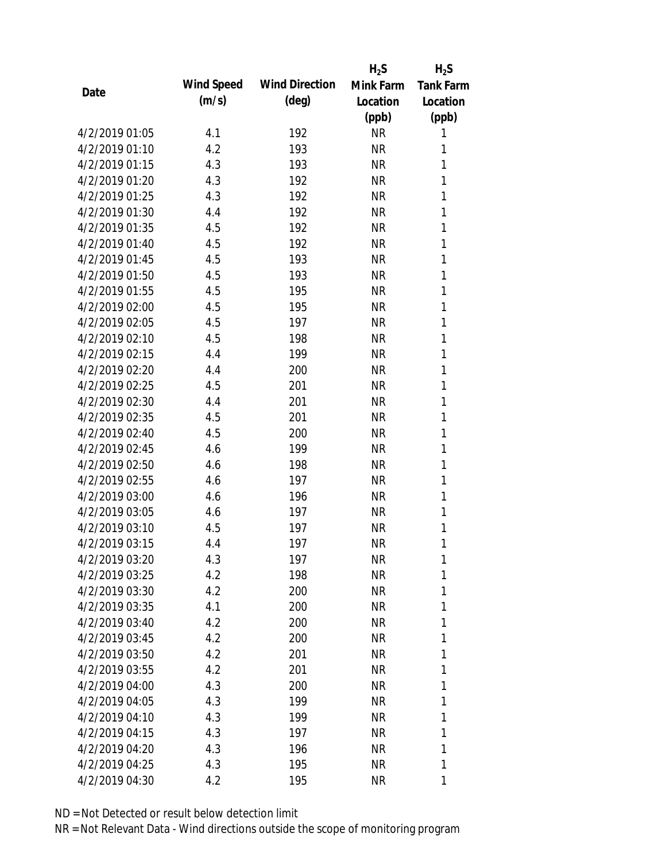|                |            |                       | $H_2S$    | $H_2S$           |
|----------------|------------|-----------------------|-----------|------------------|
|                | Wind Speed | <b>Wind Direction</b> | Mink Farm | <b>Tank Farm</b> |
| Date           | (m/s)      | $(\text{deg})$        | Location  | Location         |
|                |            |                       | (ppb)     | (ppb)            |
| 4/2/2019 01:05 | 4.1        | 192                   | <b>NR</b> | 1                |
| 4/2/2019 01:10 | 4.2        | 193                   | <b>NR</b> | 1                |
| 4/2/2019 01:15 | 4.3        | 193                   | <b>NR</b> | 1                |
| 4/2/2019 01:20 | 4.3        | 192                   | <b>NR</b> | 1                |
| 4/2/2019 01:25 | 4.3        | 192                   | <b>NR</b> | 1                |
| 4/2/2019 01:30 | 4.4        | 192                   | <b>NR</b> | 1                |
| 4/2/2019 01:35 | 4.5        | 192                   | <b>NR</b> | 1                |
| 4/2/2019 01:40 | 4.5        | 192                   | <b>NR</b> | 1                |
| 4/2/2019 01:45 | 4.5        | 193                   | <b>NR</b> | 1                |
| 4/2/2019 01:50 | 4.5        | 193                   | <b>NR</b> | 1                |
| 4/2/2019 01:55 | 4.5        | 195                   | <b>NR</b> | 1                |
| 4/2/2019 02:00 | 4.5        | 195                   | <b>NR</b> | 1                |
| 4/2/2019 02:05 | 4.5        | 197                   | <b>NR</b> | 1                |
| 4/2/2019 02:10 | 4.5        | 198                   | <b>NR</b> | 1                |
| 4/2/2019 02:15 | 4.4        | 199                   | <b>NR</b> | 1                |
| 4/2/2019 02:20 | 4.4        | 200                   | <b>NR</b> | 1                |
| 4/2/2019 02:25 | 4.5        | 201                   | <b>NR</b> | 1                |
| 4/2/2019 02:30 | 4.4        | 201                   | <b>NR</b> | $\mathbf{1}$     |
| 4/2/2019 02:35 | 4.5        | 201                   | <b>NR</b> | 1                |
| 4/2/2019 02:40 | 4.5        | 200                   | <b>NR</b> | 1                |
| 4/2/2019 02:45 | 4.6        | 199                   | <b>NR</b> | 1                |
| 4/2/2019 02:50 | 4.6        | 198                   | <b>NR</b> | 1                |
| 4/2/2019 02:55 | 4.6        | 197                   | <b>NR</b> | $\mathbf{1}$     |
| 4/2/2019 03:00 | 4.6        | 196                   | <b>NR</b> | 1                |
| 4/2/2019 03:05 | 4.6        | 197                   | <b>NR</b> | 1                |
| 4/2/2019 03:10 | 4.5        | 197                   | <b>NR</b> | 1                |
| 4/2/2019 03:15 | 4.4        | 197                   | <b>NR</b> | 1                |
| 4/2/2019 03:20 | 4.3        | 197                   | <b>NR</b> | 1                |
| 4/2/2019 03:25 | 4.2        | 198                   | <b>NR</b> | 1                |
| 4/2/2019 03:30 | 4.2        | 200                   | <b>NR</b> | 1                |
| 4/2/2019 03:35 | 4.1        | 200                   | <b>NR</b> | 1                |
| 4/2/2019 03:40 | 4.2        | 200                   | <b>NR</b> | 1                |
| 4/2/2019 03:45 | 4.2        | 200                   | <b>NR</b> | 1                |
| 4/2/2019 03:50 | 4.2        | 201                   | <b>NR</b> | 1                |
| 4/2/2019 03:55 | 4.2        | 201                   | <b>NR</b> | 1                |
| 4/2/2019 04:00 | 4.3        | 200                   | <b>NR</b> | 1                |
| 4/2/2019 04:05 | 4.3        | 199                   | <b>NR</b> | 1                |
| 4/2/2019 04:10 | 4.3        | 199                   | <b>NR</b> | 1                |
| 4/2/2019 04:15 | 4.3        | 197                   | <b>NR</b> | 1                |
| 4/2/2019 04:20 | 4.3        | 196                   | <b>NR</b> | 1                |
| 4/2/2019 04:25 | 4.3        | 195                   | <b>NR</b> | 1                |
| 4/2/2019 04:30 | 4.2        | 195                   | <b>NR</b> | 1                |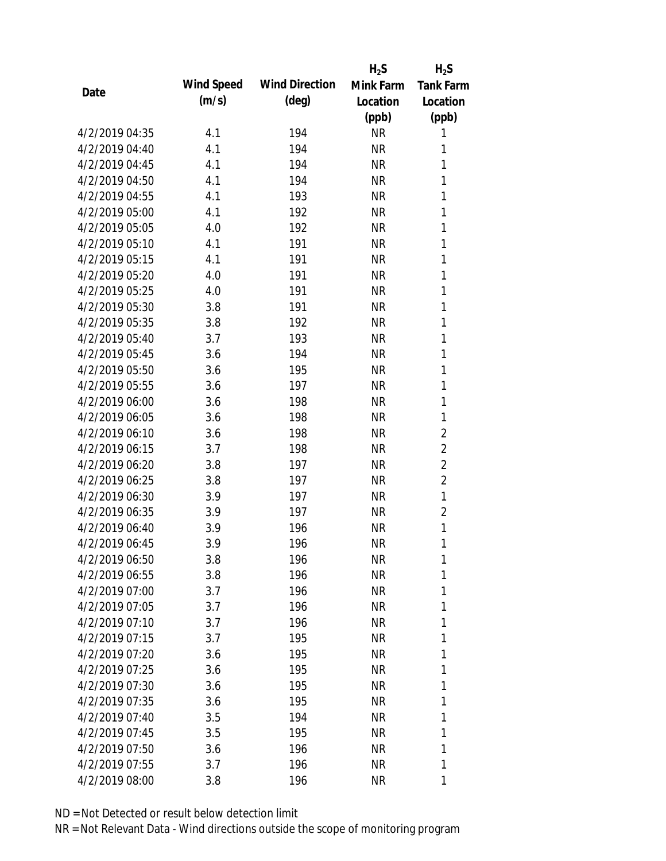|                |            |                       | $H_2S$    | $H_2S$           |
|----------------|------------|-----------------------|-----------|------------------|
| Date           | Wind Speed | <b>Wind Direction</b> | Mink Farm | <b>Tank Farm</b> |
|                | (m/s)      | $(\text{deg})$        | Location  | Location         |
|                |            |                       | (ppb)     | (ppb)            |
| 4/2/2019 04:35 | 4.1        | 194                   | <b>NR</b> | 1                |
| 4/2/2019 04:40 | 4.1        | 194                   | <b>NR</b> | 1                |
| 4/2/2019 04:45 | 4.1        | 194                   | <b>NR</b> | 1                |
| 4/2/2019 04:50 | 4.1        | 194                   | <b>NR</b> | 1                |
| 4/2/2019 04:55 | 4.1        | 193                   | <b>NR</b> | 1                |
| 4/2/2019 05:00 | 4.1        | 192                   | <b>NR</b> | 1                |
| 4/2/2019 05:05 | 4.0        | 192                   | <b>NR</b> | 1                |
| 4/2/2019 05:10 | 4.1        | 191                   | <b>NR</b> | 1                |
| 4/2/2019 05:15 | 4.1        | 191                   | <b>NR</b> | 1                |
| 4/2/2019 05:20 | 4.0        | 191                   | <b>NR</b> | 1                |
| 4/2/2019 05:25 | 4.0        | 191                   | <b>NR</b> | 1                |
| 4/2/2019 05:30 | 3.8        | 191                   | <b>NR</b> | 1                |
| 4/2/2019 05:35 | 3.8        | 192                   | <b>NR</b> | 1                |
| 4/2/2019 05:40 | 3.7        | 193                   | <b>NR</b> | 1                |
| 4/2/2019 05:45 | 3.6        | 194                   | <b>NR</b> | 1                |
| 4/2/2019 05:50 | 3.6        | 195                   | <b>NR</b> | 1                |
| 4/2/2019 05:55 | 3.6        | 197                   | <b>NR</b> | 1                |
| 4/2/2019 06:00 | 3.6        | 198                   | <b>NR</b> | 1                |
| 4/2/2019 06:05 | 3.6        | 198                   | <b>NR</b> | 1                |
| 4/2/2019 06:10 | 3.6        | 198                   | <b>NR</b> | $\overline{2}$   |
| 4/2/2019 06:15 | 3.7        | 198                   | <b>NR</b> | $\overline{2}$   |
| 4/2/2019 06:20 | 3.8        | 197                   | <b>NR</b> | $\overline{2}$   |
| 4/2/2019 06:25 | 3.8        | 197                   | <b>NR</b> | $\overline{2}$   |
| 4/2/2019 06:30 | 3.9        | 197                   | <b>NR</b> | 1                |
| 4/2/2019 06:35 | 3.9        | 197                   | <b>NR</b> | 2                |
| 4/2/2019 06:40 | 3.9        | 196                   | <b>NR</b> | 1                |
| 4/2/2019 06:45 | 3.9        | 196                   | <b>NR</b> | 1                |
| 4/2/2019 06:50 | 3.8        | 196                   | <b>NR</b> | 1                |
| 4/2/2019 06:55 | 3.8        | 196                   | <b>NR</b> | 1                |
| 4/2/2019 07:00 | 3.7        | 196                   | <b>NR</b> | 1                |
| 4/2/2019 07:05 | 3.7        | 196                   | <b>NR</b> | 1                |
| 4/2/2019 07:10 | 3.7        | 196                   | <b>NR</b> | 1                |
| 4/2/2019 07:15 | 3.7        | 195                   | <b>NR</b> | 1                |
| 4/2/2019 07:20 | 3.6        | 195                   | <b>NR</b> | 1                |
| 4/2/2019 07:25 | 3.6        | 195                   | <b>NR</b> | 1                |
| 4/2/2019 07:30 | 3.6        | 195                   | <b>NR</b> | 1                |
| 4/2/2019 07:35 | 3.6        | 195                   | NR        | 1                |
| 4/2/2019 07:40 | 3.5        | 194                   | NR        | 1                |
| 4/2/2019 07:45 | 3.5        | 195                   | <b>NR</b> | 1                |
| 4/2/2019 07:50 | 3.6        | 196                   | <b>NR</b> | 1                |
| 4/2/2019 07:55 | 3.7        | 196                   | <b>NR</b> | 1                |
| 4/2/2019 08:00 | 3.8        | 196                   | <b>NR</b> | 1                |
|                |            |                       |           |                  |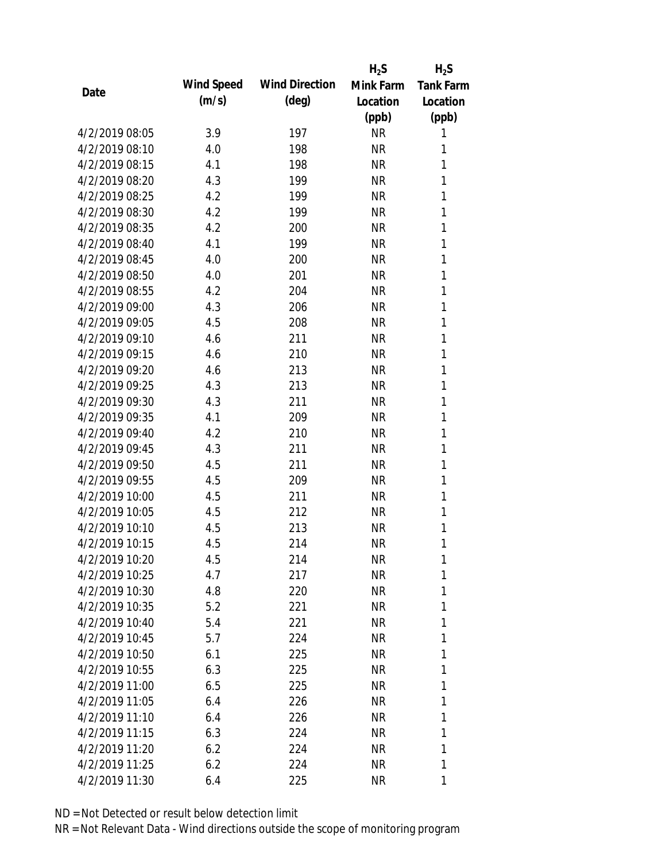|                |            |                       | $H_2S$    | $H_2S$           |
|----------------|------------|-----------------------|-----------|------------------|
| Date           | Wind Speed | <b>Wind Direction</b> | Mink Farm | <b>Tank Farm</b> |
|                | (m/s)      | $(\text{deg})$        | Location  | Location         |
|                |            |                       | (ppb)     | (ppb)            |
| 4/2/2019 08:05 | 3.9        | 197                   | <b>NR</b> | 1                |
| 4/2/2019 08:10 | 4.0        | 198                   | <b>NR</b> | 1                |
| 4/2/2019 08:15 | 4.1        | 198                   | <b>NR</b> | 1                |
| 4/2/2019 08:20 | 4.3        | 199                   | <b>NR</b> | 1                |
| 4/2/2019 08:25 | 4.2        | 199                   | <b>NR</b> | 1                |
| 4/2/2019 08:30 | 4.2        | 199                   | <b>NR</b> | 1                |
| 4/2/2019 08:35 | 4.2        | 200                   | <b>NR</b> | 1                |
| 4/2/2019 08:40 | 4.1        | 199                   | <b>NR</b> | 1                |
| 4/2/2019 08:45 | 4.0        | 200                   | <b>NR</b> | 1                |
| 4/2/2019 08:50 | 4.0        | 201                   | <b>NR</b> | 1                |
| 4/2/2019 08:55 | 4.2        | 204                   | <b>NR</b> | 1                |
| 4/2/2019 09:00 | 4.3        | 206                   | <b>NR</b> | 1                |
| 4/2/2019 09:05 | 4.5        | 208                   | <b>NR</b> | 1                |
| 4/2/2019 09:10 | 4.6        | 211                   | <b>NR</b> | 1                |
| 4/2/2019 09:15 | 4.6        | 210                   | <b>NR</b> | 1                |
| 4/2/2019 09:20 | 4.6        | 213                   | <b>NR</b> | 1                |
| 4/2/2019 09:25 | 4.3        | 213                   | <b>NR</b> | 1                |
| 4/2/2019 09:30 | 4.3        | 211                   | <b>NR</b> | 1                |
| 4/2/2019 09:35 | 4.1        | 209                   | <b>NR</b> | 1                |
| 4/2/2019 09:40 | 4.2        | 210                   | <b>NR</b> | 1                |
| 4/2/2019 09:45 | 4.3        | 211                   | <b>NR</b> | 1                |
| 4/2/2019 09:50 | 4.5        | 211                   | <b>NR</b> | 1                |
| 4/2/2019 09:55 | 4.5        | 209                   | <b>NR</b> | 1                |
| 4/2/2019 10:00 | 4.5        | 211                   | <b>NR</b> | 1                |
| 4/2/2019 10:05 | 4.5        | 212                   | <b>NR</b> | 1                |
| 4/2/2019 10:10 | 4.5        | 213                   | <b>NR</b> | 1                |
| 4/2/2019 10:15 | 4.5        | 214                   | <b>NR</b> | 1                |
| 4/2/2019 10:20 | 4.5        | 214                   | <b>NR</b> | 1                |
| 4/2/2019 10:25 | 4.7        | 217                   | <b>NR</b> | 1                |
| 4/2/2019 10:30 | 4.8        | 220                   | <b>NR</b> | 1                |
| 4/2/2019 10:35 | 5.2        | 221                   | <b>NR</b> | 1                |
| 4/2/2019 10:40 | 5.4        | 221                   | <b>NR</b> | 1                |
| 4/2/2019 10:45 | 5.7        | 224                   | <b>NR</b> | 1                |
| 4/2/2019 10:50 | 6.1        | 225                   | <b>NR</b> | 1                |
| 4/2/2019 10:55 | 6.3        | 225                   | <b>NR</b> | 1                |
| 4/2/2019 11:00 | 6.5        | 225                   | <b>NR</b> | 1                |
| 4/2/2019 11:05 | 6.4        | 226                   | <b>NR</b> | 1                |
| 4/2/2019 11:10 | 6.4        | 226                   | NR        | 1                |
| 4/2/2019 11:15 | 6.3        | 224                   | <b>NR</b> | 1                |
| 4/2/2019 11:20 | 6.2        | 224                   | <b>NR</b> | 1                |
| 4/2/2019 11:25 | 6.2        | 224                   | <b>NR</b> | 1                |
| 4/2/2019 11:30 | 6.4        | 225                   | <b>NR</b> | 1                |
|                |            |                       |           |                  |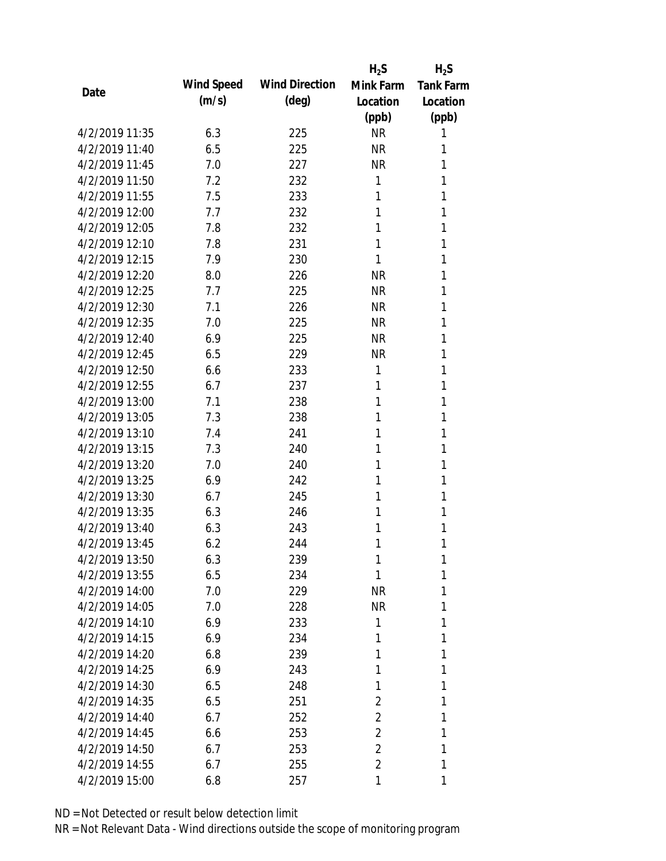|                |            |                       | $H_2S$         | $H_2S$           |
|----------------|------------|-----------------------|----------------|------------------|
| Date           | Wind Speed | <b>Wind Direction</b> | Mink Farm      | <b>Tank Farm</b> |
|                | (m/s)      | $(\text{deg})$        | Location       | Location         |
|                |            |                       | (ppb)          | (ppb)            |
| 4/2/2019 11:35 | 6.3        | 225                   | <b>NR</b>      | 1                |
| 4/2/2019 11:40 | 6.5        | 225                   | <b>NR</b>      | 1                |
| 4/2/2019 11:45 | 7.0        | 227                   | <b>NR</b>      | 1                |
| 4/2/2019 11:50 | 7.2        | 232                   | 1              | 1                |
| 4/2/2019 11:55 | 7.5        | 233                   | 1              | 1                |
| 4/2/2019 12:00 | 7.7        | 232                   | 1              | 1                |
| 4/2/2019 12:05 | 7.8        | 232                   | 1              | 1                |
| 4/2/2019 12:10 | 7.8        | 231                   | 1              | 1                |
| 4/2/2019 12:15 | 7.9        | 230                   | 1              | 1                |
| 4/2/2019 12:20 | 8.0        | 226                   | <b>NR</b>      | 1                |
| 4/2/2019 12:25 | 7.7        | 225                   | <b>NR</b>      | 1                |
| 4/2/2019 12:30 | 7.1        | 226                   | <b>NR</b>      | 1                |
| 4/2/2019 12:35 | 7.0        | 225                   | <b>NR</b>      | 1                |
| 4/2/2019 12:40 | 6.9        | 225                   | <b>NR</b>      | 1                |
| 4/2/2019 12:45 | 6.5        | 229                   | <b>NR</b>      | 1                |
| 4/2/2019 12:50 | 6.6        | 233                   | 1              | 1                |
| 4/2/2019 12:55 | 6.7        | 237                   | 1              | 1                |
| 4/2/2019 13:00 | 7.1        | 238                   | 1              | 1                |
| 4/2/2019 13:05 | 7.3        | 238                   | 1              | 1                |
| 4/2/2019 13:10 | 7.4        | 241                   | 1              | 1                |
| 4/2/2019 13:15 | 7.3        | 240                   | 1              | 1                |
| 4/2/2019 13:20 | 7.0        | 240                   | 1              | 1                |
| 4/2/2019 13:25 | 6.9        | 242                   | 1              | 1                |
| 4/2/2019 13:30 | 6.7        | 245                   | 1              | 1                |
| 4/2/2019 13:35 | 6.3        | 246                   | 1              | 1                |
| 4/2/2019 13:40 | 6.3        | 243                   | 1              | 1                |
| 4/2/2019 13:45 | 6.2        | 244                   | 1              | 1                |
| 4/2/2019 13:50 | 6.3        | 239                   | 1              | 1                |
| 4/2/2019 13:55 | 6.5        | 234                   | 1              | 1                |
| 4/2/2019 14:00 | 7.0        | 229                   | NR             | 1                |
| 4/2/2019 14:05 | 7.0        | 228                   | <b>NR</b>      | 1                |
| 4/2/2019 14:10 | 6.9        | 233                   | 1              | 1                |
| 4/2/2019 14:15 | 6.9        | 234                   | 1              | 1                |
| 4/2/2019 14:20 | 6.8        | 239                   | 1              | 1                |
| 4/2/2019 14:25 | 6.9        | 243                   | 1              | 1                |
| 4/2/2019 14:30 | 6.5        | 248                   | 1              | 1                |
| 4/2/2019 14:35 | 6.5        | 251                   | 2              | 1                |
| 4/2/2019 14:40 | 6.7        | 252                   | 2              | 1                |
| 4/2/2019 14:45 | 6.6        | 253                   | $\overline{2}$ | 1                |
| 4/2/2019 14:50 | 6.7        | 253                   | $\overline{2}$ | 1                |
| 4/2/2019 14:55 | 6.7        | 255                   | $\overline{2}$ | 1                |
| 4/2/2019 15:00 | 6.8        | 257                   | 1              | 1                |
|                |            |                       |                |                  |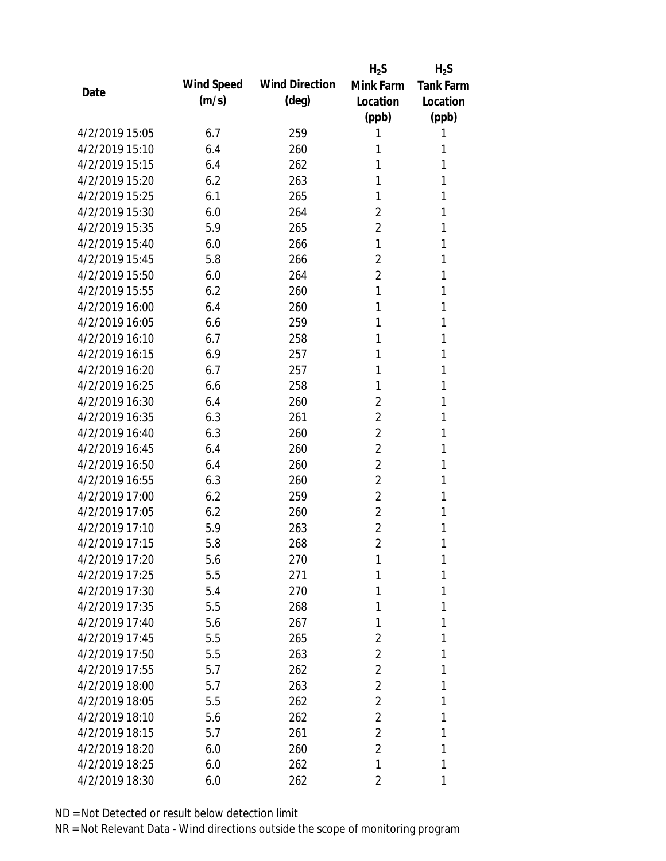|                |            |                       | $H_2S$         | $H_2S$           |
|----------------|------------|-----------------------|----------------|------------------|
| Date           | Wind Speed | <b>Wind Direction</b> | Mink Farm      | <b>Tank Farm</b> |
|                | (m/s)      | (deg)                 | Location       | Location         |
|                |            |                       | (ppb)          | (ppb)            |
| 4/2/2019 15:05 | 6.7        | 259                   | 1              | 1                |
| 4/2/2019 15:10 | 6.4        | 260                   | 1              | 1                |
| 4/2/2019 15:15 | 6.4        | 262                   | 1              | 1                |
| 4/2/2019 15:20 | 6.2        | 263                   | 1              | 1                |
| 4/2/2019 15:25 | 6.1        | 265                   | 1              | 1                |
| 4/2/2019 15:30 | 6.0        | 264                   | 2              | 1                |
| 4/2/2019 15:35 | 5.9        | 265                   | $\overline{2}$ | 1                |
| 4/2/2019 15:40 | 6.0        | 266                   | 1              | 1                |
| 4/2/2019 15:45 | 5.8        | 266                   | $\overline{2}$ | 1                |
| 4/2/2019 15:50 | 6.0        | 264                   | $\overline{2}$ | 1                |
| 4/2/2019 15:55 | 6.2        | 260                   | 1              | 1                |
| 4/2/2019 16:00 | 6.4        | 260                   | 1              | 1                |
| 4/2/2019 16:05 | 6.6        | 259                   | 1              | 1                |
| 4/2/2019 16:10 | 6.7        | 258                   | 1              | 1                |
| 4/2/2019 16:15 | 6.9        | 257                   | 1              | 1                |
| 4/2/2019 16:20 | 6.7        | 257                   | 1              | 1                |
| 4/2/2019 16:25 | 6.6        | 258                   | 1              | 1                |
| 4/2/2019 16:30 | 6.4        | 260                   | $\overline{2}$ | 1                |
| 4/2/2019 16:35 | 6.3        | 261                   | $\overline{2}$ | 1                |
| 4/2/2019 16:40 | 6.3        | 260                   | 2              | 1                |
| 4/2/2019 16:45 | 6.4        | 260                   | $\overline{2}$ | 1                |
| 4/2/2019 16:50 | 6.4        | 260                   | $\overline{2}$ | 1                |
| 4/2/2019 16:55 | 6.3        | 260                   | 2              | 1                |
| 4/2/2019 17:00 | 6.2        | 259                   | $\overline{2}$ | 1                |
| 4/2/2019 17:05 | 6.2        | 260                   | $\overline{2}$ | 1                |
| 4/2/2019 17:10 | 5.9        | 263                   | 2              | 1                |
| 4/2/2019 17:15 | 5.8        | 268                   | $\overline{2}$ | 1                |
| 4/2/2019 17:20 | 5.6        | 270                   | 1              | 1                |
| 4/2/2019 17:25 | 5.5        | 271                   | 1              | 1                |
| 4/2/2019 17:30 | 5.4        | 270                   | 1              | 1                |
| 4/2/2019 17:35 | 5.5        | 268                   | 1              | 1                |
| 4/2/2019 17:40 | 5.6        | 267                   | 1              | 1                |
| 4/2/2019 17:45 | 5.5        | 265                   | 2              | 1                |
| 4/2/2019 17:50 | 5.5        | 263                   | $\overline{2}$ | 1                |
| 4/2/2019 17:55 | 5.7        | 262                   | $\overline{2}$ | 1                |
| 4/2/2019 18:00 | 5.7        | 263                   | $\overline{2}$ | 1                |
| 4/2/2019 18:05 | 5.5        | 262                   | $\overline{2}$ | 1                |
| 4/2/2019 18:10 | 5.6        | 262                   | 2              | 1                |
| 4/2/2019 18:15 | 5.7        | 261                   | $\overline{2}$ | 1                |
| 4/2/2019 18:20 | 6.0        | 260                   | $\overline{2}$ | 1                |
| 4/2/2019 18:25 | 6.0        | 262                   | 1              | 1                |
| 4/2/2019 18:30 | 6.0        | 262                   | 2              | 1                |
|                |            |                       |                |                  |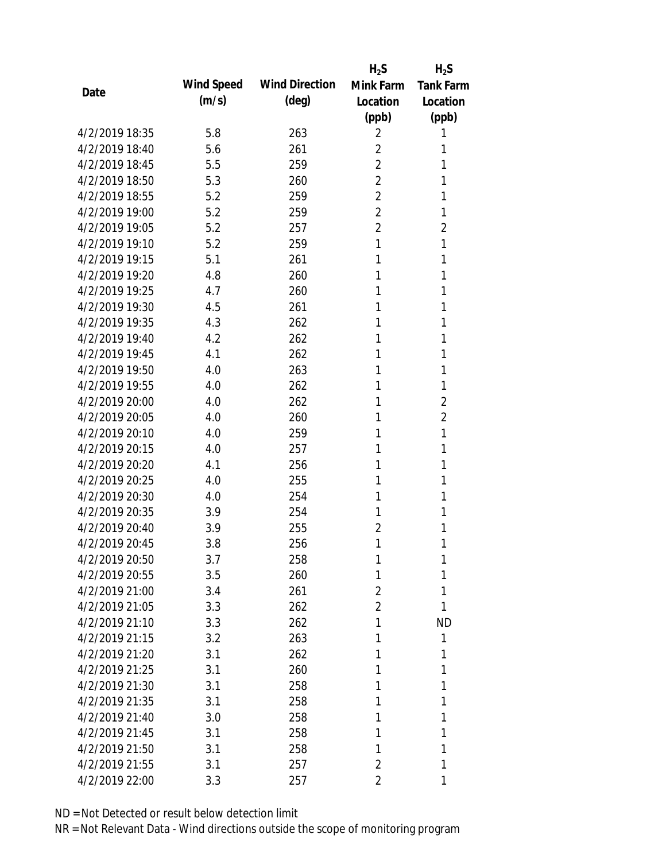|                |            |                       | $H_2S$         | $H_2S$           |
|----------------|------------|-----------------------|----------------|------------------|
| Date           | Wind Speed | <b>Wind Direction</b> | Mink Farm      | <b>Tank Farm</b> |
|                | (m/s)      | (deg)                 | Location       | Location         |
|                |            |                       | (ppb)          | (ppb)            |
| 4/2/2019 18:35 | 5.8        | 263                   | 2              | 1                |
| 4/2/2019 18:40 | 5.6        | 261                   | 2              | 1                |
| 4/2/2019 18:45 | 5.5        | 259                   | $\overline{2}$ | 1                |
| 4/2/2019 18:50 | 5.3        | 260                   | $\overline{2}$ | 1                |
| 4/2/2019 18:55 | 5.2        | 259                   | $\overline{2}$ | 1                |
| 4/2/2019 19:00 | 5.2        | 259                   | $\overline{2}$ | 1                |
| 4/2/2019 19:05 | 5.2        | 257                   | $\overline{2}$ | $\overline{2}$   |
| 4/2/2019 19:10 | 5.2        | 259                   | 1              | 1                |
| 4/2/2019 19:15 | 5.1        | 261                   | 1              | 1                |
| 4/2/2019 19:20 | 4.8        | 260                   | 1              | 1                |
| 4/2/2019 19:25 | 4.7        | 260                   | 1              | 1                |
| 4/2/2019 19:30 | 4.5        | 261                   | 1              | 1                |
| 4/2/2019 19:35 | 4.3        | 262                   | 1              | 1                |
| 4/2/2019 19:40 | 4.2        | 262                   | 1              | 1                |
| 4/2/2019 19:45 | 4.1        | 262                   | 1              | 1                |
| 4/2/2019 19:50 | 4.0        | 263                   | 1              | 1                |
| 4/2/2019 19:55 | 4.0        | 262                   | 1              | 1                |
| 4/2/2019 20:00 | 4.0        | 262                   | 1              | $\overline{2}$   |
| 4/2/2019 20:05 | 4.0        | 260                   | 1              | $\overline{2}$   |
| 4/2/2019 20:10 | 4.0        | 259                   | 1              | 1                |
| 4/2/2019 20:15 | 4.0        | 257                   | 1              | 1                |
| 4/2/2019 20:20 | 4.1        | 256                   | 1              | 1                |
| 4/2/2019 20:25 | 4.0        | 255                   | 1              | 1                |
| 4/2/2019 20:30 | 4.0        | 254                   | 1              | 1                |
| 4/2/2019 20:35 | 3.9        | 254                   | 1              | 1                |
| 4/2/2019 20:40 | 3.9        | 255                   | $\overline{2}$ | 1                |
| 4/2/2019 20:45 | 3.8        | 256                   | 1              | 1                |
| 4/2/2019 20:50 | 3.7        | 258                   | 1              | 1                |
| 4/2/2019 20:55 | 3.5        | 260                   | 1              | 1                |
| 4/2/2019 21:00 | 3.4        | 261                   | 2              | 1                |
| 4/2/2019 21:05 | 3.3        | 262                   | $\overline{2}$ | 1                |
| 4/2/2019 21:10 | 3.3        | 262                   | 1              | <b>ND</b>        |
| 4/2/2019 21:15 | 3.2        | 263                   | 1              | 1                |
| 4/2/2019 21:20 | 3.1        | 262                   | 1              | 1                |
| 4/2/2019 21:25 | 3.1        | 260                   | 1              | 1                |
| 4/2/2019 21:30 | 3.1        | 258                   | 1              | 1                |
| 4/2/2019 21:35 | 3.1        | 258                   | 1              | 1                |
| 4/2/2019 21:40 | 3.0        | 258                   | 1              | 1                |
| 4/2/2019 21:45 | 3.1        | 258                   | 1              | 1                |
| 4/2/2019 21:50 | 3.1        | 258                   | 1              | 1                |
| 4/2/2019 21:55 | 3.1        | 257                   | 2              | 1                |
| 4/2/2019 22:00 | 3.3        | 257                   | 2              | 1                |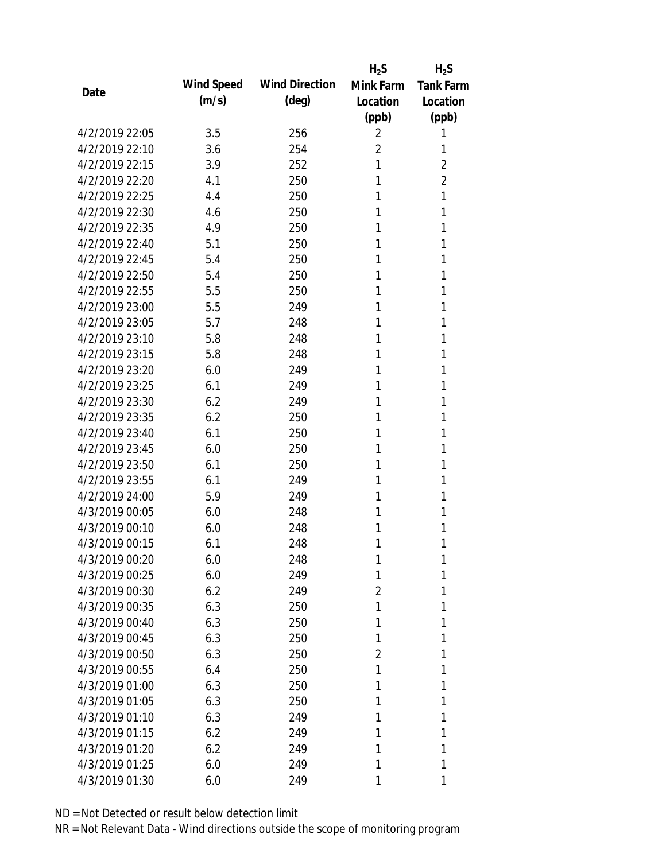|                |            |                       | $H_2S$         | $H_2S$           |
|----------------|------------|-----------------------|----------------|------------------|
| Date           | Wind Speed | <b>Wind Direction</b> | Mink Farm      | <b>Tank Farm</b> |
|                | (m/s)      | (deg)                 | Location       | Location         |
|                |            |                       | (ppb)          | (ppb)            |
| 4/2/2019 22:05 | 3.5        | 256                   | 2              | 1                |
| 4/2/2019 22:10 | 3.6        | 254                   | $\overline{2}$ | 1                |
| 4/2/2019 22:15 | 3.9        | 252                   | 1              | $\overline{2}$   |
| 4/2/2019 22:20 | 4.1        | 250                   | 1              | $\overline{2}$   |
| 4/2/2019 22:25 | 4.4        | 250                   | 1              | 1                |
| 4/2/2019 22:30 | 4.6        | 250                   | 1              | 1                |
| 4/2/2019 22:35 | 4.9        | 250                   | 1              | 1                |
| 4/2/2019 22:40 | 5.1        | 250                   | 1              | 1                |
| 4/2/2019 22:45 | 5.4        | 250                   | 1              | 1                |
| 4/2/2019 22:50 | 5.4        | 250                   | 1              | 1                |
| 4/2/2019 22:55 | 5.5        | 250                   | 1              | 1                |
| 4/2/2019 23:00 | 5.5        | 249                   | 1              | 1                |
| 4/2/2019 23:05 | 5.7        | 248                   | 1              | 1                |
| 4/2/2019 23:10 | 5.8        | 248                   | 1              | 1                |
| 4/2/2019 23:15 | 5.8        | 248                   | 1              | 1                |
| 4/2/2019 23:20 | 6.0        | 249                   | 1              | 1                |
| 4/2/2019 23:25 | 6.1        | 249                   | 1              | 1                |
| 4/2/2019 23:30 | 6.2        | 249                   | 1              | 1                |
| 4/2/2019 23:35 | 6.2        | 250                   | 1              | 1                |
| 4/2/2019 23:40 | 6.1        | 250                   | 1              | 1                |
| 4/2/2019 23:45 | 6.0        | 250                   | 1              | 1                |
| 4/2/2019 23:50 | 6.1        | 250                   | 1              | 1                |
| 4/2/2019 23:55 | 6.1        | 249                   | 1              | 1                |
| 4/2/2019 24:00 | 5.9        | 249                   | 1              | 1                |
| 4/3/2019 00:05 | 6.0        | 248                   | 1              | 1                |
| 4/3/2019 00:10 | 6.0        | 248                   | 1              | 1                |
| 4/3/2019 00:15 | 6.1        | 248                   | 1              | 1                |
| 4/3/2019 00:20 | 6.0        | 248                   | 1              | 1                |
| 4/3/2019 00:25 | 6.0        | 249                   | 1              | 1                |
| 4/3/2019 00:30 | 6.2        | 249                   | $\overline{2}$ | 1                |
| 4/3/2019 00:35 | 6.3        | 250                   | 1              | 1                |
| 4/3/2019 00:40 | 6.3        | 250                   | 1              | 1                |
| 4/3/2019 00:45 | 6.3        | 250                   | 1              | 1                |
| 4/3/2019 00:50 | 6.3        | 250                   | 2              | 1                |
| 4/3/2019 00:55 | 6.4        | 250                   | 1              | 1                |
| 4/3/2019 01:00 | 6.3        | 250                   | 1              | 1                |
| 4/3/2019 01:05 | 6.3        | 250                   | 1              | 1                |
| 4/3/2019 01:10 | 6.3        | 249                   | 1              | 1                |
| 4/3/2019 01:15 | 6.2        | 249                   | 1              | 1                |
| 4/3/2019 01:20 | 6.2        | 249                   | 1              | 1                |
| 4/3/2019 01:25 | 6.0        | 249                   | 1              | 1                |
| 4/3/2019 01:30 | 6.0        | 249                   | 1              | 1                |
|                |            |                       |                |                  |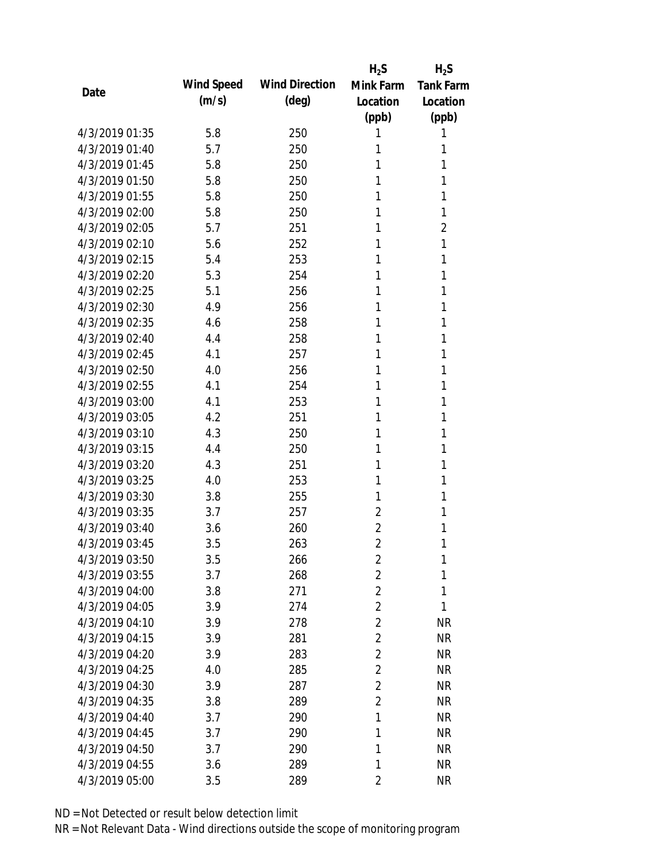|                |            |                       | $H_2S$         | $H_2S$           |
|----------------|------------|-----------------------|----------------|------------------|
| Date           | Wind Speed | <b>Wind Direction</b> | Mink Farm      | <b>Tank Farm</b> |
|                | (m/s)      | (deg)                 | Location       | Location         |
|                |            |                       | (ppb)          | (ppb)            |
| 4/3/2019 01:35 | 5.8        | 250                   | 1              | 1                |
| 4/3/2019 01:40 | 5.7        | 250                   | 1              | 1                |
| 4/3/2019 01:45 | 5.8        | 250                   | 1              | 1                |
| 4/3/2019 01:50 | 5.8        | 250                   | 1              | 1                |
| 4/3/2019 01:55 | 5.8        | 250                   | 1              | 1                |
| 4/3/2019 02:00 | 5.8        | 250                   | 1              | 1                |
| 4/3/2019 02:05 | 5.7        | 251                   | 1              | $\overline{2}$   |
| 4/3/2019 02:10 | 5.6        | 252                   | 1              | 1                |
| 4/3/2019 02:15 | 5.4        | 253                   | 1              | 1                |
| 4/3/2019 02:20 | 5.3        | 254                   | 1              | 1                |
| 4/3/2019 02:25 | 5.1        | 256                   | 1              | 1                |
| 4/3/2019 02:30 | 4.9        | 256                   | 1              | 1                |
| 4/3/2019 02:35 | 4.6        | 258                   | 1              | 1                |
| 4/3/2019 02:40 | 4.4        | 258                   | 1              | 1                |
| 4/3/2019 02:45 | 4.1        | 257                   | 1              | 1                |
| 4/3/2019 02:50 | 4.0        | 256                   | 1              | 1                |
| 4/3/2019 02:55 | 4.1        | 254                   | 1              | 1                |
| 4/3/2019 03:00 | 4.1        | 253                   | 1              | 1                |
| 4/3/2019 03:05 | 4.2        | 251                   | 1              | 1                |
| 4/3/2019 03:10 | 4.3        | 250                   | 1              | 1                |
| 4/3/2019 03:15 | 4.4        | 250                   | 1              | 1                |
| 4/3/2019 03:20 | 4.3        | 251                   | 1              | 1                |
| 4/3/2019 03:25 | 4.0        | 253                   | 1              | 1                |
| 4/3/2019 03:30 | 3.8        | 255                   | 1              | 1                |
| 4/3/2019 03:35 | 3.7        | 257                   | $\overline{2}$ | 1                |
| 4/3/2019 03:40 | 3.6        | 260                   | $\overline{2}$ | 1                |
| 4/3/2019 03:45 | 3.5        | 263                   | $\overline{2}$ | 1                |
| 4/3/2019 03:50 | 3.5        | 266                   | $\overline{2}$ | 1                |
| 4/3/2019 03:55 | 3.7        | 268                   | $\overline{2}$ | 1                |
| 4/3/2019 04:00 | 3.8        | 271                   | $\overline{2}$ | 1                |
| 4/3/2019 04:05 | 3.9        | 274                   | $\overline{2}$ | 1                |
| 4/3/2019 04:10 | 3.9        | 278                   | $\overline{2}$ | <b>NR</b>        |
| 4/3/2019 04:15 | 3.9        | 281                   | $\overline{2}$ | <b>NR</b>        |
| 4/3/2019 04:20 | 3.9        | 283                   | $\overline{2}$ | <b>NR</b>        |
| 4/3/2019 04:25 | 4.0        | 285                   | $\overline{2}$ | <b>NR</b>        |
| 4/3/2019 04:30 | 3.9        | 287                   | $\overline{2}$ | <b>NR</b>        |
| 4/3/2019 04:35 | 3.8        | 289                   | $\overline{2}$ | <b>NR</b>        |
| 4/3/2019 04:40 | 3.7        | 290                   | 1              | <b>NR</b>        |
| 4/3/2019 04:45 | 3.7        | 290                   | 1              | <b>NR</b>        |
| 4/3/2019 04:50 | 3.7        | 290                   | 1              | <b>NR</b>        |
| 4/3/2019 04:55 | 3.6        | 289                   | 1              | <b>NR</b>        |
| 4/3/2019 05:00 | 3.5        | 289                   | $\overline{2}$ | <b>NR</b>        |
|                |            |                       |                |                  |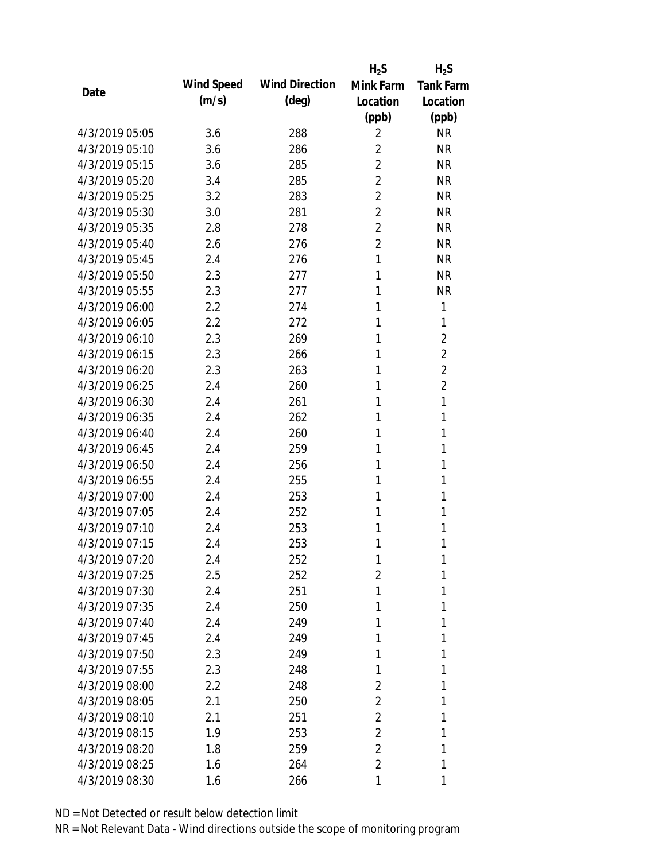|                |            |                       | $H_2S$         | $H_2S$           |
|----------------|------------|-----------------------|----------------|------------------|
| Date           | Wind Speed | <b>Wind Direction</b> | Mink Farm      | <b>Tank Farm</b> |
|                | (m/s)      | $(\text{deg})$        | Location       | Location         |
|                |            |                       | (ppb)          | (ppb)            |
| 4/3/2019 05:05 | 3.6        | 288                   | 2              | <b>NR</b>        |
| 4/3/2019 05:10 | 3.6        | 286                   | $\overline{2}$ | <b>NR</b>        |
| 4/3/2019 05:15 | 3.6        | 285                   | $\overline{2}$ | <b>NR</b>        |
| 4/3/2019 05:20 | 3.4        | 285                   | $\overline{2}$ | <b>NR</b>        |
| 4/3/2019 05:25 | 3.2        | 283                   | 2              | <b>NR</b>        |
| 4/3/2019 05:30 | 3.0        | 281                   | $\overline{2}$ | <b>NR</b>        |
| 4/3/2019 05:35 | 2.8        | 278                   | 2              | <b>NR</b>        |
| 4/3/2019 05:40 | 2.6        | 276                   | $\overline{2}$ | <b>NR</b>        |
| 4/3/2019 05:45 | 2.4        | 276                   | 1              | <b>NR</b>        |
| 4/3/2019 05:50 | 2.3        | 277                   | 1              | <b>NR</b>        |
| 4/3/2019 05:55 | 2.3        | 277                   | 1              | <b>NR</b>        |
| 4/3/2019 06:00 | 2.2        | 274                   | 1              | 1                |
| 4/3/2019 06:05 | 2.2        | 272                   | 1              | 1                |
| 4/3/2019 06:10 | 2.3        | 269                   | 1              | $\overline{2}$   |
| 4/3/2019 06:15 | 2.3        | 266                   | 1              | $\overline{2}$   |
| 4/3/2019 06:20 | 2.3        | 263                   | 1              | $\overline{2}$   |
| 4/3/2019 06:25 | 2.4        | 260                   | 1              | $\overline{2}$   |
| 4/3/2019 06:30 | 2.4        | 261                   | 1              | $\mathbf{1}$     |
| 4/3/2019 06:35 | 2.4        | 262                   | 1              | 1                |
| 4/3/2019 06:40 | 2.4        | 260                   | 1              | 1                |
| 4/3/2019 06:45 | 2.4        | 259                   | 1              | 1                |
| 4/3/2019 06:50 | 2.4        | 256                   | 1              | 1                |
| 4/3/2019 06:55 | 2.4        | 255                   | 1              | 1                |
| 4/3/2019 07:00 | 2.4        | 253                   | 1              | 1                |
| 4/3/2019 07:05 | 2.4        | 252                   | 1              | 1                |
| 4/3/2019 07:10 | 2.4        | 253                   | 1              | 1                |
| 4/3/2019 07:15 | 2.4        | 253                   | 1              | 1                |
| 4/3/2019 07:20 | 2.4        | 252                   | 1              | 1                |
| 4/3/2019 07:25 | 2.5        | 252                   | $\overline{2}$ | 1                |
| 4/3/2019 07:30 | 2.4        | 251                   | 1              | 1                |
| 4/3/2019 07:35 | 2.4        | 250                   | 1              | 1                |
| 4/3/2019 07:40 | 2.4        | 249                   | 1              | 1                |
| 4/3/2019 07:45 | 2.4        | 249                   | 1              | 1                |
| 4/3/2019 07:50 | 2.3        | 249                   | 1              | 1                |
| 4/3/2019 07:55 | 2.3        | 248                   | 1              | 1                |
| 4/3/2019 08:00 | 2.2        | 248                   | 2              | 1                |
| 4/3/2019 08:05 | 2.1        | 250                   | $\overline{2}$ | 1                |
| 4/3/2019 08:10 | 2.1        | 251                   | $\overline{2}$ | 1                |
| 4/3/2019 08:15 | 1.9        | 253                   | $\overline{2}$ | 1                |
| 4/3/2019 08:20 | 1.8        | 259                   | 2              | 1                |
| 4/3/2019 08:25 | 1.6        | 264                   | 2              | 1                |
| 4/3/2019 08:30 | 1.6        | 266                   | 1              | 1                |
|                |            |                       |                |                  |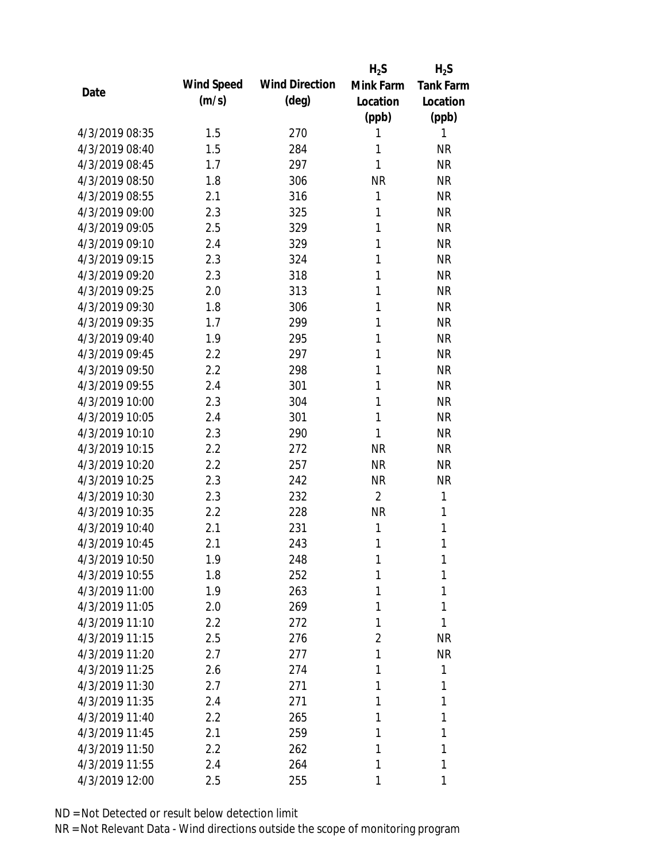|                |            |                       | $H_2S$         | $H_2S$           |
|----------------|------------|-----------------------|----------------|------------------|
| Date           | Wind Speed | <b>Wind Direction</b> | Mink Farm      | <b>Tank Farm</b> |
|                | (m/s)      | (deg)                 | Location       | Location         |
|                |            |                       | (ppb)          | (ppb)            |
| 4/3/2019 08:35 | 1.5        | 270                   | 1              | 1                |
| 4/3/2019 08:40 | 1.5        | 284                   | 1              | <b>NR</b>        |
| 4/3/2019 08:45 | 1.7        | 297                   | $\mathbf{1}$   | <b>NR</b>        |
| 4/3/2019 08:50 | 1.8        | 306                   | <b>NR</b>      | <b>NR</b>        |
| 4/3/2019 08:55 | 2.1        | 316                   | 1              | <b>NR</b>        |
| 4/3/2019 09:00 | 2.3        | 325                   | 1              | <b>NR</b>        |
| 4/3/2019 09:05 | 2.5        | 329                   | 1              | <b>NR</b>        |
| 4/3/2019 09:10 | 2.4        | 329                   | 1              | <b>NR</b>        |
| 4/3/2019 09:15 | 2.3        | 324                   | 1              | <b>NR</b>        |
| 4/3/2019 09:20 | 2.3        | 318                   | 1              | <b>NR</b>        |
| 4/3/2019 09:25 | 2.0        | 313                   | 1              | <b>NR</b>        |
| 4/3/2019 09:30 | 1.8        | 306                   | 1              | <b>NR</b>        |
| 4/3/2019 09:35 | 1.7        | 299                   | 1              | <b>NR</b>        |
| 4/3/2019 09:40 | 1.9        | 295                   | 1              | <b>NR</b>        |
| 4/3/2019 09:45 | 2.2        | 297                   | 1              | <b>NR</b>        |
| 4/3/2019 09:50 | 2.2        | 298                   | 1              | <b>NR</b>        |
| 4/3/2019 09:55 | 2.4        | 301                   | 1              | <b>NR</b>        |
| 4/3/2019 10:00 | 2.3        | 304                   | 1              | <b>NR</b>        |
| 4/3/2019 10:05 | 2.4        | 301                   | $\mathbf{1}$   | <b>NR</b>        |
| 4/3/2019 10:10 | 2.3        | 290                   | 1              | <b>NR</b>        |
| 4/3/2019 10:15 | 2.2        | 272                   | <b>NR</b>      | <b>NR</b>        |
| 4/3/2019 10:20 | 2.2        | 257                   | <b>NR</b>      | <b>NR</b>        |
| 4/3/2019 10:25 | 2.3        | 242                   | <b>NR</b>      | <b>NR</b>        |
| 4/3/2019 10:30 | 2.3        | 232                   | $\overline{2}$ | 1                |
| 4/3/2019 10:35 | 2.2        | 228                   | <b>NR</b>      | 1                |
| 4/3/2019 10:40 | 2.1        | 231                   | 1              | 1                |
| 4/3/2019 10:45 | 2.1        | 243                   | 1              | 1                |
| 4/3/2019 10:50 | 1.9        | 248                   | 1              | 1                |
| 4/3/2019 10:55 | 1.8        | 252                   | 1              | 1                |
| 4/3/2019 11:00 | 1.9        | 263                   | 1              | 1                |
| 4/3/2019 11:05 | 2.0        | 269                   | 1              | 1                |
| 4/3/2019 11:10 | 2.2        | 272                   | 1              | 1                |
| 4/3/2019 11:15 | 2.5        | 276                   | 2              | <b>NR</b>        |
| 4/3/2019 11:20 | 2.7        | 277                   | 1              | <b>NR</b>        |
| 4/3/2019 11:25 | 2.6        | 274                   | 1              | 1                |
| 4/3/2019 11:30 | 2.7        | 271                   | 1              | 1                |
| 4/3/2019 11:35 | 2.4        | 271                   | 1              | 1                |
| 4/3/2019 11:40 | $2.2\,$    | 265                   | 1              | 1                |
| 4/3/2019 11:45 | 2.1        | 259                   | 1              | 1                |
| 4/3/2019 11:50 | 2.2        | 262                   | 1              | 1                |
| 4/3/2019 11:55 | 2.4        | 264                   | 1              | 1                |
| 4/3/2019 12:00 | 2.5        | 255                   | 1              | 1                |
|                |            |                       |                |                  |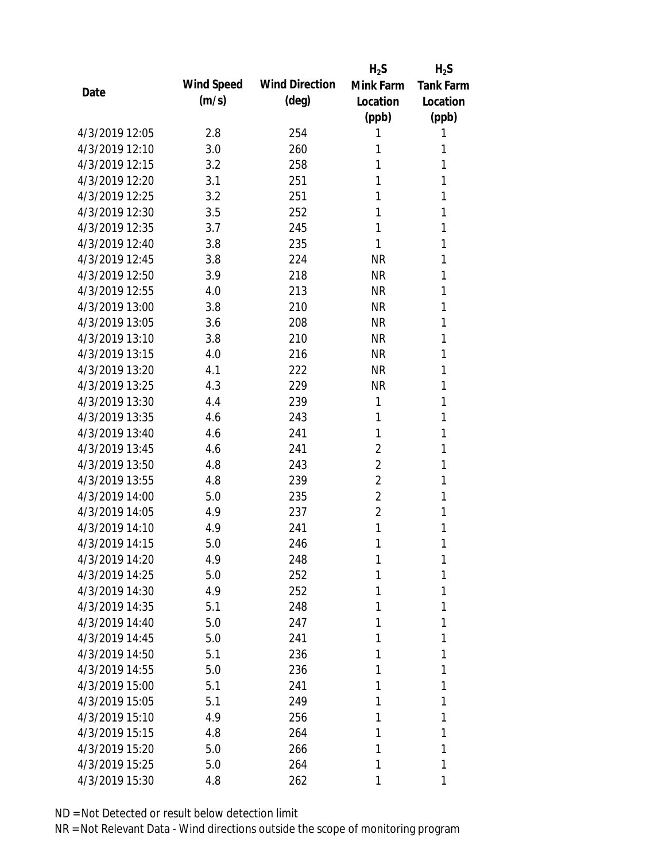|                |            |                       | $H_2S$         | $H_2S$           |
|----------------|------------|-----------------------|----------------|------------------|
| Date           | Wind Speed | <b>Wind Direction</b> | Mink Farm      | <b>Tank Farm</b> |
|                | (m/s)      | (deg)                 | Location       | Location         |
|                |            |                       | (ppb)          | (ppb)            |
| 4/3/2019 12:05 | 2.8        | 254                   | 1              | 1                |
| 4/3/2019 12:10 | 3.0        | 260                   | 1              | 1                |
| 4/3/2019 12:15 | 3.2        | 258                   | 1              | 1                |
| 4/3/2019 12:20 | 3.1        | 251                   | 1              | 1                |
| 4/3/2019 12:25 | 3.2        | 251                   | 1              | 1                |
| 4/3/2019 12:30 | 3.5        | 252                   | 1              | 1                |
| 4/3/2019 12:35 | 3.7        | 245                   | 1              | 1                |
| 4/3/2019 12:40 | 3.8        | 235                   | 1              | 1                |
| 4/3/2019 12:45 | 3.8        | 224                   | <b>NR</b>      | 1                |
| 4/3/2019 12:50 | 3.9        | 218                   | <b>NR</b>      | 1                |
| 4/3/2019 12:55 | 4.0        | 213                   | <b>NR</b>      | 1                |
| 4/3/2019 13:00 | 3.8        | 210                   | <b>NR</b>      | 1                |
| 4/3/2019 13:05 | 3.6        | 208                   | <b>NR</b>      | 1                |
| 4/3/2019 13:10 | 3.8        | 210                   | <b>NR</b>      | 1                |
| 4/3/2019 13:15 | 4.0        | 216                   | <b>NR</b>      | 1                |
| 4/3/2019 13:20 | 4.1        | 222                   | <b>NR</b>      | 1                |
| 4/3/2019 13:25 | 4.3        | 229                   | <b>NR</b>      | 1                |
| 4/3/2019 13:30 | 4.4        | 239                   | 1              | 1                |
| 4/3/2019 13:35 | 4.6        | 243                   | 1              | 1                |
| 4/3/2019 13:40 | 4.6        | 241                   | 1              | 1                |
| 4/3/2019 13:45 | 4.6        | 241                   | $\overline{2}$ | 1                |
| 4/3/2019 13:50 | 4.8        | 243                   | $\overline{2}$ | 1                |
| 4/3/2019 13:55 | 4.8        | 239                   | 2              | 1                |
| 4/3/2019 14:00 | 5.0        | 235                   | $\overline{2}$ | 1                |
| 4/3/2019 14:05 | 4.9        | 237                   | $\overline{2}$ | 1                |
| 4/3/2019 14:10 | 4.9        | 241                   | 1              | 1                |
| 4/3/2019 14:15 | 5.0        | 246                   | 1              | 1                |
| 4/3/2019 14:20 | 4.9        | 248                   | 1              | 1                |
| 4/3/2019 14:25 | 5.0        | 252                   | 1              | 1                |
| 4/3/2019 14:30 | 4.9        | 252                   | 1              | 1                |
| 4/3/2019 14:35 | 5.1        | 248                   | 1              | 1                |
| 4/3/2019 14:40 | 5.0        | 247                   | 1              | 1                |
| 4/3/2019 14:45 | 5.0        | 241                   | 1              | 1                |
| 4/3/2019 14:50 | 5.1        | 236                   | 1              | 1                |
| 4/3/2019 14:55 | 5.0        | 236                   | 1              | 1                |
| 4/3/2019 15:00 | 5.1        | 241                   | 1              | 1                |
| 4/3/2019 15:05 | 5.1        | 249                   | 1              | 1                |
| 4/3/2019 15:10 | 4.9        | 256                   | 1              | 1                |
| 4/3/2019 15:15 | 4.8        | 264                   | 1              | 1                |
| 4/3/2019 15:20 | 5.0        | 266                   | 1              | 1                |
| 4/3/2019 15:25 | 5.0        | 264                   | 1              | 1                |
| 4/3/2019 15:30 | 4.8        | 262                   | 1              | 1                |
|                |            |                       |                |                  |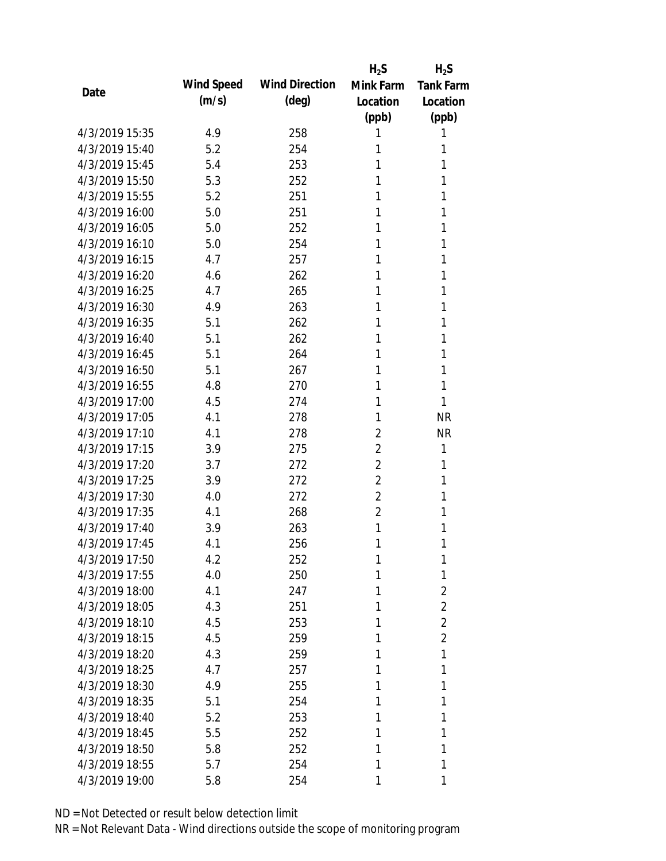|                |            |                       | $H_2S$         | $H_2S$           |
|----------------|------------|-----------------------|----------------|------------------|
| Date           | Wind Speed | <b>Wind Direction</b> | Mink Farm      | <b>Tank Farm</b> |
|                | (m/s)      | (deg)                 | Location       | Location         |
|                |            |                       | (ppb)          | (ppb)            |
| 4/3/2019 15:35 | 4.9        | 258                   | 1              | 1                |
| 4/3/2019 15:40 | 5.2        | 254                   | 1              | 1                |
| 4/3/2019 15:45 | 5.4        | 253                   | 1              | 1                |
| 4/3/2019 15:50 | 5.3        | 252                   | 1              | 1                |
| 4/3/2019 15:55 | 5.2        | 251                   | 1              | 1                |
| 4/3/2019 16:00 | 5.0        | 251                   | 1              | 1                |
| 4/3/2019 16:05 | 5.0        | 252                   | 1              | 1                |
| 4/3/2019 16:10 | 5.0        | 254                   | 1              | 1                |
| 4/3/2019 16:15 | 4.7        | 257                   | 1              | 1                |
| 4/3/2019 16:20 | 4.6        | 262                   | 1              | 1                |
| 4/3/2019 16:25 | 4.7        | 265                   | 1              | 1                |
| 4/3/2019 16:30 | 4.9        | 263                   | 1              | 1                |
| 4/3/2019 16:35 | 5.1        | 262                   | 1              | 1                |
| 4/3/2019 16:40 | 5.1        | 262                   | 1              | 1                |
| 4/3/2019 16:45 | 5.1        | 264                   | 1              | 1                |
| 4/3/2019 16:50 | 5.1        | 267                   | 1              | 1                |
| 4/3/2019 16:55 | 4.8        | 270                   | 1              | 1                |
| 4/3/2019 17:00 | 4.5        | 274                   | 1              | 1                |
| 4/3/2019 17:05 | 4.1        | 278                   | 1              | <b>NR</b>        |
| 4/3/2019 17:10 | 4.1        | 278                   | $\overline{2}$ | <b>NR</b>        |
| 4/3/2019 17:15 | 3.9        | 275                   | $\overline{2}$ | 1                |
| 4/3/2019 17:20 | 3.7        | 272                   | $\overline{2}$ | 1                |
| 4/3/2019 17:25 | 3.9        | 272                   | 2              | 1                |
| 4/3/2019 17:30 | 4.0        | 272                   | $\overline{2}$ | 1                |
| 4/3/2019 17:35 | 4.1        | 268                   | $\overline{2}$ | 1                |
| 4/3/2019 17:40 | 3.9        | 263                   | 1              | 1                |
| 4/3/2019 17:45 | 4.1        | 256                   | 1              | 1                |
| 4/3/2019 17:50 | 4.2        | 252                   | 1              | 1                |
| 4/3/2019 17:55 | 4.0        | 250                   | 1              | 1                |
| 4/3/2019 18:00 | 4.1        | 247                   | 1              | $\overline{2}$   |
| 4/3/2019 18:05 | 4.3        | 251                   | 1              | $\overline{2}$   |
| 4/3/2019 18:10 | 4.5        | 253                   | 1              | $\overline{2}$   |
| 4/3/2019 18:15 | 4.5        | 259                   | 1              | $\overline{2}$   |
| 4/3/2019 18:20 | 4.3        | 259                   | 1              | 1                |
| 4/3/2019 18:25 | 4.7        | 257                   | 1              | 1                |
| 4/3/2019 18:30 | 4.9        | 255                   | 1              | 1                |
| 4/3/2019 18:35 | 5.1        | 254                   | 1              | 1                |
| 4/3/2019 18:40 | 5.2        | 253                   | 1              | 1                |
| 4/3/2019 18:45 | 5.5        | 252                   | 1              | 1                |
| 4/3/2019 18:50 | 5.8        | 252                   | 1              | 1                |
| 4/3/2019 18:55 | 5.7        | 254                   | 1              | 1                |
| 4/3/2019 19:00 | 5.8        | 254                   | 1              | 1                |
|                |            |                       |                |                  |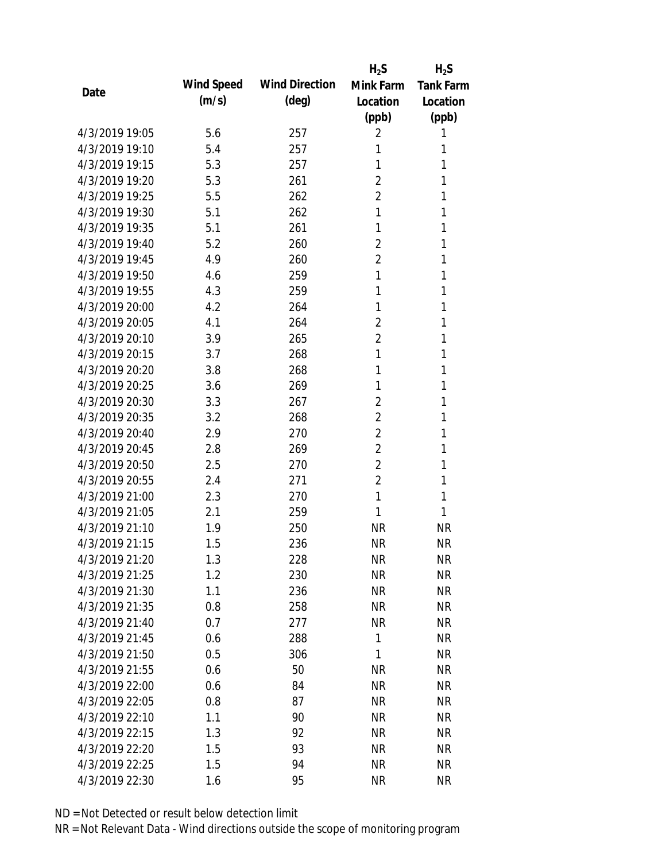|                |            |                       | $H_2S$         | $H_2S$           |
|----------------|------------|-----------------------|----------------|------------------|
| Date           | Wind Speed | <b>Wind Direction</b> | Mink Farm      | <b>Tank Farm</b> |
|                | (m/s)      | (deg)                 | Location       | Location         |
|                |            |                       | (ppb)          | (ppb)            |
| 4/3/2019 19:05 | 5.6        | 257                   | 2              | 1                |
| 4/3/2019 19:10 | 5.4        | 257                   | 1              | 1                |
| 4/3/2019 19:15 | 5.3        | 257                   | 1              | 1                |
| 4/3/2019 19:20 | 5.3        | 261                   | $\overline{2}$ | 1                |
| 4/3/2019 19:25 | 5.5        | 262                   | $\overline{2}$ | 1                |
| 4/3/2019 19:30 | 5.1        | 262                   | 1              | 1                |
| 4/3/2019 19:35 | 5.1        | 261                   | 1              | 1                |
| 4/3/2019 19:40 | 5.2        | 260                   | $\overline{2}$ | 1                |
| 4/3/2019 19:45 | 4.9        | 260                   | 2              | 1                |
| 4/3/2019 19:50 | 4.6        | 259                   | 1              | 1                |
| 4/3/2019 19:55 | 4.3        | 259                   | 1              | 1                |
| 4/3/2019 20:00 | 4.2        | 264                   | 1              | 1                |
| 4/3/2019 20:05 | 4.1        | 264                   | $\overline{2}$ | 1                |
| 4/3/2019 20:10 | 3.9        | 265                   | 2              | 1                |
| 4/3/2019 20:15 | 3.7        | 268                   | 1              | 1                |
| 4/3/2019 20:20 | 3.8        | 268                   | 1              | 1                |
| 4/3/2019 20:25 | 3.6        | 269                   | 1              | 1                |
| 4/3/2019 20:30 | 3.3        | 267                   | $\overline{2}$ | 1                |
| 4/3/2019 20:35 | 3.2        | 268                   | $\overline{2}$ | 1                |
| 4/3/2019 20:40 | 2.9        | 270                   | 2              | 1                |
| 4/3/2019 20:45 | 2.8        | 269                   | $\overline{2}$ | 1                |
| 4/3/2019 20:50 | 2.5        | 270                   | $\overline{2}$ | 1                |
| 4/3/2019 20:55 | 2.4        | 271                   | $\overline{2}$ | 1                |
| 4/3/2019 21:00 | 2.3        | 270                   | $\mathbf{1}$   | 1                |
| 4/3/2019 21:05 | 2.1        | 259                   | 1              | 1                |
| 4/3/2019 21:10 | 1.9        | 250                   | <b>NR</b>      | <b>NR</b>        |
| 4/3/2019 21:15 | 1.5        | 236                   | <b>NR</b>      | <b>NR</b>        |
| 4/3/2019 21:20 | 1.3        | 228                   | <b>NR</b>      | <b>NR</b>        |
| 4/3/2019 21:25 | 1.2        | 230                   | <b>NR</b>      | <b>NR</b>        |
| 4/3/2019 21:30 | 1.1        | 236                   | <b>NR</b>      | <b>NR</b>        |
| 4/3/2019 21:35 | 0.8        | 258                   | <b>NR</b>      | <b>NR</b>        |
| 4/3/2019 21:40 | 0.7        | 277                   | <b>NR</b>      | <b>NR</b>        |
| 4/3/2019 21:45 | 0.6        | 288                   | 1              | <b>NR</b>        |
| 4/3/2019 21:50 | 0.5        | 306                   | 1              | <b>NR</b>        |
| 4/3/2019 21:55 | 0.6        | 50                    | <b>NR</b>      | <b>NR</b>        |
| 4/3/2019 22:00 | 0.6        | 84                    | <b>NR</b>      | <b>NR</b>        |
| 4/3/2019 22:05 | 0.8        | 87                    | <b>NR</b>      | <b>NR</b>        |
| 4/3/2019 22:10 | 1.1        | 90                    | <b>NR</b>      | <b>NR</b>        |
| 4/3/2019 22:15 | 1.3        | 92                    | <b>NR</b>      | <b>NR</b>        |
| 4/3/2019 22:20 | 1.5        | 93                    | <b>NR</b>      | <b>NR</b>        |
| 4/3/2019 22:25 | 1.5        | 94                    | <b>NR</b>      | <b>NR</b>        |
| 4/3/2019 22:30 | $1.6\,$    | 95                    | <b>NR</b>      | <b>NR</b>        |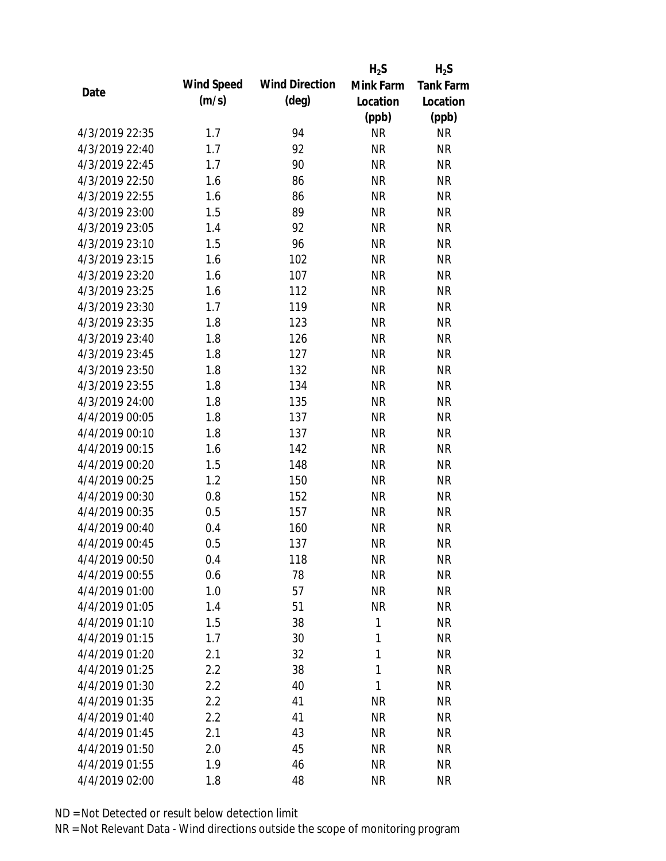|                |            |                       | $H_2S$    | $H_2S$           |
|----------------|------------|-----------------------|-----------|------------------|
|                | Wind Speed | <b>Wind Direction</b> | Mink Farm | <b>Tank Farm</b> |
| Date           | (m/s)      | $(\text{deg})$        | Location  | Location         |
|                |            |                       | (ppb)     | (ppb)            |
| 4/3/2019 22:35 | 1.7        | 94                    | <b>NR</b> | <b>NR</b>        |
| 4/3/2019 22:40 | 1.7        | 92                    | <b>NR</b> | <b>NR</b>        |
| 4/3/2019 22:45 | 1.7        | 90                    | <b>NR</b> | <b>NR</b>        |
| 4/3/2019 22:50 | 1.6        | 86                    | <b>NR</b> | <b>NR</b>        |
| 4/3/2019 22:55 | 1.6        | 86                    | <b>NR</b> | <b>NR</b>        |
| 4/3/2019 23:00 | 1.5        | 89                    | <b>NR</b> | <b>NR</b>        |
| 4/3/2019 23:05 | 1.4        | 92                    | <b>NR</b> | <b>NR</b>        |
| 4/3/2019 23:10 | 1.5        | 96                    | <b>NR</b> | <b>NR</b>        |
| 4/3/2019 23:15 | 1.6        | 102                   | <b>NR</b> | <b>NR</b>        |
| 4/3/2019 23:20 | 1.6        | 107                   | <b>NR</b> | <b>NR</b>        |
| 4/3/2019 23:25 | 1.6        | 112                   | <b>NR</b> | <b>NR</b>        |
| 4/3/2019 23:30 | 1.7        | 119                   | <b>NR</b> | <b>NR</b>        |
| 4/3/2019 23:35 | 1.8        | 123                   | <b>NR</b> | <b>NR</b>        |
| 4/3/2019 23:40 | 1.8        | 126                   | <b>NR</b> | <b>NR</b>        |
| 4/3/2019 23:45 | 1.8        | 127                   | <b>NR</b> | <b>NR</b>        |
| 4/3/2019 23:50 | 1.8        | 132                   | <b>NR</b> | <b>NR</b>        |
| 4/3/2019 23:55 | 1.8        | 134                   | <b>NR</b> | <b>NR</b>        |
| 4/3/2019 24:00 | 1.8        | 135                   | <b>NR</b> | <b>NR</b>        |
| 4/4/2019 00:05 | 1.8        | 137                   | <b>NR</b> | <b>NR</b>        |
| 4/4/2019 00:10 | 1.8        | 137                   | <b>NR</b> | <b>NR</b>        |
| 4/4/2019 00:15 | 1.6        | 142                   | <b>NR</b> | <b>NR</b>        |
| 4/4/2019 00:20 | 1.5        | 148                   | <b>NR</b> | <b>NR</b>        |
| 4/4/2019 00:25 | 1.2        | 150                   | <b>NR</b> | <b>NR</b>        |
| 4/4/2019 00:30 | 0.8        | 152                   | <b>NR</b> | <b>NR</b>        |
| 4/4/2019 00:35 | 0.5        | 157                   | <b>NR</b> | <b>NR</b>        |
| 4/4/2019 00:40 | 0.4        | 160                   | <b>NR</b> | <b>NR</b>        |
| 4/4/2019 00:45 | 0.5        | 137                   | <b>NR</b> | <b>NR</b>        |
| 4/4/2019 00:50 | 0.4        | 118                   | <b>NR</b> | <b>NR</b>        |
| 4/4/2019 00:55 | 0.6        | 78                    | <b>NR</b> | <b>NR</b>        |
| 4/4/2019 01:00 | 1.0        | 57                    | <b>NR</b> | <b>NR</b>        |
| 4/4/2019 01:05 | 1.4        | 51                    | <b>NR</b> | <b>NR</b>        |
| 4/4/2019 01:10 | 1.5        | 38                    | 1         | <b>NR</b>        |
| 4/4/2019 01:15 | 1.7        | 30                    | 1         | <b>NR</b>        |
| 4/4/2019 01:20 | 2.1        | 32                    | 1         | <b>NR</b>        |
| 4/4/2019 01:25 | 2.2        | 38                    | 1         | <b>NR</b>        |
| 4/4/2019 01:30 | 2.2        | 40                    | 1         | <b>NR</b>        |
| 4/4/2019 01:35 | 2.2        | 41                    | <b>NR</b> | <b>NR</b>        |
| 4/4/2019 01:40 | 2.2        | 41                    | <b>NR</b> | <b>NR</b>        |
| 4/4/2019 01:45 | 2.1        | 43                    | <b>NR</b> | <b>NR</b>        |
| 4/4/2019 01:50 | 2.0        | 45                    | <b>NR</b> | <b>NR</b>        |
| 4/4/2019 01:55 | 1.9        | 46                    | <b>NR</b> | <b>NR</b>        |
| 4/4/2019 02:00 | 1.8        | 48                    | <b>NR</b> | <b>NR</b>        |
|                |            |                       |           |                  |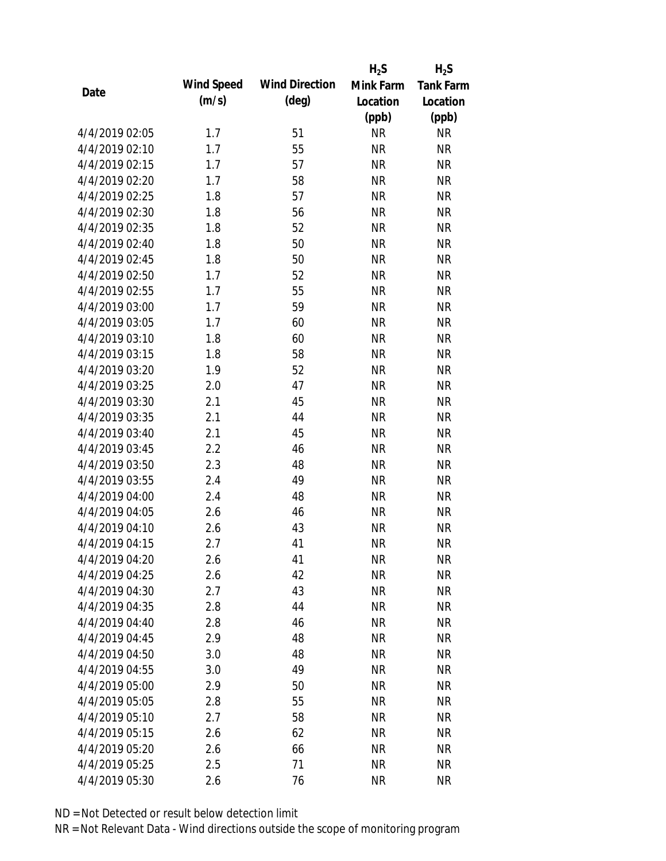|                |            |                       | $H_2S$    | $H_2S$           |
|----------------|------------|-----------------------|-----------|------------------|
|                | Wind Speed | <b>Wind Direction</b> | Mink Farm | <b>Tank Farm</b> |
| Date           | (m/s)      | $(\text{deg})$        | Location  | Location         |
|                |            |                       | (ppb)     | (ppb)            |
| 4/4/2019 02:05 | 1.7        | 51                    | <b>NR</b> | <b>NR</b>        |
| 4/4/2019 02:10 | 1.7        | 55                    | <b>NR</b> | <b>NR</b>        |
| 4/4/2019 02:15 | 1.7        | 57                    | <b>NR</b> | <b>NR</b>        |
| 4/4/2019 02:20 | 1.7        | 58                    | <b>NR</b> | <b>NR</b>        |
| 4/4/2019 02:25 | 1.8        | 57                    | <b>NR</b> | <b>NR</b>        |
| 4/4/2019 02:30 | 1.8        | 56                    | <b>NR</b> | <b>NR</b>        |
| 4/4/2019 02:35 | 1.8        | 52                    | <b>NR</b> | <b>NR</b>        |
| 4/4/2019 02:40 | 1.8        | 50                    | <b>NR</b> | <b>NR</b>        |
| 4/4/2019 02:45 | 1.8        | 50                    | <b>NR</b> | <b>NR</b>        |
| 4/4/2019 02:50 | 1.7        | 52                    | <b>NR</b> | <b>NR</b>        |
| 4/4/2019 02:55 | 1.7        | 55                    | <b>NR</b> | <b>NR</b>        |
| 4/4/2019 03:00 | 1.7        | 59                    | <b>NR</b> | <b>NR</b>        |
| 4/4/2019 03:05 | 1.7        | 60                    | <b>NR</b> | <b>NR</b>        |
| 4/4/2019 03:10 | 1.8        | 60                    | <b>NR</b> | <b>NR</b>        |
| 4/4/2019 03:15 | 1.8        | 58                    | <b>NR</b> | <b>NR</b>        |
| 4/4/2019 03:20 | 1.9        | 52                    | <b>NR</b> | <b>NR</b>        |
| 4/4/2019 03:25 | 2.0        | 47                    | <b>NR</b> | <b>NR</b>        |
| 4/4/2019 03:30 | 2.1        | 45                    | <b>NR</b> | <b>NR</b>        |
| 4/4/2019 03:35 | 2.1        | 44                    | <b>NR</b> | <b>NR</b>        |
| 4/4/2019 03:40 | 2.1        | 45                    | <b>NR</b> | <b>NR</b>        |
| 4/4/2019 03:45 | 2.2        | 46                    | <b>NR</b> | <b>NR</b>        |
| 4/4/2019 03:50 | 2.3        | 48                    | <b>NR</b> | <b>NR</b>        |
| 4/4/2019 03:55 | 2.4        | 49                    | <b>NR</b> | <b>NR</b>        |
| 4/4/2019 04:00 | 2.4        | 48                    | <b>NR</b> | <b>NR</b>        |
| 4/4/2019 04:05 | 2.6        | 46                    | <b>NR</b> | <b>NR</b>        |
| 4/4/2019 04:10 | 2.6        | 43                    | <b>NR</b> | <b>NR</b>        |
| 4/4/2019 04:15 | 2.7        | 41                    | <b>NR</b> | <b>NR</b>        |
| 4/4/2019 04:20 | 2.6        | 41                    | <b>NR</b> | <b>NR</b>        |
| 4/4/2019 04:25 | 2.6        | 42                    | <b>NR</b> | <b>NR</b>        |
| 4/4/2019 04:30 | 2.7        | 43                    | <b>NR</b> | <b>NR</b>        |
| 4/4/2019 04:35 | 2.8        | 44                    | <b>NR</b> | <b>NR</b>        |
| 4/4/2019 04:40 | 2.8        | 46                    | <b>NR</b> | <b>NR</b>        |
| 4/4/2019 04:45 | 2.9        | 48                    | <b>NR</b> | <b>NR</b>        |
| 4/4/2019 04:50 | 3.0        | 48                    | <b>NR</b> | <b>NR</b>        |
| 4/4/2019 04:55 | 3.0        | 49                    | <b>NR</b> | <b>NR</b>        |
| 4/4/2019 05:00 | 2.9        | 50                    | <b>NR</b> | <b>NR</b>        |
| 4/4/2019 05:05 | 2.8        | 55                    | <b>NR</b> | <b>NR</b>        |
| 4/4/2019 05:10 | 2.7        | 58                    | <b>NR</b> | <b>NR</b>        |
| 4/4/2019 05:15 | 2.6        | 62                    | <b>NR</b> | <b>NR</b>        |
| 4/4/2019 05:20 | 2.6        | 66                    | <b>NR</b> | <b>NR</b>        |
| 4/4/2019 05:25 | 2.5        | 71                    | <b>NR</b> | <b>NR</b>        |
| 4/4/2019 05:30 | 2.6        | 76                    | <b>NR</b> | <b>NR</b>        |
|                |            |                       |           |                  |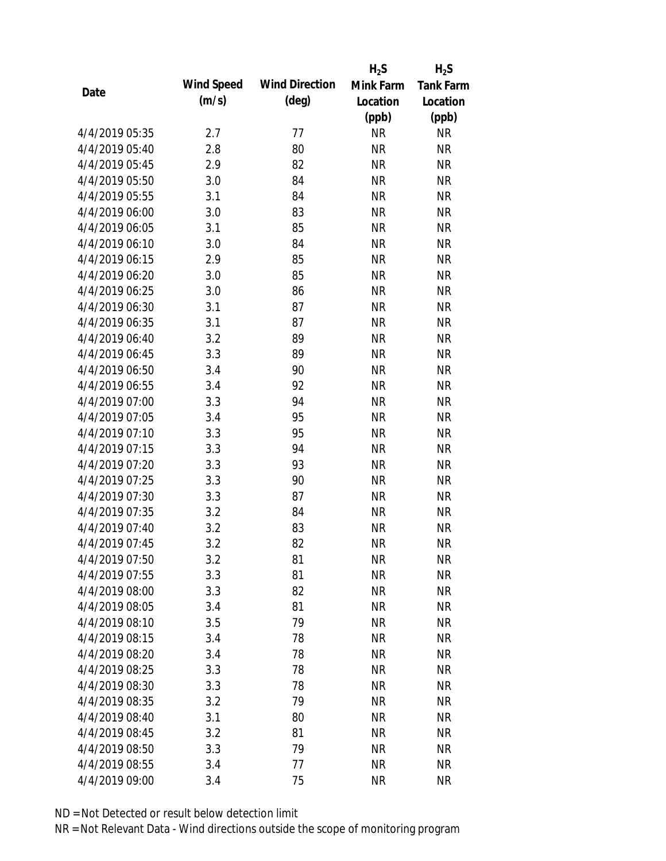|                |            |                       | $H_2S$    | $H_2S$           |
|----------------|------------|-----------------------|-----------|------------------|
| Date           | Wind Speed | <b>Wind Direction</b> | Mink Farm | <b>Tank Farm</b> |
|                | (m/s)      | $(\text{deg})$        | Location  | Location         |
|                |            |                       | (ppb)     | (ppb)            |
| 4/4/2019 05:35 | 2.7        | 77                    | <b>NR</b> | <b>NR</b>        |
| 4/4/2019 05:40 | 2.8        | 80                    | <b>NR</b> | <b>NR</b>        |
| 4/4/2019 05:45 | 2.9        | 82                    | <b>NR</b> | <b>NR</b>        |
| 4/4/2019 05:50 | 3.0        | 84                    | <b>NR</b> | <b>NR</b>        |
| 4/4/2019 05:55 | 3.1        | 84                    | <b>NR</b> | <b>NR</b>        |
| 4/4/2019 06:00 | 3.0        | 83                    | <b>NR</b> | <b>NR</b>        |
| 4/4/2019 06:05 | 3.1        | 85                    | <b>NR</b> | <b>NR</b>        |
| 4/4/2019 06:10 | 3.0        | 84                    | <b>NR</b> | <b>NR</b>        |
| 4/4/2019 06:15 | 2.9        | 85                    | <b>NR</b> | <b>NR</b>        |
| 4/4/2019 06:20 | 3.0        | 85                    | <b>NR</b> | <b>NR</b>        |
| 4/4/2019 06:25 | 3.0        | 86                    | <b>NR</b> | <b>NR</b>        |
| 4/4/2019 06:30 | 3.1        | 87                    | <b>NR</b> | <b>NR</b>        |
| 4/4/2019 06:35 | 3.1        | 87                    | <b>NR</b> | <b>NR</b>        |
| 4/4/2019 06:40 | 3.2        | 89                    | <b>NR</b> | <b>NR</b>        |
| 4/4/2019 06:45 | 3.3        | 89                    | <b>NR</b> | <b>NR</b>        |
| 4/4/2019 06:50 | 3.4        | 90                    | <b>NR</b> | <b>NR</b>        |
| 4/4/2019 06:55 | 3.4        | 92                    | <b>NR</b> | <b>NR</b>        |
| 4/4/2019 07:00 | 3.3        | 94                    | <b>NR</b> | <b>NR</b>        |
| 4/4/2019 07:05 | 3.4        | 95                    | <b>NR</b> | <b>NR</b>        |
| 4/4/2019 07:10 | 3.3        | 95                    | <b>NR</b> | <b>NR</b>        |
| 4/4/2019 07:15 | 3.3        | 94                    | <b>NR</b> | <b>NR</b>        |
| 4/4/2019 07:20 | 3.3        | 93                    | <b>NR</b> | <b>NR</b>        |
| 4/4/2019 07:25 | 3.3        | 90                    | <b>NR</b> | <b>NR</b>        |
| 4/4/2019 07:30 | 3.3        | 87                    | <b>NR</b> | <b>NR</b>        |
| 4/4/2019 07:35 | 3.2        | 84                    | <b>NR</b> | <b>NR</b>        |
| 4/4/2019 07:40 | 3.2        | 83                    | <b>NR</b> | <b>NR</b>        |
| 4/4/2019 07:45 | 3.2        | 82                    | <b>NR</b> | <b>NR</b>        |
| 4/4/2019 07:50 | 3.2        | 81                    | <b>NR</b> | <b>NR</b>        |
| 4/4/2019 07:55 | 3.3        | 81                    | <b>NR</b> | <b>NR</b>        |
| 4/4/2019 08:00 | 3.3        | 82                    | <b>NR</b> | <b>NR</b>        |
| 4/4/2019 08:05 | 3.4        | 81                    | <b>NR</b> | <b>NR</b>        |
| 4/4/2019 08:10 | 3.5        | 79                    | <b>NR</b> | <b>NR</b>        |
| 4/4/2019 08:15 | 3.4        | 78                    | <b>NR</b> | <b>NR</b>        |
| 4/4/2019 08:20 | 3.4        | 78                    | <b>NR</b> | <b>NR</b>        |
| 4/4/2019 08:25 | 3.3        | 78                    | <b>NR</b> | <b>NR</b>        |
| 4/4/2019 08:30 | 3.3        | 78                    | <b>NR</b> | <b>NR</b>        |
| 4/4/2019 08:35 | 3.2        | 79                    | <b>NR</b> | <b>NR</b>        |
| 4/4/2019 08:40 | 3.1        | 80                    | <b>NR</b> | <b>NR</b>        |
| 4/4/2019 08:45 | 3.2        | 81                    | <b>NR</b> | <b>NR</b>        |
| 4/4/2019 08:50 | 3.3        | 79                    | <b>NR</b> | <b>NR</b>        |
| 4/4/2019 08:55 | 3.4        | 77                    | <b>NR</b> | <b>NR</b>        |
| 4/4/2019 09:00 | 3.4        | 75                    | <b>NR</b> | <b>NR</b>        |
|                |            |                       |           |                  |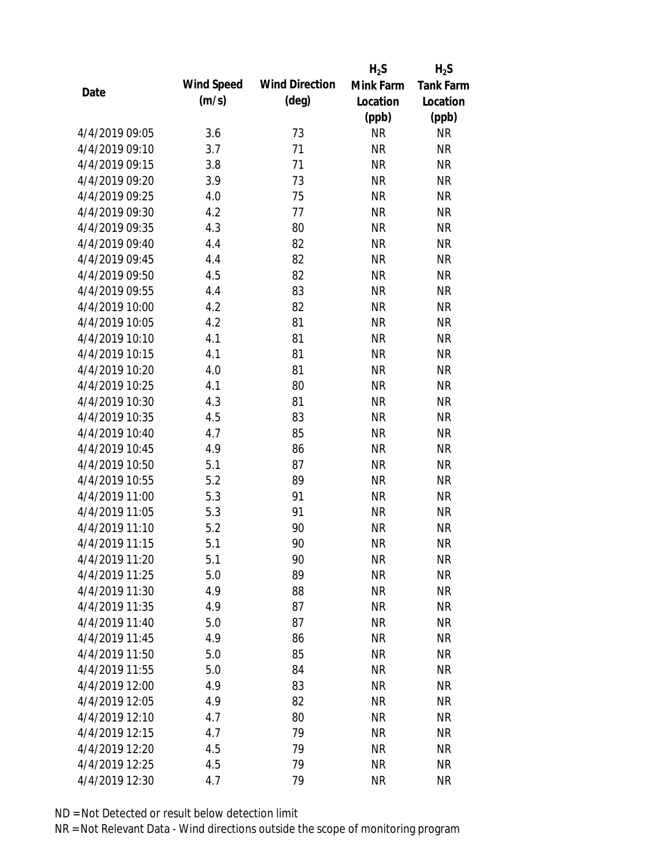|                |            |                       | $H_2S$    | $H_2S$           |
|----------------|------------|-----------------------|-----------|------------------|
|                | Wind Speed | <b>Wind Direction</b> | Mink Farm | <b>Tank Farm</b> |
| Date           | (m/s)      | $(\text{deg})$        | Location  | Location         |
|                |            |                       | (ppb)     | (ppb)            |
| 4/4/2019 09:05 | 3.6        | 73                    | <b>NR</b> | <b>NR</b>        |
| 4/4/2019 09:10 | 3.7        | 71                    | <b>NR</b> | <b>NR</b>        |
| 4/4/2019 09:15 | 3.8        | 71                    | <b>NR</b> | <b>NR</b>        |
| 4/4/2019 09:20 | 3.9        | 73                    | <b>NR</b> | <b>NR</b>        |
| 4/4/2019 09:25 | 4.0        | 75                    | <b>NR</b> | <b>NR</b>        |
| 4/4/2019 09:30 | 4.2        | 77                    | <b>NR</b> | <b>NR</b>        |
| 4/4/2019 09:35 | 4.3        | 80                    | <b>NR</b> | <b>NR</b>        |
| 4/4/2019 09:40 | 4.4        | 82                    | <b>NR</b> | <b>NR</b>        |
| 4/4/2019 09:45 | 4.4        | 82                    | <b>NR</b> | <b>NR</b>        |
| 4/4/2019 09:50 | 4.5        | 82                    | <b>NR</b> | <b>NR</b>        |
| 4/4/2019 09:55 | 4.4        | 83                    | <b>NR</b> | <b>NR</b>        |
| 4/4/2019 10:00 | 4.2        | 82                    | <b>NR</b> | <b>NR</b>        |
| 4/4/2019 10:05 | 4.2        | 81                    | <b>NR</b> | <b>NR</b>        |
| 4/4/2019 10:10 | 4.1        | 81                    | <b>NR</b> | <b>NR</b>        |
| 4/4/2019 10:15 | 4.1        | 81                    | <b>NR</b> | <b>NR</b>        |
| 4/4/2019 10:20 | 4.0        | 81                    | <b>NR</b> | <b>NR</b>        |
| 4/4/2019 10:25 | 4.1        | 80                    | <b>NR</b> | <b>NR</b>        |
| 4/4/2019 10:30 | 4.3        | 81                    | <b>NR</b> | <b>NR</b>        |
| 4/4/2019 10:35 | 4.5        | 83                    | <b>NR</b> | <b>NR</b>        |
| 4/4/2019 10:40 | 4.7        | 85                    | <b>NR</b> | <b>NR</b>        |
| 4/4/2019 10:45 | 4.9        | 86                    | <b>NR</b> | <b>NR</b>        |
| 4/4/2019 10:50 | 5.1        | 87                    | <b>NR</b> | <b>NR</b>        |
| 4/4/2019 10:55 | 5.2        | 89                    | <b>NR</b> | <b>NR</b>        |
| 4/4/2019 11:00 | 5.3        | 91                    | <b>NR</b> | <b>NR</b>        |
| 4/4/2019 11:05 | 5.3        | 91                    | <b>NR</b> | <b>NR</b>        |
| 4/4/2019 11:10 | 5.2        | 90                    | <b>NR</b> | <b>NR</b>        |
| 4/4/2019 11:15 | 5.1        | 90                    | <b>NR</b> | <b>NR</b>        |
| 4/4/2019 11:20 | 5.1        | 90                    | <b>NR</b> | <b>NR</b>        |
| 4/4/2019 11:25 | 5.0        | 89                    | <b>NR</b> | <b>NR</b>        |
| 4/4/2019 11:30 | 4.9        | 88                    | <b>NR</b> | <b>NR</b>        |
| 4/4/2019 11:35 | 4.9        | 87                    | <b>NR</b> | <b>NR</b>        |
| 4/4/2019 11:40 | 5.0        | 87                    | <b>NR</b> | <b>NR</b>        |
| 4/4/2019 11:45 | 4.9        | 86                    | <b>NR</b> | <b>NR</b>        |
| 4/4/2019 11:50 | 5.0        | 85                    | <b>NR</b> | <b>NR</b>        |
| 4/4/2019 11:55 | 5.0        | 84                    | <b>NR</b> | <b>NR</b>        |
| 4/4/2019 12:00 | 4.9        | 83                    | <b>NR</b> | <b>NR</b>        |
| 4/4/2019 12:05 | 4.9        | 82                    | <b>NR</b> | <b>NR</b>        |
| 4/4/2019 12:10 | 4.7        | 80                    | <b>NR</b> | <b>NR</b>        |
| 4/4/2019 12:15 | 4.7        | 79                    | <b>NR</b> | <b>NR</b>        |
| 4/4/2019 12:20 | 4.5        | 79                    | <b>NR</b> | <b>NR</b>        |
| 4/4/2019 12:25 | 4.5        | 79                    | <b>NR</b> | <b>NR</b>        |
| 4/4/2019 12:30 | 4.7        | 79                    | <b>NR</b> | <b>NR</b>        |
|                |            |                       |           |                  |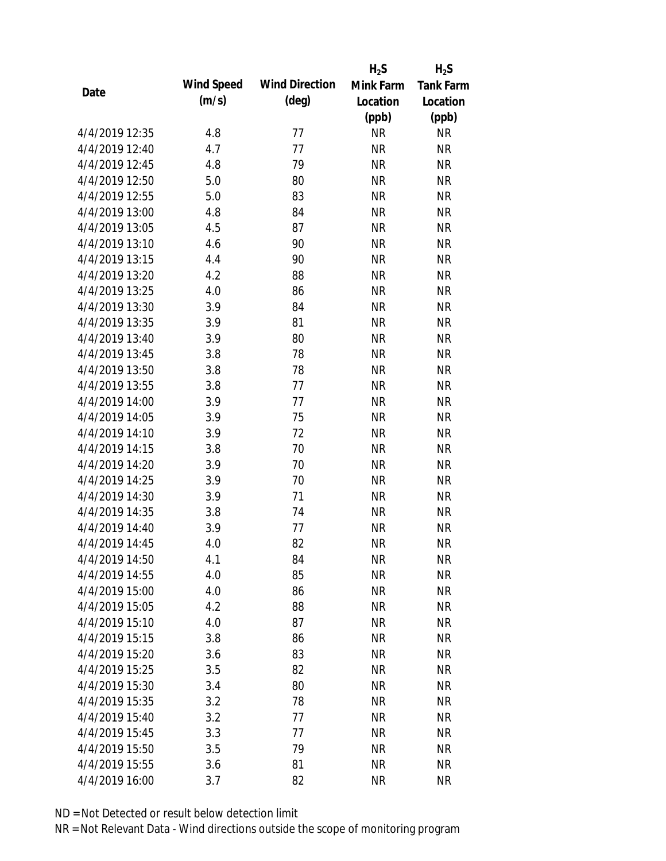|                |            |                       | $H_2S$    | $H_2S$           |
|----------------|------------|-----------------------|-----------|------------------|
|                | Wind Speed | <b>Wind Direction</b> | Mink Farm | <b>Tank Farm</b> |
| Date           | (m/s)      | $(\text{deg})$        | Location  | Location         |
|                |            |                       | (ppb)     | (ppb)            |
| 4/4/2019 12:35 | 4.8        | 77                    | <b>NR</b> | <b>NR</b>        |
| 4/4/2019 12:40 | 4.7        | 77                    | <b>NR</b> | <b>NR</b>        |
| 4/4/2019 12:45 | 4.8        | 79                    | <b>NR</b> | <b>NR</b>        |
| 4/4/2019 12:50 | 5.0        | 80                    | <b>NR</b> | <b>NR</b>        |
| 4/4/2019 12:55 | 5.0        | 83                    | <b>NR</b> | <b>NR</b>        |
| 4/4/2019 13:00 | 4.8        | 84                    | <b>NR</b> | <b>NR</b>        |
| 4/4/2019 13:05 | 4.5        | 87                    | <b>NR</b> | <b>NR</b>        |
| 4/4/2019 13:10 | 4.6        | 90                    | <b>NR</b> | <b>NR</b>        |
| 4/4/2019 13:15 | 4.4        | 90                    | <b>NR</b> | <b>NR</b>        |
| 4/4/2019 13:20 | 4.2        | 88                    | <b>NR</b> | <b>NR</b>        |
| 4/4/2019 13:25 | 4.0        | 86                    | <b>NR</b> | <b>NR</b>        |
| 4/4/2019 13:30 | 3.9        | 84                    | <b>NR</b> | <b>NR</b>        |
| 4/4/2019 13:35 | 3.9        | 81                    | <b>NR</b> | <b>NR</b>        |
| 4/4/2019 13:40 | 3.9        | 80                    | <b>NR</b> | <b>NR</b>        |
| 4/4/2019 13:45 | 3.8        | 78                    | <b>NR</b> | <b>NR</b>        |
| 4/4/2019 13:50 | 3.8        | 78                    | <b>NR</b> | <b>NR</b>        |
| 4/4/2019 13:55 | 3.8        | 77                    | <b>NR</b> | <b>NR</b>        |
| 4/4/2019 14:00 | 3.9        | 77                    | <b>NR</b> | <b>NR</b>        |
| 4/4/2019 14:05 | 3.9        | 75                    | <b>NR</b> | <b>NR</b>        |
| 4/4/2019 14:10 | 3.9        | 72                    | <b>NR</b> | <b>NR</b>        |
| 4/4/2019 14:15 | 3.8        | 70                    | <b>NR</b> | <b>NR</b>        |
| 4/4/2019 14:20 | 3.9        | 70                    | <b>NR</b> | <b>NR</b>        |
| 4/4/2019 14:25 | 3.9        | 70                    | <b>NR</b> | <b>NR</b>        |
| 4/4/2019 14:30 | 3.9        | 71                    | <b>NR</b> | <b>NR</b>        |
| 4/4/2019 14:35 | 3.8        | 74                    | <b>NR</b> | <b>NR</b>        |
| 4/4/2019 14:40 | 3.9        | 77                    | <b>NR</b> | <b>NR</b>        |
| 4/4/2019 14:45 | 4.0        | 82                    | <b>NR</b> | <b>NR</b>        |
| 4/4/2019 14:50 | 4.1        | 84                    | <b>NR</b> | <b>NR</b>        |
| 4/4/2019 14:55 | 4.0        | 85                    | <b>NR</b> | <b>NR</b>        |
| 4/4/2019 15:00 | 4.0        | 86                    | <b>NR</b> | <b>NR</b>        |
| 4/4/2019 15:05 | 4.2        | 88                    | <b>NR</b> | <b>NR</b>        |
| 4/4/2019 15:10 | 4.0        | 87                    | <b>NR</b> | <b>NR</b>        |
| 4/4/2019 15:15 | 3.8        | 86                    | <b>NR</b> | <b>NR</b>        |
| 4/4/2019 15:20 | 3.6        | 83                    | <b>NR</b> | <b>NR</b>        |
| 4/4/2019 15:25 | 3.5        | 82                    | <b>NR</b> | <b>NR</b>        |
| 4/4/2019 15:30 | 3.4        | 80                    | <b>NR</b> | <b>NR</b>        |
| 4/4/2019 15:35 | 3.2        | 78                    | <b>NR</b> | <b>NR</b>        |
| 4/4/2019 15:40 | 3.2        | 77                    | <b>NR</b> | <b>NR</b>        |
| 4/4/2019 15:45 | 3.3        | 77                    | <b>NR</b> | <b>NR</b>        |
| 4/4/2019 15:50 | 3.5        | 79                    | <b>NR</b> | <b>NR</b>        |
| 4/4/2019 15:55 | 3.6        | 81                    | <b>NR</b> | <b>NR</b>        |
| 4/4/2019 16:00 | 3.7        | 82                    | <b>NR</b> | <b>NR</b>        |
|                |            |                       |           |                  |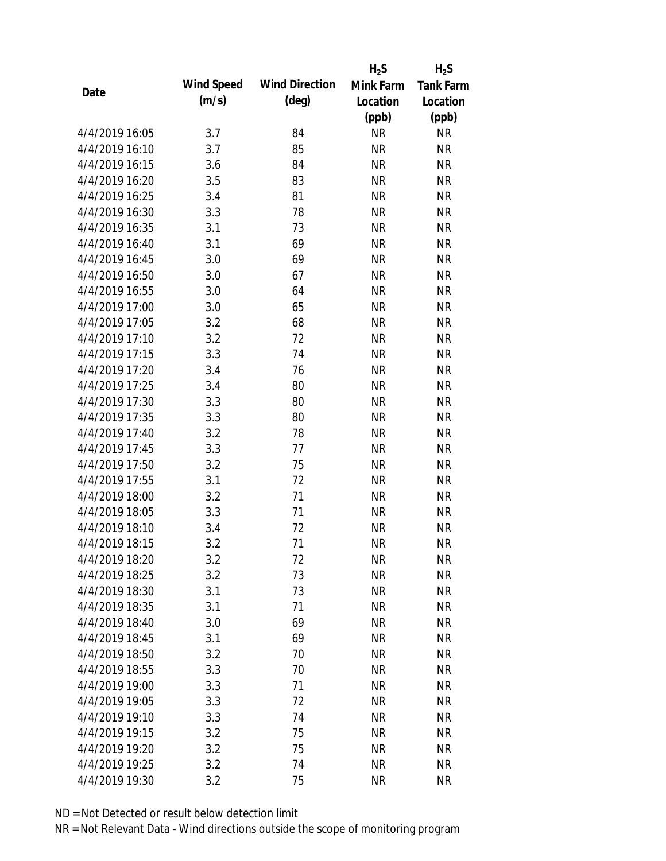|                |            |                       | $H_2S$    | $H_2S$           |
|----------------|------------|-----------------------|-----------|------------------|
| Date           | Wind Speed | <b>Wind Direction</b> | Mink Farm | <b>Tank Farm</b> |
|                | (m/s)      | $(\text{deg})$        | Location  | Location         |
|                |            |                       | (ppb)     | (ppb)            |
| 4/4/2019 16:05 | 3.7        | 84                    | <b>NR</b> | <b>NR</b>        |
| 4/4/2019 16:10 | 3.7        | 85                    | <b>NR</b> | <b>NR</b>        |
| 4/4/2019 16:15 | 3.6        | 84                    | <b>NR</b> | <b>NR</b>        |
| 4/4/2019 16:20 | 3.5        | 83                    | <b>NR</b> | <b>NR</b>        |
| 4/4/2019 16:25 | 3.4        | 81                    | <b>NR</b> | <b>NR</b>        |
| 4/4/2019 16:30 | 3.3        | 78                    | <b>NR</b> | <b>NR</b>        |
| 4/4/2019 16:35 | 3.1        | 73                    | <b>NR</b> | <b>NR</b>        |
| 4/4/2019 16:40 | 3.1        | 69                    | <b>NR</b> | <b>NR</b>        |
| 4/4/2019 16:45 | 3.0        | 69                    | <b>NR</b> | <b>NR</b>        |
| 4/4/2019 16:50 | 3.0        | 67                    | <b>NR</b> | <b>NR</b>        |
| 4/4/2019 16:55 | 3.0        | 64                    | <b>NR</b> | <b>NR</b>        |
| 4/4/2019 17:00 | 3.0        | 65                    | <b>NR</b> | <b>NR</b>        |
| 4/4/2019 17:05 | 3.2        | 68                    | <b>NR</b> | <b>NR</b>        |
| 4/4/2019 17:10 | 3.2        | 72                    | <b>NR</b> | <b>NR</b>        |
| 4/4/2019 17:15 | 3.3        | 74                    | <b>NR</b> | <b>NR</b>        |
| 4/4/2019 17:20 | 3.4        | 76                    | <b>NR</b> | <b>NR</b>        |
| 4/4/2019 17:25 | 3.4        | 80                    | <b>NR</b> | <b>NR</b>        |
| 4/4/2019 17:30 | 3.3        | 80                    | <b>NR</b> | <b>NR</b>        |
| 4/4/2019 17:35 | 3.3        | 80                    | <b>NR</b> | <b>NR</b>        |
| 4/4/2019 17:40 | 3.2        | 78                    | <b>NR</b> | <b>NR</b>        |
| 4/4/2019 17:45 | 3.3        | 77                    | <b>NR</b> | <b>NR</b>        |
| 4/4/2019 17:50 | 3.2        | 75                    | <b>NR</b> | <b>NR</b>        |
| 4/4/2019 17:55 | 3.1        | 72                    | <b>NR</b> | <b>NR</b>        |
| 4/4/2019 18:00 | 3.2        | 71                    | <b>NR</b> | <b>NR</b>        |
| 4/4/2019 18:05 | 3.3        | 71                    | <b>NR</b> | <b>NR</b>        |
| 4/4/2019 18:10 | 3.4        | 72                    | <b>NR</b> | <b>NR</b>        |
| 4/4/2019 18:15 | 3.2        | 71                    | <b>NR</b> | <b>NR</b>        |
| 4/4/2019 18:20 | 3.2        | 72                    | <b>NR</b> | <b>NR</b>        |
| 4/4/2019 18:25 | 3.2        | 73                    | <b>NR</b> | <b>NR</b>        |
| 4/4/2019 18:30 | 3.1        | 73                    | <b>NR</b> | <b>NR</b>        |
| 4/4/2019 18:35 | 3.1        | 71                    | <b>NR</b> | <b>NR</b>        |
| 4/4/2019 18:40 | 3.0        | 69                    | <b>NR</b> | <b>NR</b>        |
| 4/4/2019 18:45 | 3.1        | 69                    | <b>NR</b> | <b>NR</b>        |
| 4/4/2019 18:50 | 3.2        | 70                    | <b>NR</b> | <b>NR</b>        |
| 4/4/2019 18:55 | 3.3        | 70                    | <b>NR</b> | <b>NR</b>        |
| 4/4/2019 19:00 | 3.3        | 71                    | <b>NR</b> | <b>NR</b>        |
| 4/4/2019 19:05 | 3.3        | 72                    | <b>NR</b> | <b>NR</b>        |
| 4/4/2019 19:10 | 3.3        | 74                    | NR        | <b>NR</b>        |
| 4/4/2019 19:15 | 3.2        | 75                    | <b>NR</b> | <b>NR</b>        |
| 4/4/2019 19:20 | 3.2        | 75                    | <b>NR</b> | <b>NR</b>        |
| 4/4/2019 19:25 | 3.2        | 74                    | <b>NR</b> | <b>NR</b>        |
| 4/4/2019 19:30 |            | 75                    | <b>NR</b> | <b>NR</b>        |
|                | 3.2        |                       |           |                  |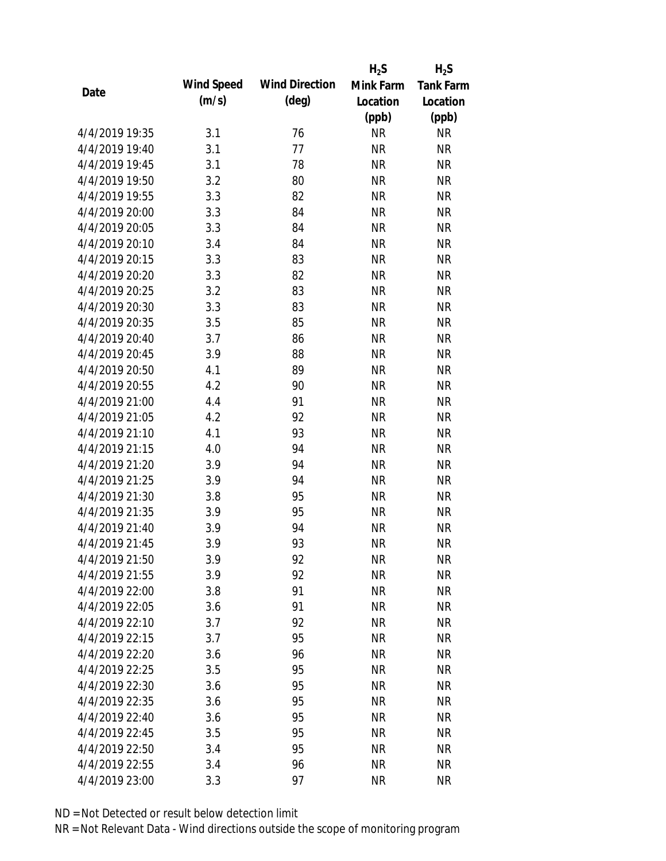|                |            |                       | $H_2S$    | $H_2S$           |
|----------------|------------|-----------------------|-----------|------------------|
|                | Wind Speed | <b>Wind Direction</b> | Mink Farm | <b>Tank Farm</b> |
| Date           | (m/s)      | $(\text{deg})$        | Location  | Location         |
|                |            |                       | (ppb)     | (ppb)            |
| 4/4/2019 19:35 | 3.1        | 76                    | <b>NR</b> | <b>NR</b>        |
| 4/4/2019 19:40 | 3.1        | 77                    | <b>NR</b> | <b>NR</b>        |
| 4/4/2019 19:45 | 3.1        | 78                    | <b>NR</b> | <b>NR</b>        |
| 4/4/2019 19:50 | 3.2        | 80                    | <b>NR</b> | <b>NR</b>        |
| 4/4/2019 19:55 | 3.3        | 82                    | <b>NR</b> | <b>NR</b>        |
| 4/4/2019 20:00 | 3.3        | 84                    | <b>NR</b> | <b>NR</b>        |
| 4/4/2019 20:05 | 3.3        | 84                    | <b>NR</b> | <b>NR</b>        |
| 4/4/2019 20:10 | 3.4        | 84                    | <b>NR</b> | <b>NR</b>        |
| 4/4/2019 20:15 | 3.3        | 83                    | <b>NR</b> | <b>NR</b>        |
| 4/4/2019 20:20 | 3.3        | 82                    | <b>NR</b> | <b>NR</b>        |
| 4/4/2019 20:25 | 3.2        | 83                    | <b>NR</b> | <b>NR</b>        |
| 4/4/2019 20:30 | 3.3        | 83                    | <b>NR</b> | <b>NR</b>        |
| 4/4/2019 20:35 | 3.5        | 85                    | <b>NR</b> | <b>NR</b>        |
| 4/4/2019 20:40 | 3.7        | 86                    | <b>NR</b> | <b>NR</b>        |
| 4/4/2019 20:45 | 3.9        | 88                    | <b>NR</b> | <b>NR</b>        |
| 4/4/2019 20:50 | 4.1        | 89                    | <b>NR</b> | <b>NR</b>        |
| 4/4/2019 20:55 | 4.2        | 90                    | <b>NR</b> | <b>NR</b>        |
| 4/4/2019 21:00 | 4.4        | 91                    | <b>NR</b> | <b>NR</b>        |
| 4/4/2019 21:05 | 4.2        | 92                    | <b>NR</b> | <b>NR</b>        |
| 4/4/2019 21:10 | 4.1        | 93                    | <b>NR</b> | <b>NR</b>        |
| 4/4/2019 21:15 | 4.0        | 94                    | <b>NR</b> | <b>NR</b>        |
| 4/4/2019 21:20 | 3.9        | 94                    | <b>NR</b> | <b>NR</b>        |
| 4/4/2019 21:25 | 3.9        | 94                    | <b>NR</b> | <b>NR</b>        |
| 4/4/2019 21:30 | 3.8        | 95                    | <b>NR</b> | <b>NR</b>        |
| 4/4/2019 21:35 | 3.9        | 95                    | <b>NR</b> | <b>NR</b>        |
| 4/4/2019 21:40 | 3.9        | 94                    | <b>NR</b> | <b>NR</b>        |
| 4/4/2019 21:45 | 3.9        | 93                    | <b>NR</b> | <b>NR</b>        |
| 4/4/2019 21:50 | 3.9        | 92                    | <b>NR</b> | <b>NR</b>        |
| 4/4/2019 21:55 | 3.9        | 92                    | <b>NR</b> | <b>NR</b>        |
| 4/4/2019 22:00 | 3.8        | 91                    | <b>NR</b> | <b>NR</b>        |
| 4/4/2019 22:05 | 3.6        | 91                    | <b>NR</b> | <b>NR</b>        |
| 4/4/2019 22:10 | 3.7        | 92                    | <b>NR</b> | <b>NR</b>        |
| 4/4/2019 22:15 | 3.7        | 95                    | <b>NR</b> | <b>NR</b>        |
| 4/4/2019 22:20 | 3.6        | 96                    | <b>NR</b> | <b>NR</b>        |
| 4/4/2019 22:25 | 3.5        | 95                    | <b>NR</b> | <b>NR</b>        |
| 4/4/2019 22:30 | 3.6        | 95                    | <b>NR</b> | <b>NR</b>        |
| 4/4/2019 22:35 | 3.6        | 95                    | <b>NR</b> | <b>NR</b>        |
| 4/4/2019 22:40 | 3.6        | 95                    | <b>NR</b> | <b>NR</b>        |
| 4/4/2019 22:45 | 3.5        | 95                    | <b>NR</b> | <b>NR</b>        |
| 4/4/2019 22:50 | 3.4        | 95                    | <b>NR</b> | <b>NR</b>        |
| 4/4/2019 22:55 | 3.4        | 96                    | <b>NR</b> | <b>NR</b>        |
| 4/4/2019 23:00 | 3.3        | 97                    | <b>NR</b> | <b>NR</b>        |
|                |            |                       |           |                  |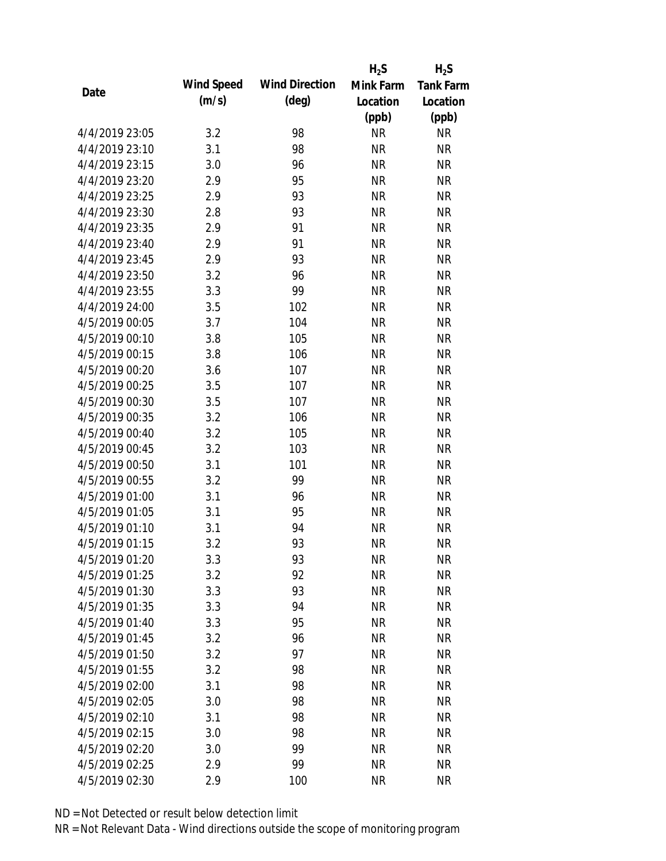|                |            |                       | $H_2S$    | $H_2S$           |
|----------------|------------|-----------------------|-----------|------------------|
|                | Wind Speed | <b>Wind Direction</b> | Mink Farm | <b>Tank Farm</b> |
| Date           | (m/s)      | $(\text{deg})$        | Location  | Location         |
|                |            |                       | (ppb)     | (ppb)            |
| 4/4/2019 23:05 | 3.2        | 98                    | <b>NR</b> | <b>NR</b>        |
| 4/4/2019 23:10 | 3.1        | 98                    | <b>NR</b> | <b>NR</b>        |
| 4/4/2019 23:15 | 3.0        | 96                    | <b>NR</b> | <b>NR</b>        |
| 4/4/2019 23:20 | 2.9        | 95                    | <b>NR</b> | <b>NR</b>        |
| 4/4/2019 23:25 | 2.9        | 93                    | <b>NR</b> | <b>NR</b>        |
| 4/4/2019 23:30 | 2.8        | 93                    | <b>NR</b> | <b>NR</b>        |
| 4/4/2019 23:35 | 2.9        | 91                    | <b>NR</b> | <b>NR</b>        |
| 4/4/2019 23:40 | 2.9        | 91                    | <b>NR</b> | <b>NR</b>        |
| 4/4/2019 23:45 | 2.9        | 93                    | <b>NR</b> | <b>NR</b>        |
| 4/4/2019 23:50 | 3.2        | 96                    | <b>NR</b> | <b>NR</b>        |
| 4/4/2019 23:55 | 3.3        | 99                    | <b>NR</b> | <b>NR</b>        |
| 4/4/2019 24:00 | 3.5        | 102                   | <b>NR</b> | <b>NR</b>        |
| 4/5/2019 00:05 | 3.7        | 104                   | <b>NR</b> | <b>NR</b>        |
| 4/5/2019 00:10 | 3.8        | 105                   | <b>NR</b> | <b>NR</b>        |
| 4/5/2019 00:15 | 3.8        | 106                   | <b>NR</b> | <b>NR</b>        |
| 4/5/2019 00:20 | 3.6        | 107                   | <b>NR</b> | <b>NR</b>        |
| 4/5/2019 00:25 | 3.5        | 107                   | <b>NR</b> | <b>NR</b>        |
| 4/5/2019 00:30 | 3.5        | 107                   | <b>NR</b> | <b>NR</b>        |
| 4/5/2019 00:35 | 3.2        | 106                   | <b>NR</b> | <b>NR</b>        |
| 4/5/2019 00:40 | 3.2        | 105                   | <b>NR</b> | <b>NR</b>        |
| 4/5/2019 00:45 | 3.2        | 103                   | <b>NR</b> | <b>NR</b>        |
| 4/5/2019 00:50 | 3.1        | 101                   | <b>NR</b> | <b>NR</b>        |
| 4/5/2019 00:55 | 3.2        | 99                    | <b>NR</b> | <b>NR</b>        |
| 4/5/2019 01:00 | 3.1        | 96                    | <b>NR</b> | <b>NR</b>        |
| 4/5/2019 01:05 | 3.1        | 95                    | <b>NR</b> | <b>NR</b>        |
| 4/5/2019 01:10 | 3.1        | 94                    | <b>NR</b> | <b>NR</b>        |
| 4/5/2019 01:15 | 3.2        | 93                    | <b>NR</b> | <b>NR</b>        |
| 4/5/2019 01:20 | 3.3        | 93                    | <b>NR</b> | <b>NR</b>        |
| 4/5/2019 01:25 | 3.2        | 92                    | <b>NR</b> | <b>NR</b>        |
| 4/5/2019 01:30 | 3.3        | 93                    | <b>NR</b> | <b>NR</b>        |
| 4/5/2019 01:35 | 3.3        | 94                    | <b>NR</b> | <b>NR</b>        |
| 4/5/2019 01:40 | 3.3        | 95                    | <b>NR</b> | <b>NR</b>        |
| 4/5/2019 01:45 | 3.2        | 96                    | <b>NR</b> | <b>NR</b>        |
| 4/5/2019 01:50 | 3.2        | 97                    | <b>NR</b> | <b>NR</b>        |
| 4/5/2019 01:55 | 3.2        | 98                    | <b>NR</b> | <b>NR</b>        |
| 4/5/2019 02:00 | 3.1        | 98                    | <b>NR</b> | <b>NR</b>        |
| 4/5/2019 02:05 | 3.0        | 98                    | <b>NR</b> | <b>NR</b>        |
| 4/5/2019 02:10 | 3.1        | 98                    | <b>NR</b> | <b>NR</b>        |
| 4/5/2019 02:15 | 3.0        | 98                    | <b>NR</b> | <b>NR</b>        |
| 4/5/2019 02:20 | 3.0        | 99                    | <b>NR</b> | <b>NR</b>        |
| 4/5/2019 02:25 | 2.9        | 99                    | <b>NR</b> | <b>NR</b>        |
| 4/5/2019 02:30 | 2.9        | 100                   | <b>NR</b> | <b>NR</b>        |
|                |            |                       |           |                  |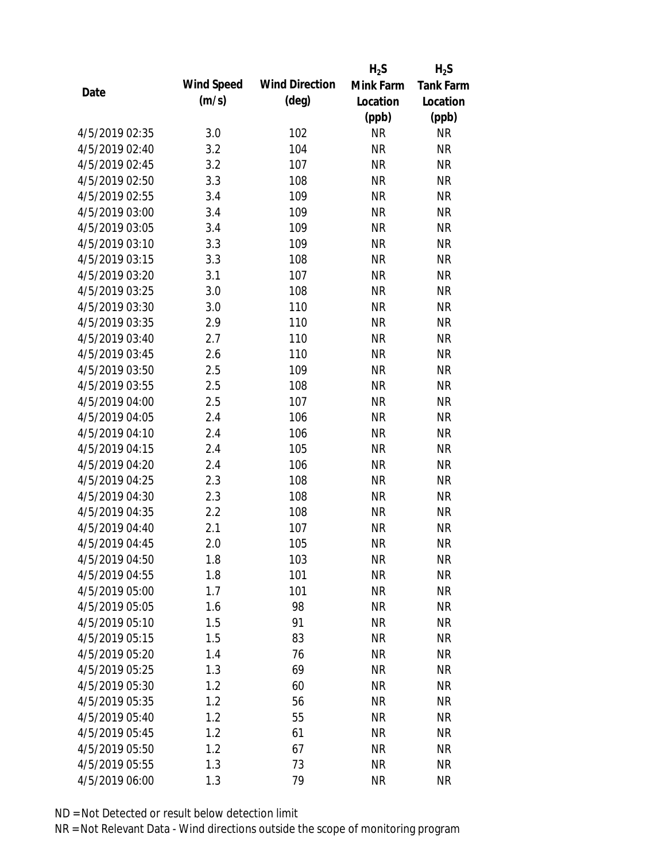|                |            |                       | $H_2S$    | $H_2S$           |
|----------------|------------|-----------------------|-----------|------------------|
| Date           | Wind Speed | <b>Wind Direction</b> | Mink Farm | <b>Tank Farm</b> |
|                | (m/s)      | $(\text{deg})$        | Location  | Location         |
|                |            |                       | (ppb)     | (ppb)            |
| 4/5/2019 02:35 | 3.0        | 102                   | <b>NR</b> | <b>NR</b>        |
| 4/5/2019 02:40 | 3.2        | 104                   | <b>NR</b> | <b>NR</b>        |
| 4/5/2019 02:45 | 3.2        | 107                   | <b>NR</b> | <b>NR</b>        |
| 4/5/2019 02:50 | 3.3        | 108                   | <b>NR</b> | <b>NR</b>        |
| 4/5/2019 02:55 | 3.4        | 109                   | <b>NR</b> | <b>NR</b>        |
| 4/5/2019 03:00 | 3.4        | 109                   | <b>NR</b> | <b>NR</b>        |
| 4/5/2019 03:05 | 3.4        | 109                   | <b>NR</b> | <b>NR</b>        |
| 4/5/2019 03:10 | 3.3        | 109                   | <b>NR</b> | <b>NR</b>        |
| 4/5/2019 03:15 | 3.3        | 108                   | <b>NR</b> | <b>NR</b>        |
| 4/5/2019 03:20 | 3.1        | 107                   | <b>NR</b> | <b>NR</b>        |
| 4/5/2019 03:25 | 3.0        | 108                   | <b>NR</b> | <b>NR</b>        |
| 4/5/2019 03:30 | 3.0        | 110                   | <b>NR</b> | <b>NR</b>        |
| 4/5/2019 03:35 | 2.9        | 110                   | <b>NR</b> | <b>NR</b>        |
| 4/5/2019 03:40 | 2.7        | 110                   | <b>NR</b> | <b>NR</b>        |
| 4/5/2019 03:45 | 2.6        | 110                   | <b>NR</b> | <b>NR</b>        |
| 4/5/2019 03:50 | 2.5        | 109                   | <b>NR</b> | <b>NR</b>        |
| 4/5/2019 03:55 | 2.5        | 108                   | <b>NR</b> | <b>NR</b>        |
| 4/5/2019 04:00 | 2.5        | 107                   | <b>NR</b> | <b>NR</b>        |
| 4/5/2019 04:05 | 2.4        | 106                   | <b>NR</b> | <b>NR</b>        |
| 4/5/2019 04:10 | 2.4        | 106                   | <b>NR</b> | <b>NR</b>        |
| 4/5/2019 04:15 | 2.4        | 105                   | <b>NR</b> | <b>NR</b>        |
| 4/5/2019 04:20 | 2.4        | 106                   | <b>NR</b> | <b>NR</b>        |
| 4/5/2019 04:25 | 2.3        | 108                   | <b>NR</b> | <b>NR</b>        |
| 4/5/2019 04:30 | 2.3        | 108                   | <b>NR</b> | <b>NR</b>        |
| 4/5/2019 04:35 | 2.2        | 108                   | <b>NR</b> | <b>NR</b>        |
| 4/5/2019 04:40 | 2.1        | 107                   | <b>NR</b> | <b>NR</b>        |
| 4/5/2019 04:45 | 2.0        | 105                   | <b>NR</b> | <b>NR</b>        |
| 4/5/2019 04:50 | 1.8        | 103                   | <b>NR</b> | <b>NR</b>        |
| 4/5/2019 04:55 | 1.8        | 101                   | <b>NR</b> | <b>NR</b>        |
| 4/5/2019 05:00 | 1.7        | 101                   | <b>NR</b> | <b>NR</b>        |
| 4/5/2019 05:05 | 1.6        | 98                    | <b>NR</b> | <b>NR</b>        |
| 4/5/2019 05:10 | 1.5        | 91                    | <b>NR</b> | <b>NR</b>        |
| 4/5/2019 05:15 | 1.5        | 83                    | <b>NR</b> | <b>NR</b>        |
| 4/5/2019 05:20 | 1.4        | 76                    | <b>NR</b> | <b>NR</b>        |
| 4/5/2019 05:25 | 1.3        | 69                    | <b>NR</b> | <b>NR</b>        |
| 4/5/2019 05:30 | 1.2        | 60                    | <b>NR</b> | <b>NR</b>        |
| 4/5/2019 05:35 | 1.2        | 56                    | <b>NR</b> | <b>NR</b>        |
| 4/5/2019 05:40 | 1.2        | 55                    | <b>NR</b> | <b>NR</b>        |
| 4/5/2019 05:45 | 1.2        | 61                    | <b>NR</b> | <b>NR</b>        |
| 4/5/2019 05:50 | 1.2        | 67                    | <b>NR</b> | <b>NR</b>        |
| 4/5/2019 05:55 | 1.3        | 73                    | <b>NR</b> | <b>NR</b>        |
| 4/5/2019 06:00 | 1.3        | 79                    | <b>NR</b> | <b>NR</b>        |
|                |            |                       |           |                  |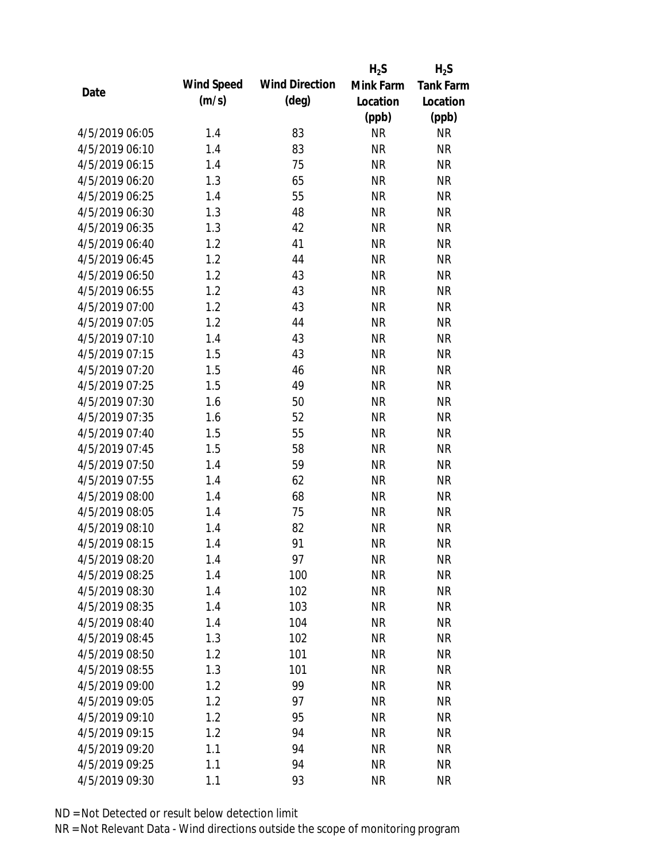|                |            |                       | $H_2S$    | $H_2S$           |
|----------------|------------|-----------------------|-----------|------------------|
|                | Wind Speed | <b>Wind Direction</b> | Mink Farm | <b>Tank Farm</b> |
| Date           | (m/s)      | $(\text{deg})$        | Location  | Location         |
|                |            |                       | (ppb)     | (ppb)            |
| 4/5/2019 06:05 | 1.4        | 83                    | <b>NR</b> | <b>NR</b>        |
| 4/5/2019 06:10 | 1.4        | 83                    | <b>NR</b> | <b>NR</b>        |
| 4/5/2019 06:15 | 1.4        | 75                    | <b>NR</b> | <b>NR</b>        |
| 4/5/2019 06:20 | 1.3        | 65                    | <b>NR</b> | <b>NR</b>        |
| 4/5/2019 06:25 | 1.4        | 55                    | <b>NR</b> | <b>NR</b>        |
| 4/5/2019 06:30 | 1.3        | 48                    | <b>NR</b> | <b>NR</b>        |
| 4/5/2019 06:35 | 1.3        | 42                    | <b>NR</b> | <b>NR</b>        |
| 4/5/2019 06:40 | 1.2        | 41                    | <b>NR</b> | <b>NR</b>        |
| 4/5/2019 06:45 | 1.2        | 44                    | <b>NR</b> | <b>NR</b>        |
| 4/5/2019 06:50 | 1.2        | 43                    | <b>NR</b> | <b>NR</b>        |
| 4/5/2019 06:55 | 1.2        | 43                    | <b>NR</b> | <b>NR</b>        |
| 4/5/2019 07:00 | 1.2        | 43                    | <b>NR</b> | <b>NR</b>        |
| 4/5/2019 07:05 | 1.2        | 44                    | <b>NR</b> | <b>NR</b>        |
| 4/5/2019 07:10 | 1.4        | 43                    | <b>NR</b> | <b>NR</b>        |
| 4/5/2019 07:15 | 1.5        | 43                    | <b>NR</b> | <b>NR</b>        |
| 4/5/2019 07:20 | 1.5        | 46                    | <b>NR</b> | <b>NR</b>        |
| 4/5/2019 07:25 | 1.5        | 49                    | <b>NR</b> | <b>NR</b>        |
| 4/5/2019 07:30 | 1.6        | 50                    | <b>NR</b> | <b>NR</b>        |
| 4/5/2019 07:35 | 1.6        | 52                    | <b>NR</b> | <b>NR</b>        |
| 4/5/2019 07:40 | 1.5        | 55                    | <b>NR</b> | <b>NR</b>        |
| 4/5/2019 07:45 | 1.5        | 58                    | <b>NR</b> | <b>NR</b>        |
| 4/5/2019 07:50 | 1.4        | 59                    | <b>NR</b> | <b>NR</b>        |
| 4/5/2019 07:55 | 1.4        | 62                    | <b>NR</b> | <b>NR</b>        |
| 4/5/2019 08:00 | 1.4        | 68                    | <b>NR</b> | <b>NR</b>        |
| 4/5/2019 08:05 | 1.4        | 75                    | <b>NR</b> | <b>NR</b>        |
| 4/5/2019 08:10 | 1.4        | 82                    | <b>NR</b> | <b>NR</b>        |
| 4/5/2019 08:15 | 1.4        | 91                    | <b>NR</b> | <b>NR</b>        |
| 4/5/2019 08:20 | 1.4        | 97                    | <b>NR</b> | <b>NR</b>        |
| 4/5/2019 08:25 | 1.4        | 100                   | <b>NR</b> | <b>NR</b>        |
| 4/5/2019 08:30 | 1.4        | 102                   | <b>NR</b> | <b>NR</b>        |
| 4/5/2019 08:35 | 1.4        | 103                   | <b>NR</b> | <b>NR</b>        |
| 4/5/2019 08:40 | 1.4        | 104                   | <b>NR</b> | <b>NR</b>        |
| 4/5/2019 08:45 | 1.3        | 102                   | <b>NR</b> | <b>NR</b>        |
| 4/5/2019 08:50 | 1.2        | 101                   | <b>NR</b> | <b>NR</b>        |
| 4/5/2019 08:55 | 1.3        | 101                   | <b>NR</b> | <b>NR</b>        |
| 4/5/2019 09:00 | 1.2        | 99                    | <b>NR</b> | <b>NR</b>        |
| 4/5/2019 09:05 | 1.2        | 97                    | <b>NR</b> | <b>NR</b>        |
| 4/5/2019 09:10 | 1.2        | 95                    | <b>NR</b> | <b>NR</b>        |
| 4/5/2019 09:15 | 1.2        | 94                    | <b>NR</b> | <b>NR</b>        |
| 4/5/2019 09:20 | 1.1        | 94                    | <b>NR</b> | <b>NR</b>        |
| 4/5/2019 09:25 | 1.1        | 94                    | <b>NR</b> | <b>NR</b>        |
| 4/5/2019 09:30 | 1.1        | 93                    | <b>NR</b> | <b>NR</b>        |
|                |            |                       |           |                  |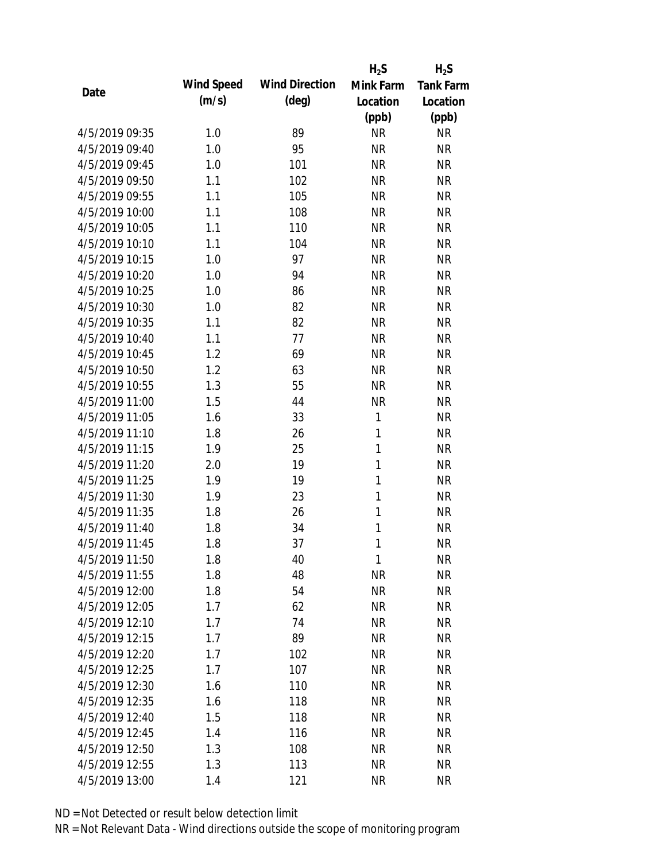|                |            |                       | $H_2S$       | $H_2S$           |
|----------------|------------|-----------------------|--------------|------------------|
| Date           | Wind Speed | <b>Wind Direction</b> | Mink Farm    | <b>Tank Farm</b> |
|                | (m/s)      | $(\text{deg})$        | Location     | Location         |
|                |            |                       | (ppb)        | (ppb)            |
| 4/5/2019 09:35 | 1.0        | 89                    | <b>NR</b>    | <b>NR</b>        |
| 4/5/2019 09:40 | 1.0        | 95                    | <b>NR</b>    | <b>NR</b>        |
| 4/5/2019 09:45 | 1.0        | 101                   | <b>NR</b>    | <b>NR</b>        |
| 4/5/2019 09:50 | 1.1        | 102                   | <b>NR</b>    | <b>NR</b>        |
| 4/5/2019 09:55 | 1.1        | 105                   | <b>NR</b>    | <b>NR</b>        |
| 4/5/2019 10:00 | 1.1        | 108                   | <b>NR</b>    | <b>NR</b>        |
| 4/5/2019 10:05 | 1.1        | 110                   | <b>NR</b>    | <b>NR</b>        |
| 4/5/2019 10:10 | 1.1        | 104                   | <b>NR</b>    | <b>NR</b>        |
| 4/5/2019 10:15 | 1.0        | 97                    | <b>NR</b>    | <b>NR</b>        |
| 4/5/2019 10:20 | 1.0        | 94                    | <b>NR</b>    | <b>NR</b>        |
| 4/5/2019 10:25 | 1.0        | 86                    | <b>NR</b>    | <b>NR</b>        |
| 4/5/2019 10:30 | 1.0        | 82                    | <b>NR</b>    | <b>NR</b>        |
| 4/5/2019 10:35 | 1.1        | 82                    | <b>NR</b>    | <b>NR</b>        |
| 4/5/2019 10:40 | 1.1        | 77                    | <b>NR</b>    | <b>NR</b>        |
| 4/5/2019 10:45 | 1.2        | 69                    | <b>NR</b>    | <b>NR</b>        |
| 4/5/2019 10:50 | 1.2        | 63                    | <b>NR</b>    | <b>NR</b>        |
| 4/5/2019 10:55 | 1.3        | 55                    | <b>NR</b>    | <b>NR</b>        |
| 4/5/2019 11:00 | 1.5        | 44                    | <b>NR</b>    | <b>NR</b>        |
| 4/5/2019 11:05 | 1.6        | 33                    | 1            | <b>NR</b>        |
| 4/5/2019 11:10 | 1.8        | 26                    | 1            | <b>NR</b>        |
| 4/5/2019 11:15 | 1.9        | 25                    | $\mathbf{1}$ | <b>NR</b>        |
| 4/5/2019 11:20 | 2.0        | 19                    | $\mathbf{1}$ | <b>NR</b>        |
| 4/5/2019 11:25 | 1.9        | 19                    | 1            | <b>NR</b>        |
| 4/5/2019 11:30 | 1.9        | 23                    | $\mathbf{1}$ | <b>NR</b>        |
| 4/5/2019 11:35 | 1.8        | 26                    | 1            | <b>NR</b>        |
| 4/5/2019 11:40 | 1.8        | 34                    | 1            | <b>NR</b>        |
| 4/5/2019 11:45 | 1.8        | 37                    | 1            | <b>NR</b>        |
| 4/5/2019 11:50 | 1.8        | 40                    | 1            | <b>NR</b>        |
| 4/5/2019 11:55 | 1.8        | 48                    | <b>NR</b>    | <b>NR</b>        |
| 4/5/2019 12:00 | 1.8        | 54                    | <b>NR</b>    | <b>NR</b>        |
| 4/5/2019 12:05 | 1.7        | 62                    | <b>NR</b>    | <b>NR</b>        |
| 4/5/2019 12:10 | 1.7        | 74                    | <b>NR</b>    | <b>NR</b>        |
| 4/5/2019 12:15 | 1.7        | 89                    | <b>NR</b>    | <b>NR</b>        |
| 4/5/2019 12:20 | 1.7        | 102                   | <b>NR</b>    | <b>NR</b>        |
| 4/5/2019 12:25 | 1.7        | 107                   | <b>NR</b>    | <b>NR</b>        |
| 4/5/2019 12:30 | 1.6        | 110                   | <b>NR</b>    | <b>NR</b>        |
| 4/5/2019 12:35 | 1.6        | 118                   | <b>NR</b>    | <b>NR</b>        |
| 4/5/2019 12:40 | 1.5        | 118                   | <b>NR</b>    | <b>NR</b>        |
| 4/5/2019 12:45 | 1.4        | 116                   | <b>NR</b>    | <b>NR</b>        |
| 4/5/2019 12:50 | 1.3        | 108                   | <b>NR</b>    | <b>NR</b>        |
| 4/5/2019 12:55 | 1.3        | 113                   | <b>NR</b>    | <b>NR</b>        |
| 4/5/2019 13:00 | 1.4        | 121                   | <b>NR</b>    | <b>NR</b>        |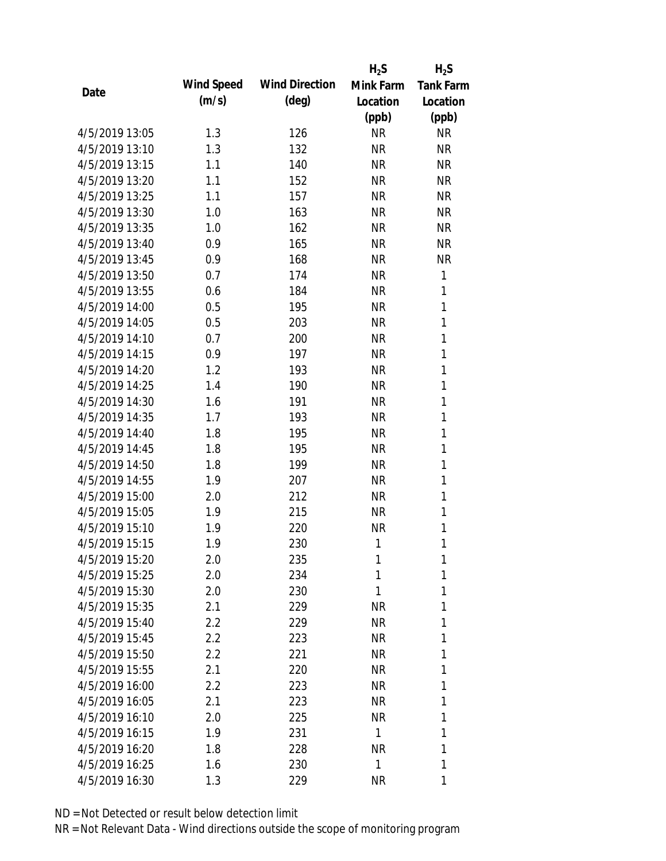|                |            |                       | $H_2S$       | $H_2S$           |
|----------------|------------|-----------------------|--------------|------------------|
|                | Wind Speed | <b>Wind Direction</b> | Mink Farm    | <b>Tank Farm</b> |
| Date           | (m/s)      | $(\text{deg})$        | Location     | Location         |
|                |            |                       | (ppb)        | (ppb)            |
| 4/5/2019 13:05 | 1.3        | 126                   | <b>NR</b>    | <b>NR</b>        |
| 4/5/2019 13:10 | 1.3        | 132                   | <b>NR</b>    | <b>NR</b>        |
| 4/5/2019 13:15 | 1.1        | 140                   | <b>NR</b>    | <b>NR</b>        |
| 4/5/2019 13:20 | 1.1        | 152                   | <b>NR</b>    | <b>NR</b>        |
| 4/5/2019 13:25 | 1.1        | 157                   | <b>NR</b>    | <b>NR</b>        |
| 4/5/2019 13:30 | 1.0        | 163                   | <b>NR</b>    | <b>NR</b>        |
| 4/5/2019 13:35 | 1.0        | 162                   | <b>NR</b>    | <b>NR</b>        |
| 4/5/2019 13:40 | 0.9        | 165                   | <b>NR</b>    | <b>NR</b>        |
| 4/5/2019 13:45 | 0.9        | 168                   | <b>NR</b>    | <b>NR</b>        |
| 4/5/2019 13:50 | 0.7        | 174                   | <b>NR</b>    | 1                |
| 4/5/2019 13:55 | 0.6        | 184                   | <b>NR</b>    | 1                |
| 4/5/2019 14:00 | 0.5        | 195                   | <b>NR</b>    | $\mathbf{1}$     |
| 4/5/2019 14:05 | 0.5        | 203                   | <b>NR</b>    | 1                |
| 4/5/2019 14:10 | 0.7        | 200                   | <b>NR</b>    | $\mathbf{1}$     |
| 4/5/2019 14:15 | 0.9        | 197                   | <b>NR</b>    | $\mathbf{1}$     |
| 4/5/2019 14:20 | 1.2        | 193                   | <b>NR</b>    | 1                |
| 4/5/2019 14:25 | 1.4        | 190                   | <b>NR</b>    | 1                |
| 4/5/2019 14:30 | 1.6        | 191                   | <b>NR</b>    | 1                |
| 4/5/2019 14:35 | 1.7        | 193                   | <b>NR</b>    | $\mathbf{1}$     |
| 4/5/2019 14:40 | 1.8        | 195                   | <b>NR</b>    | $\mathbf{1}$     |
| 4/5/2019 14:45 | 1.8        | 195                   | <b>NR</b>    | 1                |
| 4/5/2019 14:50 | 1.8        | 199                   | <b>NR</b>    | 1                |
| 4/5/2019 14:55 | 1.9        | 207                   | <b>NR</b>    | 1                |
| 4/5/2019 15:00 | 2.0        | 212                   | <b>NR</b>    | 1                |
| 4/5/2019 15:05 | 1.9        | 215                   | <b>NR</b>    | 1                |
| 4/5/2019 15:10 | 1.9        | 220                   | <b>NR</b>    | 1                |
| 4/5/2019 15:15 | 1.9        | 230                   | 1            | 1                |
| 4/5/2019 15:20 | 2.0        | 235                   | 1            | 1                |
| 4/5/2019 15:25 | 2.0        | 234                   | 1            | 1                |
| 4/5/2019 15:30 | 2.0        | 230                   | 1            | 1                |
| 4/5/2019 15:35 | 2.1        | 229                   | <b>NR</b>    | 1                |
| 4/5/2019 15:40 | 2.2        | 229                   | <b>NR</b>    | 1                |
| 4/5/2019 15:45 | 2.2        | 223                   | <b>NR</b>    | 1                |
| 4/5/2019 15:50 | 2.2        | 221                   | <b>NR</b>    | 1                |
| 4/5/2019 15:55 | 2.1        | 220                   | <b>NR</b>    | 1                |
| 4/5/2019 16:00 | 2.2        | 223                   | <b>NR</b>    | 1                |
| 4/5/2019 16:05 | 2.1        | 223                   | <b>NR</b>    | 1                |
| 4/5/2019 16:10 | 2.0        | 225                   | NR           | 1                |
| 4/5/2019 16:15 | 1.9        | 231                   | $\mathbf{1}$ | 1                |
| 4/5/2019 16:20 | 1.8        | 228                   | <b>NR</b>    | 1                |
| 4/5/2019 16:25 | 1.6        | 230                   | 1            | 1                |
| 4/5/2019 16:30 | 1.3        | 229                   | <b>NR</b>    | 1                |
|                |            |                       |              |                  |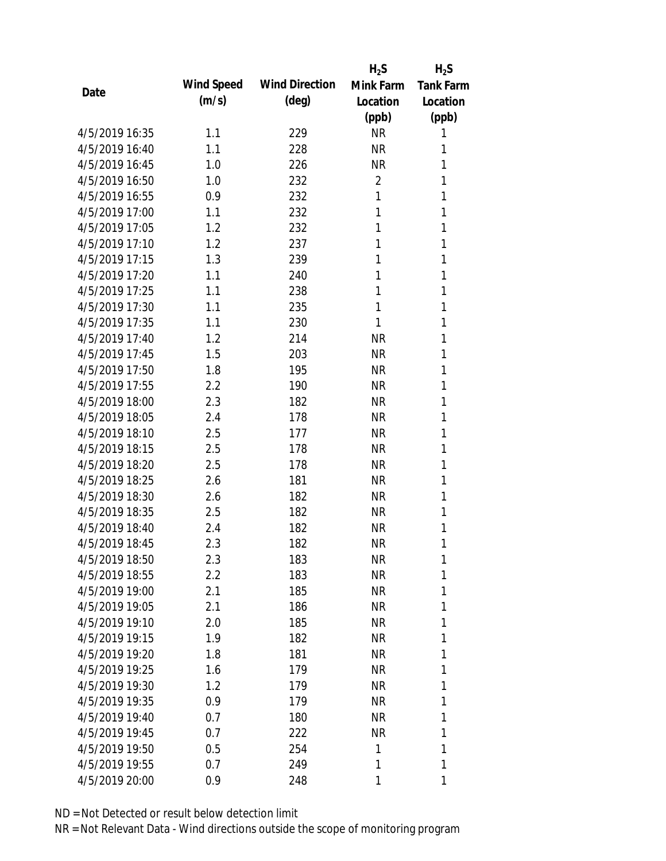|                |            |                       | $H_2S$         | $H_2S$           |
|----------------|------------|-----------------------|----------------|------------------|
| Date           | Wind Speed | <b>Wind Direction</b> | Mink Farm      | <b>Tank Farm</b> |
|                | (m/s)      | $(\text{deg})$        | Location       | Location         |
|                |            |                       | (ppb)          | (ppb)            |
| 4/5/2019 16:35 | 1.1        | 229                   | <b>NR</b>      | 1                |
| 4/5/2019 16:40 | 1.1        | 228                   | <b>NR</b>      | 1                |
| 4/5/2019 16:45 | 1.0        | 226                   | <b>NR</b>      | 1                |
| 4/5/2019 16:50 | 1.0        | 232                   | $\overline{2}$ | 1                |
| 4/5/2019 16:55 | 0.9        | 232                   | 1              | 1                |
| 4/5/2019 17:00 | 1.1        | 232                   | 1              | 1                |
| 4/5/2019 17:05 | 1.2        | 232                   | 1              | 1                |
| 4/5/2019 17:10 | 1.2        | 237                   | 1              | 1                |
| 4/5/2019 17:15 | 1.3        | 239                   | 1              | 1                |
| 4/5/2019 17:20 | 1.1        | 240                   | 1              | 1                |
| 4/5/2019 17:25 | 1.1        | 238                   | 1              | 1                |
| 4/5/2019 17:30 | 1.1        | 235                   | 1              | 1                |
| 4/5/2019 17:35 | 1.1        | 230                   | 1              | 1                |
| 4/5/2019 17:40 | 1.2        | 214                   | <b>NR</b>      | 1                |
| 4/5/2019 17:45 | 1.5        | 203                   | <b>NR</b>      | 1                |
| 4/5/2019 17:50 | 1.8        | 195                   | <b>NR</b>      | 1                |
| 4/5/2019 17:55 | 2.2        | 190                   | <b>NR</b>      | 1                |
| 4/5/2019 18:00 | 2.3        | 182                   | <b>NR</b>      | 1                |
| 4/5/2019 18:05 | 2.4        | 178                   | <b>NR</b>      | 1                |
| 4/5/2019 18:10 | 2.5        | 177                   | <b>NR</b>      | 1                |
| 4/5/2019 18:15 | 2.5        | 178                   | <b>NR</b>      | 1                |
| 4/5/2019 18:20 | 2.5        | 178                   | <b>NR</b>      | 1                |
| 4/5/2019 18:25 | 2.6        | 181                   | <b>NR</b>      | 1                |
| 4/5/2019 18:30 | 2.6        | 182                   | <b>NR</b>      | 1                |
| 4/5/2019 18:35 | 2.5        | 182                   | <b>NR</b>      | 1                |
| 4/5/2019 18:40 | 2.4        | 182                   | <b>NR</b>      | 1                |
| 4/5/2019 18:45 | 2.3        | 182                   | <b>NR</b>      | 1                |
| 4/5/2019 18:50 | 2.3        | 183                   | <b>NR</b>      | 1                |
| 4/5/2019 18:55 | 2.2        | 183                   | <b>NR</b>      | 1                |
| 4/5/2019 19:00 | 2.1        | 185                   | <b>NR</b>      | 1                |
| 4/5/2019 19:05 | 2.1        | 186                   | <b>NR</b>      | 1                |
| 4/5/2019 19:10 | 2.0        | 185                   | <b>NR</b>      | 1                |
| 4/5/2019 19:15 | 1.9        | 182                   | <b>NR</b>      | 1                |
| 4/5/2019 19:20 | 1.8        | 181                   | <b>NR</b>      | 1                |
| 4/5/2019 19:25 | 1.6        | 179                   | <b>NR</b>      | 1                |
| 4/5/2019 19:30 | 1.2        | 179                   | <b>NR</b>      | 1                |
| 4/5/2019 19:35 | 0.9        | 179                   | <b>NR</b>      | 1                |
| 4/5/2019 19:40 | 0.7        | 180                   | NR             | 1                |
| 4/5/2019 19:45 | 0.7        | 222                   | <b>NR</b>      | 1                |
| 4/5/2019 19:50 | 0.5        | 254                   | 1              | 1                |
| 4/5/2019 19:55 | 0.7        | 249                   | 1              | 1                |
| 4/5/2019 20:00 | 0.9        | 248                   | 1              | 1                |
|                |            |                       |                |                  |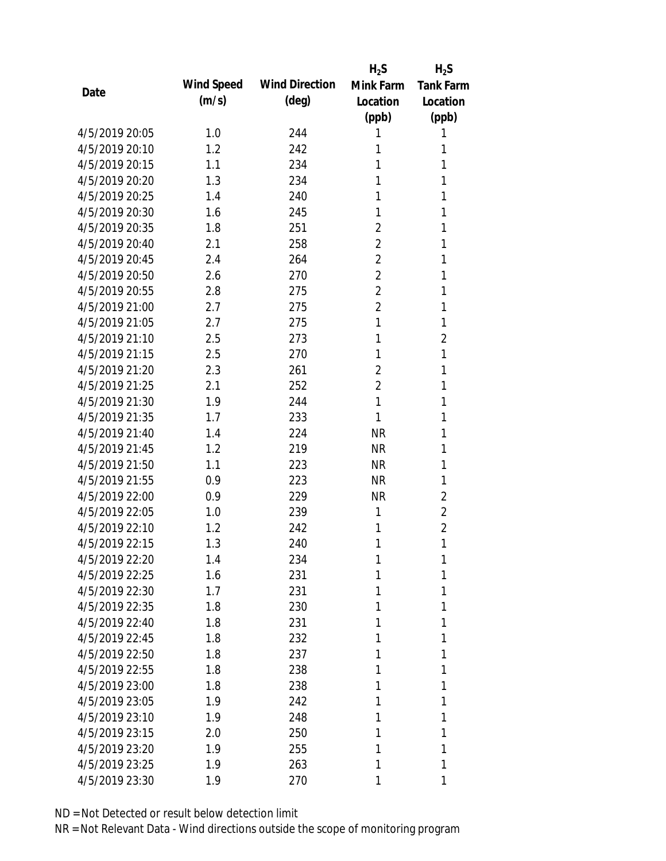|                |            |                       | $H_2S$         | $H_2S$           |
|----------------|------------|-----------------------|----------------|------------------|
| Date           | Wind Speed | <b>Wind Direction</b> | Mink Farm      | <b>Tank Farm</b> |
|                | (m/s)      | (deg)                 | Location       | Location         |
|                |            |                       | (ppb)          | (ppb)            |
| 4/5/2019 20:05 | 1.0        | 244                   | 1              | 1                |
| 4/5/2019 20:10 | 1.2        | 242                   | 1              | 1                |
| 4/5/2019 20:15 | 1.1        | 234                   | 1              | 1                |
| 4/5/2019 20:20 | 1.3        | 234                   | 1              | 1                |
| 4/5/2019 20:25 | 1.4        | 240                   | 1              | 1                |
| 4/5/2019 20:30 | 1.6        | 245                   | 1              | 1                |
| 4/5/2019 20:35 | 1.8        | 251                   | $\overline{2}$ | 1                |
| 4/5/2019 20:40 | 2.1        | 258                   | $\overline{2}$ | 1                |
| 4/5/2019 20:45 | 2.4        | 264                   | 2              | 1                |
| 4/5/2019 20:50 | 2.6        | 270                   | $\overline{2}$ | 1                |
| 4/5/2019 20:55 | 2.8        | 275                   | $\overline{2}$ | 1                |
| 4/5/2019 21:00 | 2.7        | 275                   | $\overline{2}$ | 1                |
| 4/5/2019 21:05 | 2.7        | 275                   | 1              | 1                |
| 4/5/2019 21:10 | 2.5        | 273                   | 1              | 2                |
| 4/5/2019 21:15 | 2.5        | 270                   | 1              | 1                |
| 4/5/2019 21:20 | 2.3        | 261                   | $\overline{2}$ | 1                |
| 4/5/2019 21:25 | 2.1        | 252                   | 2              | 1                |
| 4/5/2019 21:30 | 1.9        | 244                   | $\mathbf{1}$   | 1                |
| 4/5/2019 21:35 | 1.7        | 233                   | 1              | 1                |
| 4/5/2019 21:40 | 1.4        | 224                   | <b>NR</b>      | 1                |
| 4/5/2019 21:45 | 1.2        | 219                   | <b>NR</b>      | 1                |
| 4/5/2019 21:50 | 1.1        | 223                   | <b>NR</b>      | 1                |
| 4/5/2019 21:55 | 0.9        | 223                   | <b>NR</b>      | 1                |
| 4/5/2019 22:00 | 0.9        | 229                   | <b>NR</b>      | $\overline{2}$   |
| 4/5/2019 22:05 | 1.0        | 239                   | 1              | $\overline{2}$   |
| 4/5/2019 22:10 | 1.2        | 242                   | 1              | $\overline{2}$   |
| 4/5/2019 22:15 | 1.3        | 240                   | 1              | 1                |
| 4/5/2019 22:20 | 1.4        | 234                   | 1              | 1                |
| 4/5/2019 22:25 | 1.6        | 231                   | 1              | 1                |
| 4/5/2019 22:30 | 1.7        | 231                   | 1              | 1                |
| 4/5/2019 22:35 | 1.8        | 230                   | 1              | 1                |
| 4/5/2019 22:40 | 1.8        | 231                   | 1              | 1                |
| 4/5/2019 22:45 | 1.8        | 232                   | 1              | 1                |
| 4/5/2019 22:50 | 1.8        | 237                   | 1              | 1                |
| 4/5/2019 22:55 | 1.8        | 238                   | 1              | 1                |
| 4/5/2019 23:00 | 1.8        | 238                   | 1              | 1                |
| 4/5/2019 23:05 | 1.9        | 242                   | 1              | 1                |
| 4/5/2019 23:10 | 1.9        | 248                   | 1              | 1                |
| 4/5/2019 23:15 | 2.0        | 250                   | 1              | 1                |
| 4/5/2019 23:20 | 1.9        | 255                   | 1              | 1                |
| 4/5/2019 23:25 | 1.9        | 263                   | 1              | 1                |
| 4/5/2019 23:30 | 1.9        | 270                   | 1              | 1                |
|                |            |                       |                |                  |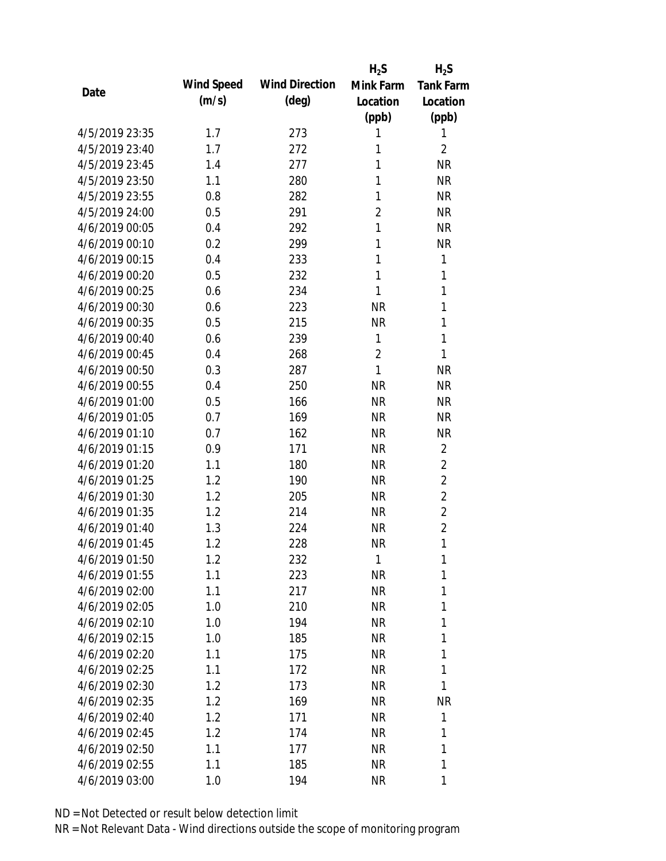|                |            |                       | $H_2S$         | $H_2S$           |
|----------------|------------|-----------------------|----------------|------------------|
| Date           | Wind Speed | <b>Wind Direction</b> | Mink Farm      | <b>Tank Farm</b> |
|                | (m/s)      | $(\text{deg})$        | Location       | Location         |
|                |            |                       | (ppb)          | (ppb)            |
| 4/5/2019 23:35 | 1.7        | 273                   | 1              | 1                |
| 4/5/2019 23:40 | 1.7        | 272                   | 1              | $\overline{2}$   |
| 4/5/2019 23:45 | 1.4        | 277                   | 1              | <b>NR</b>        |
| 4/5/2019 23:50 | 1.1        | 280                   | 1              | <b>NR</b>        |
| 4/5/2019 23:55 | 0.8        | 282                   | 1              | <b>NR</b>        |
| 4/5/2019 24:00 | 0.5        | 291                   | 2              | <b>NR</b>        |
| 4/6/2019 00:05 | 0.4        | 292                   | 1              | <b>NR</b>        |
| 4/6/2019 00:10 | 0.2        | 299                   | 1              | <b>NR</b>        |
| 4/6/2019 00:15 | 0.4        | 233                   | 1              | 1                |
| 4/6/2019 00:20 | 0.5        | 232                   | $\mathbf{1}$   | $\mathbf{1}$     |
| 4/6/2019 00:25 | 0.6        | 234                   | 1              | 1                |
| 4/6/2019 00:30 | 0.6        | 223                   | <b>NR</b>      | 1                |
| 4/6/2019 00:35 | 0.5        | 215                   | <b>NR</b>      | 1                |
| 4/6/2019 00:40 | 0.6        | 239                   | 1              | 1                |
| 4/6/2019 00:45 | 0.4        | 268                   | $\overline{2}$ | 1                |
| 4/6/2019 00:50 | 0.3        | 287                   | $\mathbf{1}$   | <b>NR</b>        |
| 4/6/2019 00:55 | 0.4        | 250                   | <b>NR</b>      | <b>NR</b>        |
| 4/6/2019 01:00 | 0.5        | 166                   | <b>NR</b>      | <b>NR</b>        |
| 4/6/2019 01:05 | 0.7        | 169                   | <b>NR</b>      | <b>NR</b>        |
| 4/6/2019 01:10 | 0.7        | 162                   | <b>NR</b>      | <b>NR</b>        |
| 4/6/2019 01:15 | 0.9        | 171                   | <b>NR</b>      | $\overline{2}$   |
| 4/6/2019 01:20 | 1.1        | 180                   | <b>NR</b>      | $\overline{2}$   |
| 4/6/2019 01:25 | 1.2        | 190                   | <b>NR</b>      | $\overline{2}$   |
| 4/6/2019 01:30 | 1.2        | 205                   | <b>NR</b>      | $\overline{2}$   |
| 4/6/2019 01:35 | 1.2        | 214                   | <b>NR</b>      | $\overline{2}$   |
| 4/6/2019 01:40 | 1.3        | 224                   | <b>NR</b>      | $\overline{2}$   |
| 4/6/2019 01:45 | 1.2        | 228                   | <b>NR</b>      | 1                |
| 4/6/2019 01:50 | 1.2        | 232                   | 1              | 1                |
| 4/6/2019 01:55 | 1.1        | 223                   | <b>NR</b>      | 1                |
| 4/6/2019 02:00 | 1.1        | 217                   | <b>NR</b>      | 1                |
| 4/6/2019 02:05 | 1.0        | 210                   | <b>NR</b>      | 1                |
| 4/6/2019 02:10 | 1.0        | 194                   | <b>NR</b>      | 1                |
| 4/6/2019 02:15 | 1.0        | 185                   | <b>NR</b>      | 1                |
| 4/6/2019 02:20 | 1.1        | 175                   | <b>NR</b>      | 1                |
| 4/6/2019 02:25 | 1.1        | 172                   | <b>NR</b>      | 1                |
| 4/6/2019 02:30 | 1.2        | 173                   | <b>NR</b>      | 1                |
| 4/6/2019 02:35 | 1.2        | 169                   | <b>NR</b>      | <b>NR</b>        |
| 4/6/2019 02:40 | 1.2        | 171                   | <b>NR</b>      | 1                |
| 4/6/2019 02:45 | 1.2        | 174                   | <b>NR</b>      | 1                |
| 4/6/2019 02:50 | 1.1        | 177                   | <b>NR</b>      | 1                |
| 4/6/2019 02:55 | 1.1        | 185                   | <b>NR</b>      | 1                |
| 4/6/2019 03:00 | 1.0        | 194                   | <b>NR</b>      | 1                |
|                |            |                       |                |                  |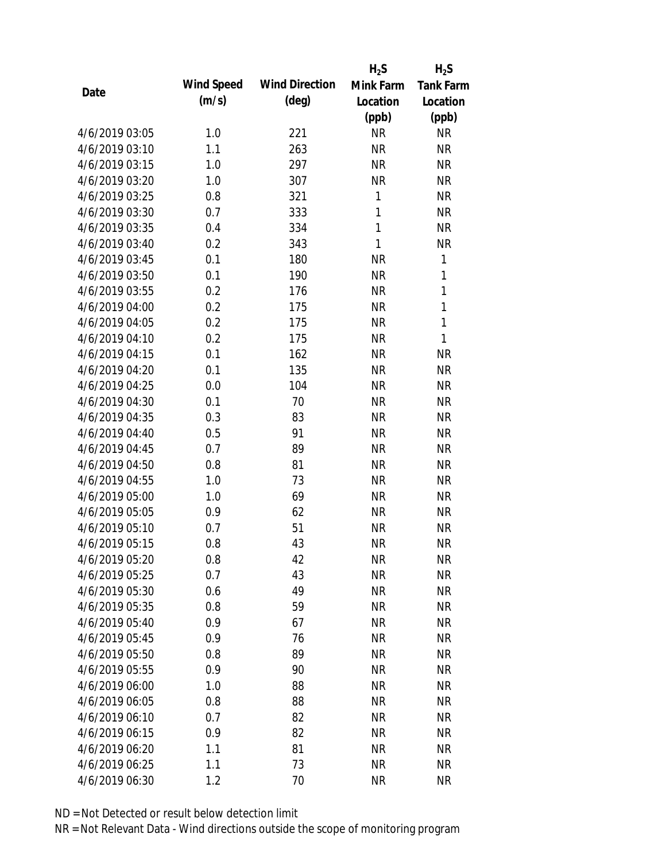|                |            |                       | $H_2S$       | $H_2S$           |
|----------------|------------|-----------------------|--------------|------------------|
| Date           | Wind Speed | <b>Wind Direction</b> | Mink Farm    | <b>Tank Farm</b> |
|                | (m/s)      | $(\text{deg})$        | Location     | Location         |
|                |            |                       | (ppb)        | (ppb)            |
| 4/6/2019 03:05 | 1.0        | 221                   | <b>NR</b>    | <b>NR</b>        |
| 4/6/2019 03:10 | 1.1        | 263                   | <b>NR</b>    | <b>NR</b>        |
| 4/6/2019 03:15 | 1.0        | 297                   | <b>NR</b>    | <b>NR</b>        |
| 4/6/2019 03:20 | 1.0        | 307                   | <b>NR</b>    | <b>NR</b>        |
| 4/6/2019 03:25 | 0.8        | 321                   | 1            | <b>NR</b>        |
| 4/6/2019 03:30 | 0.7        | 333                   | $\mathbf{1}$ | <b>NR</b>        |
| 4/6/2019 03:35 | 0.4        | 334                   | $\mathbf{1}$ | <b>NR</b>        |
| 4/6/2019 03:40 | 0.2        | 343                   | $\mathbf{1}$ | <b>NR</b>        |
| 4/6/2019 03:45 | 0.1        | 180                   | <b>NR</b>    | 1                |
| 4/6/2019 03:50 | 0.1        | 190                   | <b>NR</b>    | $\mathbf{1}$     |
| 4/6/2019 03:55 | 0.2        | 176                   | <b>NR</b>    | $\mathbf{1}$     |
| 4/6/2019 04:00 | 0.2        | 175                   | <b>NR</b>    | $\mathbf{1}$     |
| 4/6/2019 04:05 | 0.2        | 175                   | <b>NR</b>    | $\mathbf{1}$     |
| 4/6/2019 04:10 | 0.2        | 175                   | <b>NR</b>    | 1                |
| 4/6/2019 04:15 | 0.1        | 162                   | <b>NR</b>    | <b>NR</b>        |
| 4/6/2019 04:20 | 0.1        | 135                   | <b>NR</b>    | <b>NR</b>        |
| 4/6/2019 04:25 | 0.0        | 104                   | <b>NR</b>    | <b>NR</b>        |
| 4/6/2019 04:30 | 0.1        | 70                    | <b>NR</b>    | <b>NR</b>        |
| 4/6/2019 04:35 | 0.3        | 83                    | <b>NR</b>    | <b>NR</b>        |
| 4/6/2019 04:40 | 0.5        | 91                    | <b>NR</b>    | <b>NR</b>        |
| 4/6/2019 04:45 | 0.7        | 89                    | <b>NR</b>    | <b>NR</b>        |
| 4/6/2019 04:50 | 0.8        | 81                    | <b>NR</b>    | <b>NR</b>        |
| 4/6/2019 04:55 | 1.0        | 73                    | <b>NR</b>    | <b>NR</b>        |
| 4/6/2019 05:00 | 1.0        | 69                    | <b>NR</b>    | <b>NR</b>        |
| 4/6/2019 05:05 | 0.9        | 62                    | <b>NR</b>    | <b>NR</b>        |
| 4/6/2019 05:10 | 0.7        | 51                    | <b>NR</b>    | <b>NR</b>        |
| 4/6/2019 05:15 | 0.8        | 43                    | <b>NR</b>    | <b>NR</b>        |
| 4/6/2019 05:20 | 0.8        | 42                    | <b>NR</b>    | <b>NR</b>        |
| 4/6/2019 05:25 | 0.7        | 43                    | <b>NR</b>    | <b>NR</b>        |
| 4/6/2019 05:30 | 0.6        | 49                    | <b>NR</b>    | <b>NR</b>        |
| 4/6/2019 05:35 | 0.8        | 59                    | <b>NR</b>    | <b>NR</b>        |
| 4/6/2019 05:40 | 0.9        | 67                    | <b>NR</b>    | <b>NR</b>        |
| 4/6/2019 05:45 | 0.9        | 76                    | <b>NR</b>    | <b>NR</b>        |
| 4/6/2019 05:50 | 0.8        | 89                    | <b>NR</b>    | <b>NR</b>        |
| 4/6/2019 05:55 | 0.9        | 90                    | <b>NR</b>    | <b>NR</b>        |
| 4/6/2019 06:00 | 1.0        | 88                    | <b>NR</b>    | <b>NR</b>        |
| 4/6/2019 06:05 | 0.8        | 88                    | <b>NR</b>    | <b>NR</b>        |
| 4/6/2019 06:10 | 0.7        | 82                    | NR           | <b>NR</b>        |
| 4/6/2019 06:15 | 0.9        | 82                    | <b>NR</b>    | <b>NR</b>        |
| 4/6/2019 06:20 | 1.1        | 81                    | <b>NR</b>    | <b>NR</b>        |
| 4/6/2019 06:25 | 1.1        | 73                    | <b>NR</b>    | <b>NR</b>        |
| 4/6/2019 06:30 | 1.2        | 70                    | <b>NR</b>    | <b>NR</b>        |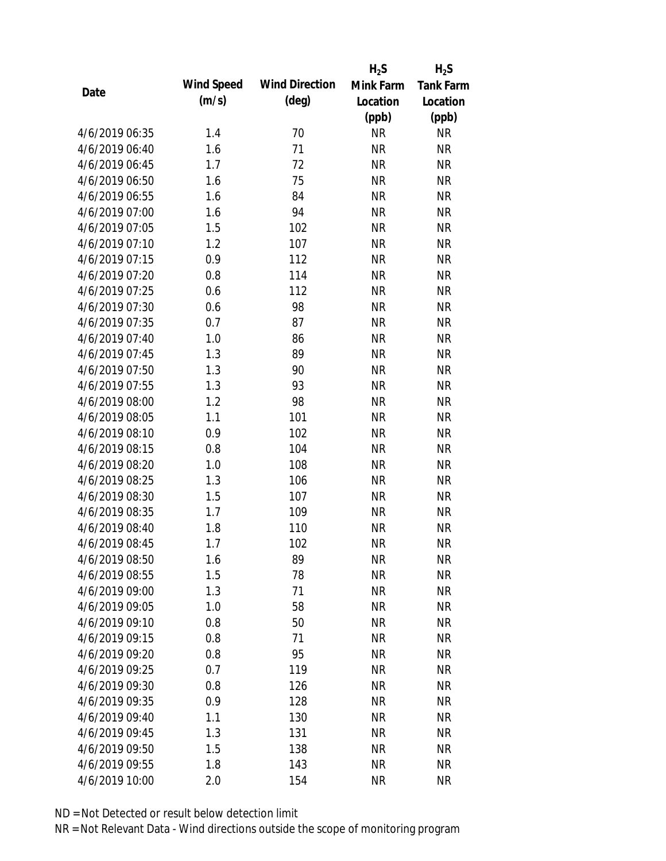|                |            |                       | $H_2S$    | $H_2S$           |
|----------------|------------|-----------------------|-----------|------------------|
| Date           | Wind Speed | <b>Wind Direction</b> | Mink Farm | <b>Tank Farm</b> |
|                | (m/s)      | $(\text{deg})$        | Location  | Location         |
|                |            |                       | (ppb)     | (ppb)            |
| 4/6/2019 06:35 | 1.4        | 70                    | <b>NR</b> | <b>NR</b>        |
| 4/6/2019 06:40 | 1.6        | 71                    | <b>NR</b> | <b>NR</b>        |
| 4/6/2019 06:45 | 1.7        | 72                    | <b>NR</b> | <b>NR</b>        |
| 4/6/2019 06:50 | 1.6        | 75                    | <b>NR</b> | <b>NR</b>        |
| 4/6/2019 06:55 | 1.6        | 84                    | <b>NR</b> | <b>NR</b>        |
| 4/6/2019 07:00 | 1.6        | 94                    | <b>NR</b> | <b>NR</b>        |
| 4/6/2019 07:05 | 1.5        | 102                   | <b>NR</b> | <b>NR</b>        |
| 4/6/2019 07:10 | 1.2        | 107                   | <b>NR</b> | <b>NR</b>        |
| 4/6/2019 07:15 | 0.9        | 112                   | <b>NR</b> | <b>NR</b>        |
| 4/6/2019 07:20 | 0.8        | 114                   | <b>NR</b> | <b>NR</b>        |
| 4/6/2019 07:25 | 0.6        | 112                   | <b>NR</b> | <b>NR</b>        |
| 4/6/2019 07:30 | 0.6        | 98                    | <b>NR</b> | <b>NR</b>        |
| 4/6/2019 07:35 | 0.7        | 87                    | <b>NR</b> | <b>NR</b>        |
| 4/6/2019 07:40 | 1.0        | 86                    | <b>NR</b> | <b>NR</b>        |
| 4/6/2019 07:45 | 1.3        | 89                    | <b>NR</b> | <b>NR</b>        |
| 4/6/2019 07:50 | 1.3        | 90                    | <b>NR</b> | <b>NR</b>        |
| 4/6/2019 07:55 | 1.3        | 93                    | <b>NR</b> | <b>NR</b>        |
| 4/6/2019 08:00 | 1.2        | 98                    | <b>NR</b> | <b>NR</b>        |
| 4/6/2019 08:05 | 1.1        | 101                   | <b>NR</b> | <b>NR</b>        |
| 4/6/2019 08:10 | 0.9        | 102                   | <b>NR</b> | <b>NR</b>        |
| 4/6/2019 08:15 | 0.8        | 104                   | <b>NR</b> | <b>NR</b>        |
| 4/6/2019 08:20 | 1.0        | 108                   | <b>NR</b> | <b>NR</b>        |
| 4/6/2019 08:25 | 1.3        | 106                   | <b>NR</b> | <b>NR</b>        |
| 4/6/2019 08:30 | 1.5        | 107                   | <b>NR</b> | <b>NR</b>        |
| 4/6/2019 08:35 | 1.7        | 109                   | <b>NR</b> | <b>NR</b>        |
| 4/6/2019 08:40 | 1.8        | 110                   | <b>NR</b> | <b>NR</b>        |
| 4/6/2019 08:45 | 1.7        | 102                   | <b>NR</b> | <b>NR</b>        |
| 4/6/2019 08:50 | 1.6        | 89                    | <b>NR</b> | <b>NR</b>        |
| 4/6/2019 08:55 | 1.5        | 78                    | <b>NR</b> | <b>NR</b>        |
| 4/6/2019 09:00 | 1.3        | 71                    | <b>NR</b> | <b>NR</b>        |
| 4/6/2019 09:05 | 1.0        | 58                    | <b>NR</b> | <b>NR</b>        |
| 4/6/2019 09:10 | 0.8        | 50                    | <b>NR</b> | <b>NR</b>        |
| 4/6/2019 09:15 | 0.8        | 71                    | <b>NR</b> | <b>NR</b>        |
| 4/6/2019 09:20 | 0.8        | 95                    | <b>NR</b> | <b>NR</b>        |
| 4/6/2019 09:25 | 0.7        | 119                   | <b>NR</b> | <b>NR</b>        |
| 4/6/2019 09:30 | 0.8        | 126                   | <b>NR</b> | <b>NR</b>        |
| 4/6/2019 09:35 | 0.9        | 128                   | <b>NR</b> | <b>NR</b>        |
| 4/6/2019 09:40 | 1.1        | 130                   | <b>NR</b> | <b>NR</b>        |
| 4/6/2019 09:45 | 1.3        | 131                   | <b>NR</b> | <b>NR</b>        |
| 4/6/2019 09:50 | 1.5        | 138                   | <b>NR</b> | <b>NR</b>        |
| 4/6/2019 09:55 | 1.8        | 143                   | <b>NR</b> | <b>NR</b>        |
| 4/6/2019 10:00 | 2.0        | 154                   | <b>NR</b> | <b>NR</b>        |
|                |            |                       |           |                  |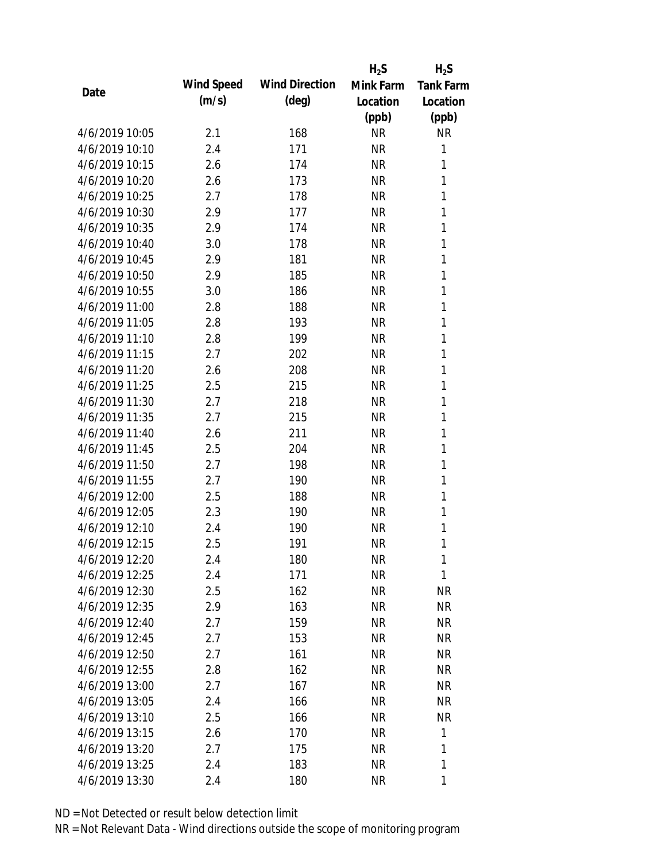|                |            |                       | $H_2S$    | $H_2S$           |
|----------------|------------|-----------------------|-----------|------------------|
| Date           | Wind Speed | <b>Wind Direction</b> | Mink Farm | <b>Tank Farm</b> |
|                | (m/s)      | $(\text{deg})$        | Location  | Location         |
|                |            |                       | (ppb)     | (ppb)            |
| 4/6/2019 10:05 | 2.1        | 168                   | <b>NR</b> | NR               |
| 4/6/2019 10:10 | 2.4        | 171                   | <b>NR</b> | 1                |
| 4/6/2019 10:15 | 2.6        | 174                   | <b>NR</b> | 1                |
| 4/6/2019 10:20 | 2.6        | 173                   | <b>NR</b> | 1                |
| 4/6/2019 10:25 | 2.7        | 178                   | <b>NR</b> | 1                |
| 4/6/2019 10:30 | 2.9        | 177                   | <b>NR</b> | 1                |
| 4/6/2019 10:35 | 2.9        | 174                   | <b>NR</b> | 1                |
| 4/6/2019 10:40 | 3.0        | 178                   | <b>NR</b> | 1                |
| 4/6/2019 10:45 | 2.9        | 181                   | <b>NR</b> | 1                |
| 4/6/2019 10:50 | 2.9        | 185                   | <b>NR</b> | 1                |
| 4/6/2019 10:55 | 3.0        | 186                   | <b>NR</b> | 1                |
| 4/6/2019 11:00 | 2.8        | 188                   | <b>NR</b> | 1                |
| 4/6/2019 11:05 | 2.8        | 193                   | <b>NR</b> | 1                |
| 4/6/2019 11:10 | 2.8        | 199                   | <b>NR</b> | 1                |
| 4/6/2019 11:15 | 2.7        | 202                   | <b>NR</b> | 1                |
| 4/6/2019 11:20 | 2.6        | 208                   | <b>NR</b> | 1                |
| 4/6/2019 11:25 | 2.5        | 215                   | <b>NR</b> | 1                |
| 4/6/2019 11:30 | 2.7        | 218                   | <b>NR</b> | 1                |
| 4/6/2019 11:35 | 2.7        | 215                   | <b>NR</b> | 1                |
| 4/6/2019 11:40 | 2.6        | 211                   | <b>NR</b> | 1                |
| 4/6/2019 11:45 | 2.5        | 204                   | <b>NR</b> | 1                |
| 4/6/2019 11:50 | 2.7        | 198                   | <b>NR</b> | 1                |
| 4/6/2019 11:55 | 2.7        | 190                   | <b>NR</b> | 1                |
| 4/6/2019 12:00 | 2.5        | 188                   | <b>NR</b> | 1                |
| 4/6/2019 12:05 | 2.3        | 190                   | <b>NR</b> | 1                |
| 4/6/2019 12:10 | 2.4        | 190                   | <b>NR</b> | 1                |
| 4/6/2019 12:15 | 2.5        | 191                   | <b>NR</b> | 1                |
| 4/6/2019 12:20 | 2.4        | 180                   | <b>NR</b> | 1                |
| 4/6/2019 12:25 | 2.4        | 171                   | <b>NR</b> | 1                |
| 4/6/2019 12:30 | 2.5        | 162                   | <b>NR</b> | <b>NR</b>        |
| 4/6/2019 12:35 | 2.9        | 163                   | <b>NR</b> | <b>NR</b>        |
| 4/6/2019 12:40 | 2.7        | 159                   | <b>NR</b> | <b>NR</b>        |
| 4/6/2019 12:45 | 2.7        | 153                   | <b>NR</b> | <b>NR</b>        |
| 4/6/2019 12:50 | 2.7        | 161                   | <b>NR</b> | <b>NR</b>        |
| 4/6/2019 12:55 | 2.8        | 162                   | <b>NR</b> | <b>NR</b>        |
| 4/6/2019 13:00 | 2.7        | 167                   | <b>NR</b> | <b>NR</b>        |
| 4/6/2019 13:05 | 2.4        | 166                   | <b>NR</b> | <b>NR</b>        |
| 4/6/2019 13:10 | 2.5        | 166                   | NR        | <b>NR</b>        |
| 4/6/2019 13:15 | 2.6        | 170                   | <b>NR</b> | 1                |
| 4/6/2019 13:20 | 2.7        | 175                   | <b>NR</b> | 1                |
| 4/6/2019 13:25 | 2.4        | 183                   | <b>NR</b> | 1                |
| 4/6/2019 13:30 | 2.4        | 180                   | <b>NR</b> | 1                |
|                |            |                       |           |                  |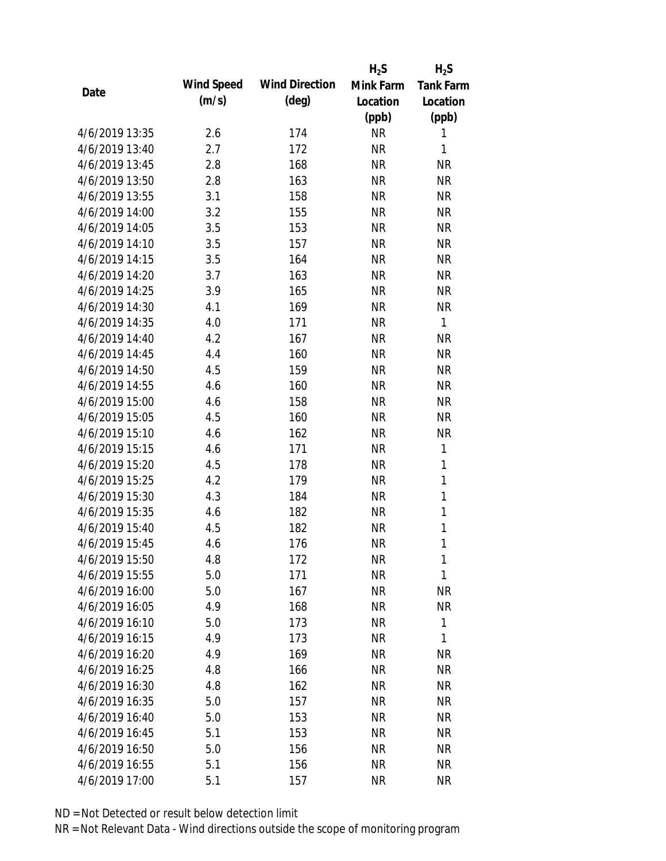|                |            |                       | $H_2S$    | $H_2S$           |
|----------------|------------|-----------------------|-----------|------------------|
| Date           | Wind Speed | <b>Wind Direction</b> | Mink Farm | <b>Tank Farm</b> |
|                | (m/s)      | $(\text{deg})$        | Location  | Location         |
|                |            |                       | (ppb)     | (ppb)            |
| 4/6/2019 13:35 | 2.6        | 174                   | <b>NR</b> | 1                |
| 4/6/2019 13:40 | 2.7        | 172                   | <b>NR</b> | 1                |
| 4/6/2019 13:45 | 2.8        | 168                   | <b>NR</b> | <b>NR</b>        |
| 4/6/2019 13:50 | 2.8        | 163                   | <b>NR</b> | <b>NR</b>        |
| 4/6/2019 13:55 | 3.1        | 158                   | <b>NR</b> | <b>NR</b>        |
| 4/6/2019 14:00 | 3.2        | 155                   | <b>NR</b> | <b>NR</b>        |
| 4/6/2019 14:05 | 3.5        | 153                   | <b>NR</b> | <b>NR</b>        |
| 4/6/2019 14:10 | 3.5        | 157                   | <b>NR</b> | <b>NR</b>        |
| 4/6/2019 14:15 | 3.5        | 164                   | <b>NR</b> | <b>NR</b>        |
| 4/6/2019 14:20 | 3.7        | 163                   | <b>NR</b> | <b>NR</b>        |
| 4/6/2019 14:25 | 3.9        | 165                   | <b>NR</b> | <b>NR</b>        |
| 4/6/2019 14:30 | 4.1        | 169                   | <b>NR</b> | <b>NR</b>        |
| 4/6/2019 14:35 | 4.0        | 171                   | <b>NR</b> | $\mathbf{1}$     |
| 4/6/2019 14:40 | 4.2        | 167                   | <b>NR</b> | <b>NR</b>        |
| 4/6/2019 14:45 | 4.4        | 160                   | <b>NR</b> | <b>NR</b>        |
| 4/6/2019 14:50 | 4.5        | 159                   | <b>NR</b> | <b>NR</b>        |
| 4/6/2019 14:55 | 4.6        | 160                   | <b>NR</b> | <b>NR</b>        |
| 4/6/2019 15:00 | 4.6        | 158                   | <b>NR</b> | <b>NR</b>        |
| 4/6/2019 15:05 | 4.5        | 160                   | <b>NR</b> | <b>NR</b>        |
| 4/6/2019 15:10 | 4.6        | 162                   | <b>NR</b> | <b>NR</b>        |
| 4/6/2019 15:15 | 4.6        | 171                   | <b>NR</b> | 1                |
| 4/6/2019 15:20 | 4.5        | 178                   | <b>NR</b> | 1                |
| 4/6/2019 15:25 | 4.2        | 179                   | <b>NR</b> | 1                |
| 4/6/2019 15:30 | 4.3        | 184                   | <b>NR</b> | 1                |
| 4/6/2019 15:35 | 4.6        | 182                   | <b>NR</b> | 1                |
| 4/6/2019 15:40 | 4.5        | 182                   | <b>NR</b> | 1                |
| 4/6/2019 15:45 | 4.6        | 176                   | <b>NR</b> | 1                |
| 4/6/2019 15:50 | 4.8        | 172                   | <b>NR</b> | 1                |
| 4/6/2019 15:55 | 5.0        | 171                   | <b>NR</b> | 1                |
| 4/6/2019 16:00 | 5.0        | 167                   | <b>NR</b> | <b>NR</b>        |
| 4/6/2019 16:05 | 4.9        | 168                   | <b>NR</b> | <b>NR</b>        |
| 4/6/2019 16:10 | 5.0        | 173                   | <b>NR</b> | 1                |
| 4/6/2019 16:15 | 4.9        | 173                   | <b>NR</b> | 1                |
| 4/6/2019 16:20 | 4.9        | 169                   | <b>NR</b> | <b>NR</b>        |
| 4/6/2019 16:25 | 4.8        | 166                   | <b>NR</b> | <b>NR</b>        |
| 4/6/2019 16:30 | 4.8        | 162                   | <b>NR</b> | <b>NR</b>        |
| 4/6/2019 16:35 | 5.0        | 157                   | <b>NR</b> | <b>NR</b>        |
| 4/6/2019 16:40 | 5.0        | 153                   | <b>NR</b> | <b>NR</b>        |
| 4/6/2019 16:45 | 5.1        | 153                   | <b>NR</b> | <b>NR</b>        |
| 4/6/2019 16:50 | 5.0        | 156                   | <b>NR</b> | <b>NR</b>        |
| 4/6/2019 16:55 | 5.1        | 156                   | <b>NR</b> | <b>NR</b>        |
| 4/6/2019 17:00 | 5.1        | 157                   | <b>NR</b> | <b>NR</b>        |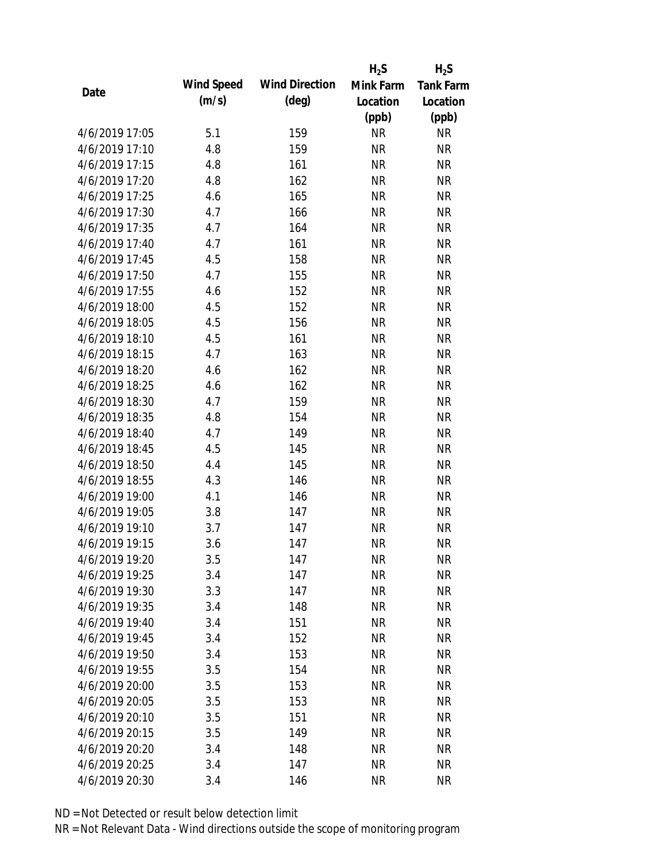|                |            |                       | $H_2S$    | $H_2S$           |
|----------------|------------|-----------------------|-----------|------------------|
|                | Wind Speed | <b>Wind Direction</b> | Mink Farm | <b>Tank Farm</b> |
| Date           | (m/s)      | $(\text{deg})$        | Location  | Location         |
|                |            |                       | (ppb)     | (ppb)            |
| 4/6/2019 17:05 | 5.1        | 159                   | <b>NR</b> | <b>NR</b>        |
| 4/6/2019 17:10 | 4.8        | 159                   | <b>NR</b> | <b>NR</b>        |
| 4/6/2019 17:15 | 4.8        | 161                   | <b>NR</b> | <b>NR</b>        |
| 4/6/2019 17:20 | 4.8        | 162                   | <b>NR</b> | <b>NR</b>        |
| 4/6/2019 17:25 | 4.6        | 165                   | <b>NR</b> | <b>NR</b>        |
| 4/6/2019 17:30 | 4.7        | 166                   | <b>NR</b> | <b>NR</b>        |
| 4/6/2019 17:35 | 4.7        | 164                   | <b>NR</b> | <b>NR</b>        |
| 4/6/2019 17:40 | 4.7        | 161                   | <b>NR</b> | <b>NR</b>        |
| 4/6/2019 17:45 | 4.5        | 158                   | <b>NR</b> | <b>NR</b>        |
| 4/6/2019 17:50 | 4.7        | 155                   | <b>NR</b> | <b>NR</b>        |
| 4/6/2019 17:55 | 4.6        | 152                   | <b>NR</b> | <b>NR</b>        |
| 4/6/2019 18:00 | 4.5        | 152                   | <b>NR</b> | <b>NR</b>        |
| 4/6/2019 18:05 | 4.5        | 156                   | <b>NR</b> | <b>NR</b>        |
| 4/6/2019 18:10 | 4.5        | 161                   | <b>NR</b> | <b>NR</b>        |
| 4/6/2019 18:15 | 4.7        | 163                   | <b>NR</b> | <b>NR</b>        |
| 4/6/2019 18:20 | 4.6        | 162                   | <b>NR</b> | <b>NR</b>        |
| 4/6/2019 18:25 | 4.6        | 162                   | <b>NR</b> | <b>NR</b>        |
| 4/6/2019 18:30 | 4.7        | 159                   | <b>NR</b> | <b>NR</b>        |
| 4/6/2019 18:35 | 4.8        | 154                   | <b>NR</b> | <b>NR</b>        |
| 4/6/2019 18:40 | 4.7        | 149                   | <b>NR</b> | <b>NR</b>        |
| 4/6/2019 18:45 | 4.5        | 145                   | <b>NR</b> | <b>NR</b>        |
| 4/6/2019 18:50 | 4.4        | 145                   | <b>NR</b> | <b>NR</b>        |
| 4/6/2019 18:55 | 4.3        | 146                   | <b>NR</b> | <b>NR</b>        |
| 4/6/2019 19:00 | 4.1        | 146                   | <b>NR</b> | <b>NR</b>        |
| 4/6/2019 19:05 | 3.8        | 147                   | <b>NR</b> | <b>NR</b>        |
| 4/6/2019 19:10 | 3.7        | 147                   | <b>NR</b> | <b>NR</b>        |
| 4/6/2019 19:15 | 3.6        | 147                   | <b>NR</b> | <b>NR</b>        |
| 4/6/2019 19:20 | 3.5        | 147                   | <b>NR</b> | <b>NR</b>        |
| 4/6/2019 19:25 | 3.4        | 147                   | <b>NR</b> | <b>NR</b>        |
| 4/6/2019 19:30 | 3.3        | 147                   | <b>NR</b> | <b>NR</b>        |
| 4/6/2019 19:35 | 3.4        | 148                   | <b>NR</b> | <b>NR</b>        |
| 4/6/2019 19:40 | 3.4        | 151                   | <b>NR</b> | <b>NR</b>        |
| 4/6/2019 19:45 | 3.4        | 152                   | <b>NR</b> | <b>NR</b>        |
| 4/6/2019 19:50 | 3.4        | 153                   | <b>NR</b> | <b>NR</b>        |
| 4/6/2019 19:55 | 3.5        | 154                   | <b>NR</b> | <b>NR</b>        |
| 4/6/2019 20:00 | 3.5        | 153                   | <b>NR</b> | <b>NR</b>        |
| 4/6/2019 20:05 | 3.5        | 153                   | <b>NR</b> | <b>NR</b>        |
| 4/6/2019 20:10 | 3.5        | 151                   | <b>NR</b> | <b>NR</b>        |
| 4/6/2019 20:15 | 3.5        | 149                   | <b>NR</b> | <b>NR</b>        |
| 4/6/2019 20:20 | 3.4        | 148                   | <b>NR</b> | <b>NR</b>        |
| 4/6/2019 20:25 | 3.4        | 147                   | <b>NR</b> | <b>NR</b>        |
| 4/6/2019 20:30 | 3.4        | 146                   | <b>NR</b> | <b>NR</b>        |
|                |            |                       |           |                  |